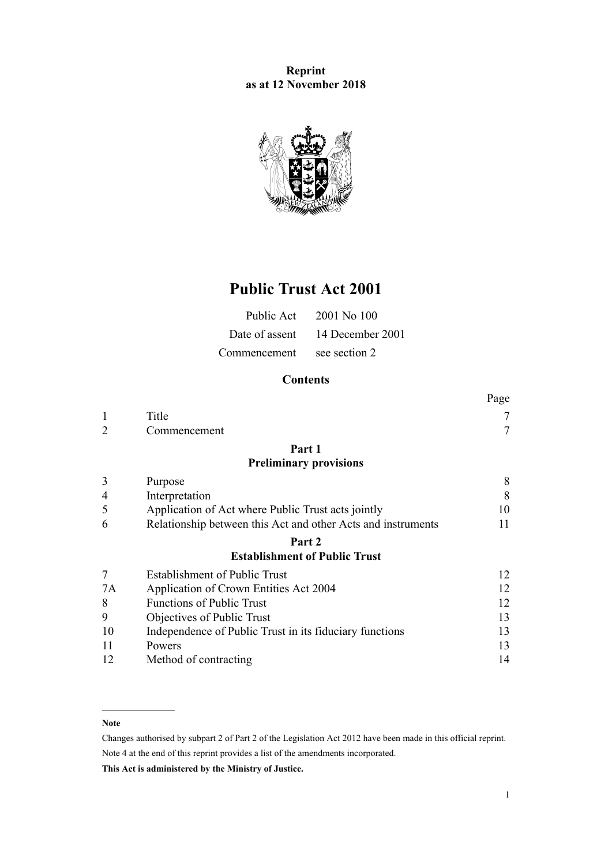## **Reprint as at 12 November 2018**



# **Public Trust Act 2001**

| Public Act   | $2001$ No $100$                 |
|--------------|---------------------------------|
|              | Date of assent 14 December 2001 |
| Commencement | see section 2                   |

## **Contents**

|                |                                                              | Page |
|----------------|--------------------------------------------------------------|------|
| 1              | Title                                                        | 7    |
| $\overline{2}$ | Commencement                                                 | 7    |
|                | Part 1                                                       |      |
|                | <b>Preliminary provisions</b>                                |      |
| 3              | Purpose                                                      | 8    |
| $\overline{4}$ | Interpretation                                               | 8    |
| 5              | Application of Act where Public Trust acts jointly           | 10   |
| 6              | Relationship between this Act and other Acts and instruments | 11   |
|                | Part 2                                                       |      |
|                | <b>Establishment of Public Trust</b>                         |      |
| 7              | <b>Establishment of Public Trust</b>                         | 12   |
| 7A             | Application of Crown Entities Act 2004                       | 12   |
| 8              | <b>Functions of Public Trust</b>                             | 12   |
| 9              | Objectives of Public Trust                                   | 13   |
| 10             | Independence of Public Trust in its fiduciary functions      | 13   |
| 11             | Powers                                                       | 13   |
| 12             | Method of contracting                                        | 14   |

#### **Note**

Changes authorised by [subpart 2](http://prd-lgnz-nlb.prd.pco.net.nz/pdflink.aspx?id=DLM2998524) of Part 2 of the Legislation Act 2012 have been made in this official reprint. Note 4 at the end of this reprint provides a list of the amendments incorporated.

**This Act is administered by the Ministry of Justice.**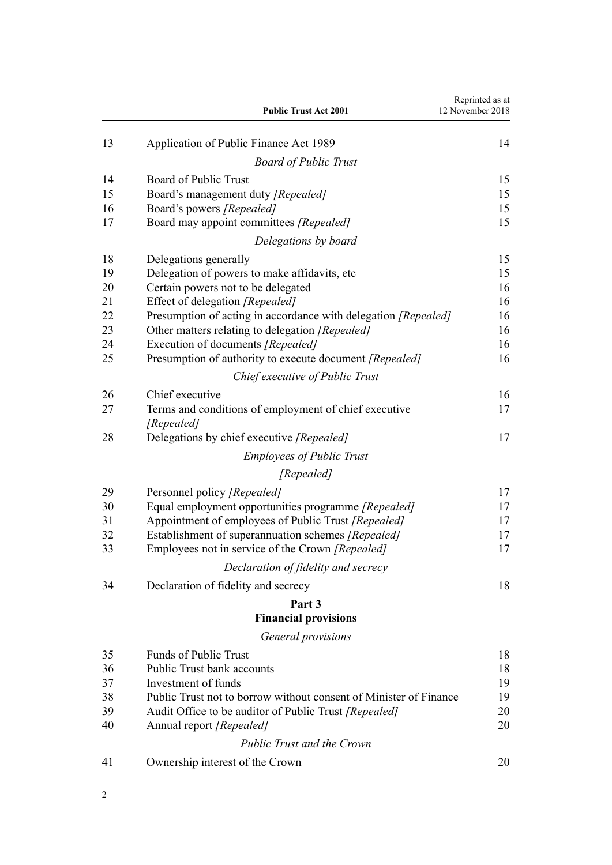|    | <b>Public Trust Act 2001</b>                                        | Reprinted as at<br>12 November 2018 |
|----|---------------------------------------------------------------------|-------------------------------------|
| 13 | Application of Public Finance Act 1989                              | 14                                  |
|    | <b>Board of Public Trust</b>                                        |                                     |
| 14 | Board of Public Trust                                               | 15                                  |
| 15 | Board's management duty [Repealed]                                  | 15                                  |
| 16 | Board's powers [Repealed]                                           | 15                                  |
| 17 | Board may appoint committees [Repealed]                             | 15                                  |
|    | Delegations by board                                                |                                     |
| 18 | Delegations generally                                               | 15                                  |
| 19 | Delegation of powers to make affidavits, etc.                       | 15                                  |
| 20 | Certain powers not to be delegated                                  | 16                                  |
| 21 | Effect of delegation [Repealed]                                     | 16                                  |
| 22 | Presumption of acting in accordance with delegation [Repealed]      | 16                                  |
| 23 | Other matters relating to delegation [Repealed]                     | 16                                  |
| 24 | Execution of documents [Repealed]                                   | 16                                  |
| 25 | Presumption of authority to execute document [Repealed]             | 16                                  |
|    | Chief executive of Public Trust                                     |                                     |
| 26 | Chief executive                                                     | 16                                  |
| 27 | Terms and conditions of employment of chief executive<br>[Repealed] | 17                                  |
| 28 | Delegations by chief executive [Repealed]                           | 17                                  |
|    | <b>Employees of Public Trust</b>                                    |                                     |
|    | [Repealed]                                                          |                                     |
| 29 | Personnel policy [Repealed]                                         | 17                                  |
| 30 | Equal employment opportunities programme [Repealed]                 | 17                                  |
| 31 | Appointment of employees of Public Trust [Repealed]                 | 17                                  |
| 32 | Establishment of superannuation schemes [Repealed]                  | 17                                  |
| 33 | Employees not in service of the Crown [Repealed]                    | 17                                  |
|    | Declaration of fidelity and secrecy                                 |                                     |
| 34 | Declaration of fidelity and secrecy                                 | 18                                  |
|    | Part 3                                                              |                                     |
|    | <b>Financial provisions</b>                                         |                                     |
|    | General provisions                                                  |                                     |
| 35 | <b>Funds of Public Trust</b>                                        | 18                                  |
| 36 | <b>Public Trust bank accounts</b>                                   | 18                                  |
| 37 | Investment of funds                                                 | 19                                  |
| 38 | Public Trust not to borrow without consent of Minister of Finance   | 19                                  |
| 39 | Audit Office to be auditor of Public Trust [Repealed]               | 20                                  |
| 40 | Annual report [Repealed]                                            | 20                                  |
|    | <b>Public Trust and the Crown</b>                                   |                                     |
| 41 | Ownership interest of the Crown                                     | 20                                  |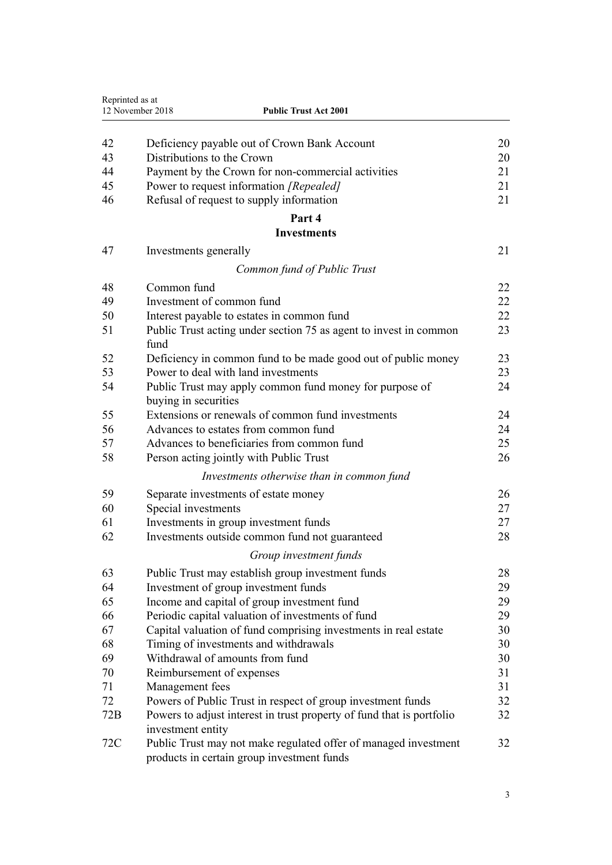| Reprinted as at | 12 November 2018<br><b>Public Trust Act 2001</b>                                                              |    |
|-----------------|---------------------------------------------------------------------------------------------------------------|----|
|                 |                                                                                                               |    |
| 42              | Deficiency payable out of Crown Bank Account                                                                  | 20 |
| 43              | Distributions to the Crown                                                                                    | 20 |
| 44              | Payment by the Crown for non-commercial activities                                                            | 21 |
| 45              | Power to request information [Repealed]                                                                       | 21 |
| 46              | Refusal of request to supply information                                                                      | 21 |
|                 | Part 4                                                                                                        |    |
|                 | <b>Investments</b>                                                                                            |    |
| 47              | Investments generally                                                                                         | 21 |
|                 | Common fund of Public Trust                                                                                   |    |
| 48              | Common fund                                                                                                   | 22 |
| 49              | Investment of common fund                                                                                     | 22 |
| 50              | Interest payable to estates in common fund                                                                    | 22 |
| 51              | Public Trust acting under section 75 as agent to invest in common                                             | 23 |
|                 | fund                                                                                                          |    |
| 52              | Deficiency in common fund to be made good out of public money                                                 | 23 |
| 53              | Power to deal with land investments                                                                           | 23 |
| 54              | Public Trust may apply common fund money for purpose of                                                       | 24 |
|                 | buying in securities                                                                                          |    |
| 55              | Extensions or renewals of common fund investments                                                             | 24 |
| 56              | Advances to estates from common fund                                                                          | 24 |
| 57              | Advances to beneficiaries from common fund                                                                    | 25 |
| 58              | Person acting jointly with Public Trust                                                                       | 26 |
|                 | Investments otherwise than in common fund                                                                     |    |
| 59              | Separate investments of estate money                                                                          | 26 |
| 60              | Special investments                                                                                           | 27 |
| 61              | Investments in group investment funds                                                                         | 27 |
| 62              | Investments outside common fund not guaranteed                                                                | 28 |
|                 | Group investment funds                                                                                        |    |
| 63              | Public Trust may establish group investment funds                                                             | 28 |
| 64              | Investment of group investment funds                                                                          | 29 |
| 65              | Income and capital of group investment fund                                                                   | 29 |
| 66              | Periodic capital valuation of investments of fund                                                             | 29 |
| 67              | Capital valuation of fund comprising investments in real estate                                               | 30 |
| 68              | Timing of investments and withdrawals                                                                         | 30 |
| 69              | Withdrawal of amounts from fund                                                                               | 30 |
| 70              | Reimbursement of expenses                                                                                     | 31 |
| 71              | Management fees                                                                                               | 31 |
| 72              | Powers of Public Trust in respect of group investment funds                                                   | 32 |
| 72B             | Powers to adjust interest in trust property of fund that is portfolio<br>investment entity                    | 32 |
| 72C             | Public Trust may not make regulated offer of managed investment<br>products in certain group investment funds | 32 |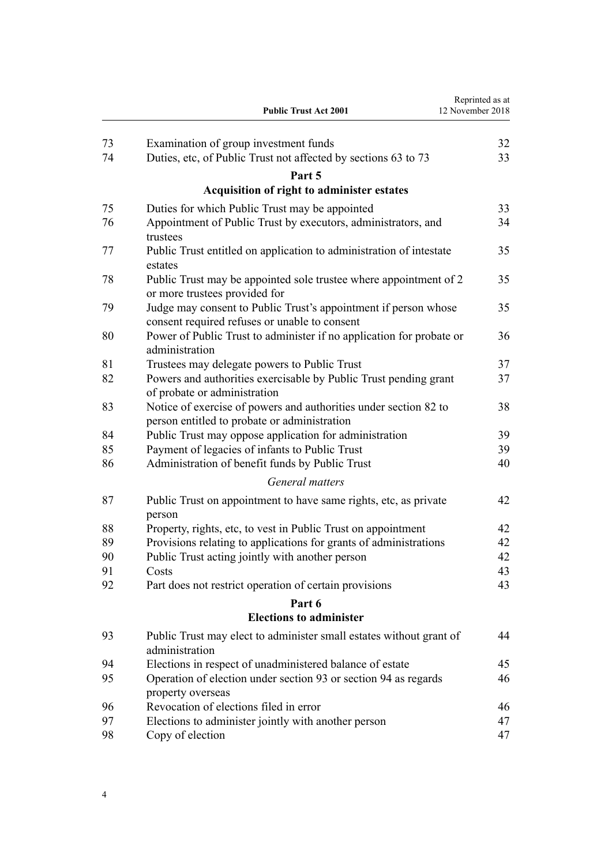|    | <b>Public Trust Act 2001</b>                                                                                     | Reprinted as at<br>12 November 2018 |
|----|------------------------------------------------------------------------------------------------------------------|-------------------------------------|
| 73 | Examination of group investment funds                                                                            | 32                                  |
| 74 | Duties, etc, of Public Trust not affected by sections 63 to 73                                                   | 33                                  |
|    | Part 5                                                                                                           |                                     |
|    | Acquisition of right to administer estates                                                                       |                                     |
| 75 | Duties for which Public Trust may be appointed                                                                   | 33                                  |
| 76 | Appointment of Public Trust by executors, administrators, and<br>trustees                                        | 34                                  |
| 77 | Public Trust entitled on application to administration of intestate<br>estates                                   | 35                                  |
| 78 | Public Trust may be appointed sole trustee where appointment of 2<br>or more trustees provided for               | 35                                  |
| 79 | Judge may consent to Public Trust's appointment if person whose<br>consent required refuses or unable to consent | 35                                  |
| 80 | Power of Public Trust to administer if no application for probate or<br>administration                           | 36                                  |
| 81 | Trustees may delegate powers to Public Trust                                                                     | 37                                  |
| 82 | Powers and authorities exercisable by Public Trust pending grant<br>of probate or administration                 | 37                                  |
| 83 | Notice of exercise of powers and authorities under section 82 to<br>person entitled to probate or administration | 38                                  |
| 84 | Public Trust may oppose application for administration                                                           | 39                                  |
| 85 | Payment of legacies of infants to Public Trust                                                                   | 39                                  |
| 86 | Administration of benefit funds by Public Trust                                                                  | 40                                  |
|    | General matters                                                                                                  |                                     |
| 87 | Public Trust on appointment to have same rights, etc, as private<br>person                                       | 42                                  |
| 88 | Property, rights, etc, to vest in Public Trust on appointment                                                    | 42                                  |
| 89 | Provisions relating to applications for grants of administrations                                                | 42                                  |
| 90 | Public Trust acting jointly with another person                                                                  | 42                                  |
| 91 | Costs                                                                                                            | 43                                  |
| 92 | Part does not restrict operation of certain provisions                                                           | 43                                  |
|    | Part 6                                                                                                           |                                     |
|    | <b>Elections to administer</b>                                                                                   |                                     |
| 93 | Public Trust may elect to administer small estates without grant of<br>administration                            | 44                                  |
| 94 | Elections in respect of unadministered balance of estate                                                         | 45                                  |
| 95 | Operation of election under section 93 or section 94 as regards<br>property overseas                             | 46                                  |
| 96 | Revocation of elections filed in error                                                                           | 46                                  |
| 97 | Elections to administer jointly with another person                                                              | 47                                  |
| 98 | Copy of election                                                                                                 | 47                                  |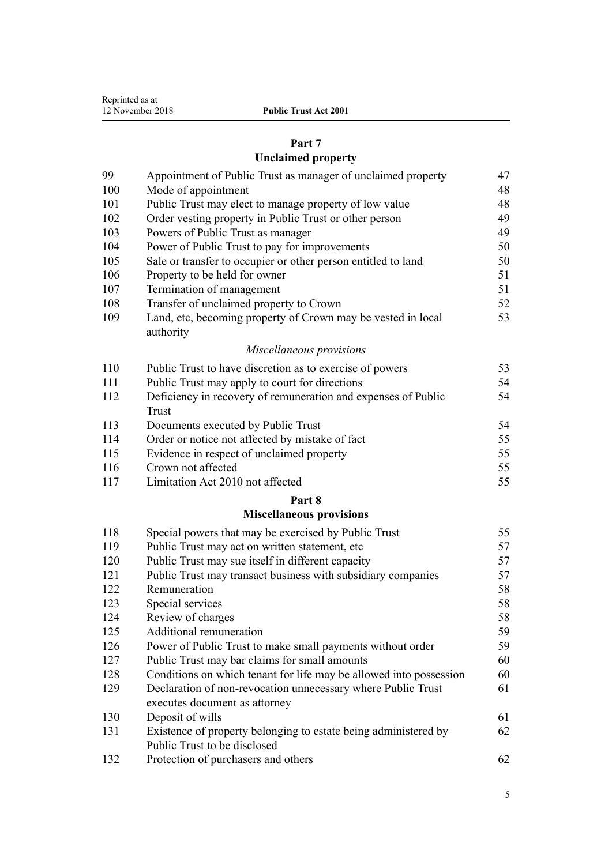| Reprinted as at  |
|------------------|
| 12 November 2018 |
|                  |

# **[Part 7](#page-46-0)**

# **[Unclaimed property](#page-46-0)**

| 99  | Appointment of Public Trust as manager of unclaimed property              | 47 |
|-----|---------------------------------------------------------------------------|----|
| 100 | Mode of appointment                                                       | 48 |
| 101 | Public Trust may elect to manage property of low value                    | 48 |
| 102 | Order vesting property in Public Trust or other person                    | 49 |
| 103 | Powers of Public Trust as manager                                         | 49 |
| 104 | Power of Public Trust to pay for improvements                             | 50 |
| 105 | Sale or transfer to occupier or other person entitled to land             | 50 |
| 106 | Property to be held for owner                                             | 51 |
| 107 | Termination of management                                                 | 51 |
| 108 | Transfer of unclaimed property to Crown                                   | 52 |
| 109 | Land, etc, becoming property of Crown may be vested in local<br>authority | 53 |
|     | Miscellaneous provisions                                                  |    |
| 110 | Public Trust to have discretion as to exercise of powers                  | 53 |
| 111 | Public Trust may apply to court for directions                            | 54 |
| 112 | Deficiency in recovery of remuneration and expenses of Public             | 54 |
|     | <b>Trust</b>                                                              |    |
| 113 | Documents executed by Public Trust                                        | 54 |
| 114 | Order or notice not affected by mistake of fact                           | 55 |
| 115 | Evidence in respect of unclaimed property                                 | 55 |
| 116 | Crown not affected                                                        | 55 |
| 117 | Limitation Act 2010 not affected                                          | 55 |
|     | Part 8                                                                    |    |
|     | <b>Miscellaneous provisions</b>                                           |    |
| 118 | Special powers that may be exercised by Public Trust                      | 55 |
| 119 | Public Trust may act on written statement, etc.                           | 57 |
| 120 | Public Trust may sue itself in different capacity                         | 57 |
| 121 | Public Trust may transact business with subsidiary companies              | 57 |
| 122 | Remuneration                                                              | 58 |
| 123 | Special services                                                          | 58 |
| 124 | Review of charges                                                         | 58 |
| 125 | Additional remuneration                                                   | 59 |
| 126 | Power of Public Trust to make small payments without order                | 59 |
| 127 | Public Trust may bar claims for small amounts                             | 60 |
| 128 | Conditions on which tenant for life may be allowed into possession        | 60 |
| 129 | Declaration of non-revocation unnecessary where Public Trust              | 61 |
|     | executes document as attorney                                             |    |

| 130 | Deposit of wills                                                |    |
|-----|-----------------------------------------------------------------|----|
| 131 | Existence of property belonging to estate being administered by | 62 |
|     | Public Trust to be disclosed                                    |    |
| 122 | Duction of modes are and others                                 |    |

| 132 | Protection of purchasers and others |  |
|-----|-------------------------------------|--|
|-----|-------------------------------------|--|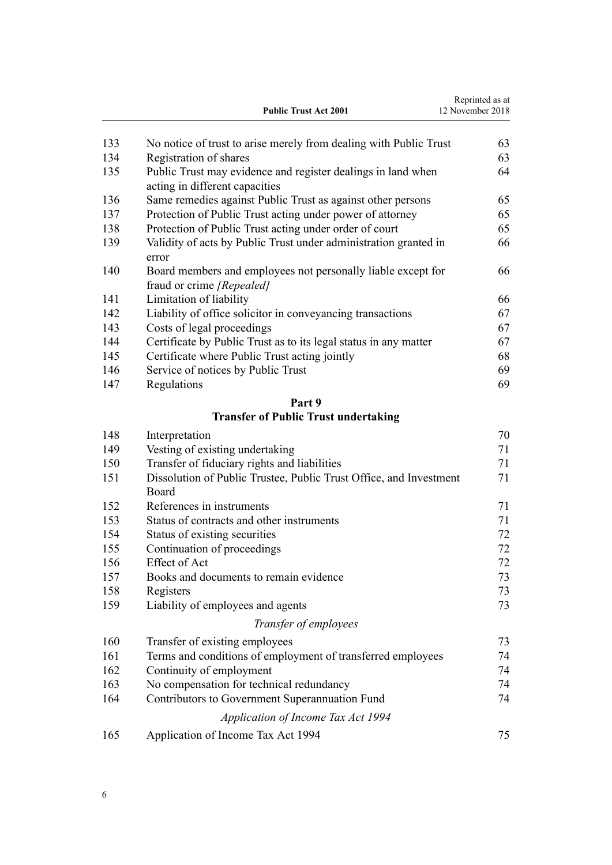|     | <b>Public Trust Act 2001</b>                                                                   | Reprinted as at<br>12 November 2018 |
|-----|------------------------------------------------------------------------------------------------|-------------------------------------|
| 133 | No notice of trust to arise merely from dealing with Public Trust                              | 63                                  |
| 134 | Registration of shares                                                                         | 63                                  |
| 135 | Public Trust may evidence and register dealings in land when<br>acting in different capacities | 64                                  |
| 136 | Same remedies against Public Trust as against other persons                                    | 65                                  |
| 137 | Protection of Public Trust acting under power of attorney                                      | 65                                  |
| 138 | Protection of Public Trust acting under order of court                                         | 65                                  |
| 139 | Validity of acts by Public Trust under administration granted in<br>error                      | 66                                  |
| 140 | Board members and employees not personally liable except for<br>fraud or crime [Repealed]      | 66                                  |
| 141 | Limitation of liability                                                                        | 66                                  |
| 142 | Liability of office solicitor in conveyancing transactions                                     | 67                                  |
| 143 | Costs of legal proceedings                                                                     | 67                                  |
| 144 | Certificate by Public Trust as to its legal status in any matter                               | 67                                  |
| 145 | Certificate where Public Trust acting jointly                                                  | 68                                  |
| 146 | Service of notices by Public Trust                                                             | 69                                  |
| 147 | Regulations                                                                                    | 69                                  |
|     | Part 9                                                                                         |                                     |
|     | <b>Transfer of Public Trust undertaking</b>                                                    |                                     |
| 148 | Interpretation                                                                                 | 70                                  |
| 149 | Vesting of existing undertaking                                                                | 71                                  |
| 150 | Transfer of fiduciary rights and liabilities                                                   | 71                                  |
| 151 | Dissolution of Public Trustee, Public Trust Office, and Investment<br>Board                    | 71                                  |
| 152 | References in instruments                                                                      | 71                                  |
| 153 | Status of contracts and other instruments                                                      | 71                                  |
| 154 | Status of existing securities                                                                  | 72                                  |
| 155 | Continuation of proceedings                                                                    | 72                                  |
| 156 | <b>Effect of Act</b>                                                                           | 72                                  |
| 157 | Books and documents to remain evidence                                                         | 73                                  |
| 158 | Registers                                                                                      | 73                                  |
| 159 | Liability of employees and agents                                                              | 73                                  |
|     | Transfer of employees                                                                          |                                     |
| 160 | Transfer of existing employees                                                                 | 73                                  |
| 161 | Terms and conditions of employment of transferred employees                                    | 74                                  |
| 162 | Continuity of employment                                                                       | 74                                  |
| 163 | No compensation for technical redundancy                                                       | 74                                  |
| 164 | Contributors to Government Superannuation Fund                                                 | 74                                  |
|     | Application of Income Tax Act 1994                                                             |                                     |
| 165 | Application of Income Tax Act 1994                                                             | 75                                  |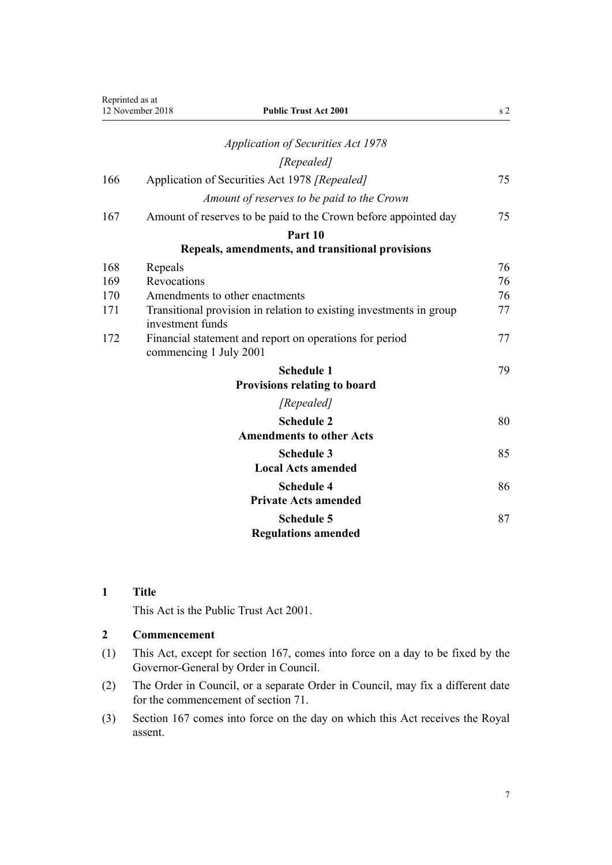<span id="page-6-0"></span>

| Reprinted as at | 12 November 2018<br><b>Public Trust Act 2001</b>                                        | s <sub>2</sub> |
|-----------------|-----------------------------------------------------------------------------------------|----------------|
|                 | <b>Application of Securities Act 1978</b>                                               |                |
|                 | [Repealed]                                                                              |                |
| 166             | Application of Securities Act 1978 [Repealed]                                           | 75             |
|                 | Amount of reserves to be paid to the Crown                                              |                |
| 167             | Amount of reserves to be paid to the Crown before appointed day                         | 75             |
|                 | Part 10                                                                                 |                |
|                 | Repeals, amendments, and transitional provisions                                        |                |
| 168             | Repeals                                                                                 | 76             |
| 169             | Revocations                                                                             | 76             |
| 170             | Amendments to other enactments                                                          | 76             |
| 171             | Transitional provision in relation to existing investments in group<br>investment funds | 77             |
| 172             | Financial statement and report on operations for period<br>commencing 1 July 2001       | 77             |
|                 | <b>Schedule 1</b>                                                                       | 79             |
|                 | <b>Provisions relating to board</b>                                                     |                |
|                 | [Repealed]                                                                              |                |
|                 | <b>Schedule 2</b>                                                                       | 80             |
|                 | <b>Amendments to other Acts</b>                                                         |                |
|                 | <b>Schedule 3</b>                                                                       | 85             |
|                 | <b>Local Acts amended</b>                                                               |                |
|                 | <b>Schedule 4</b>                                                                       | 86             |
|                 | <b>Private Acts amended</b>                                                             |                |
|                 | <b>Schedule 5</b>                                                                       | 87             |
|                 | <b>Regulations amended</b>                                                              |                |

## **1 Title**

This Act is the Public Trust Act 2001.

## **2 Commencement**

- (1) This Act, except for [section 167](#page-74-0), comes into force on a day to be fixed by the Governor-General by Order in Council.
- (2) The Order in Council, or a separate Order in Council, may fix a different date for the commencement of [section 71.](#page-30-0)
- (3) [Section 167](#page-74-0) comes into force on the day on which this Act receives the Royal assent.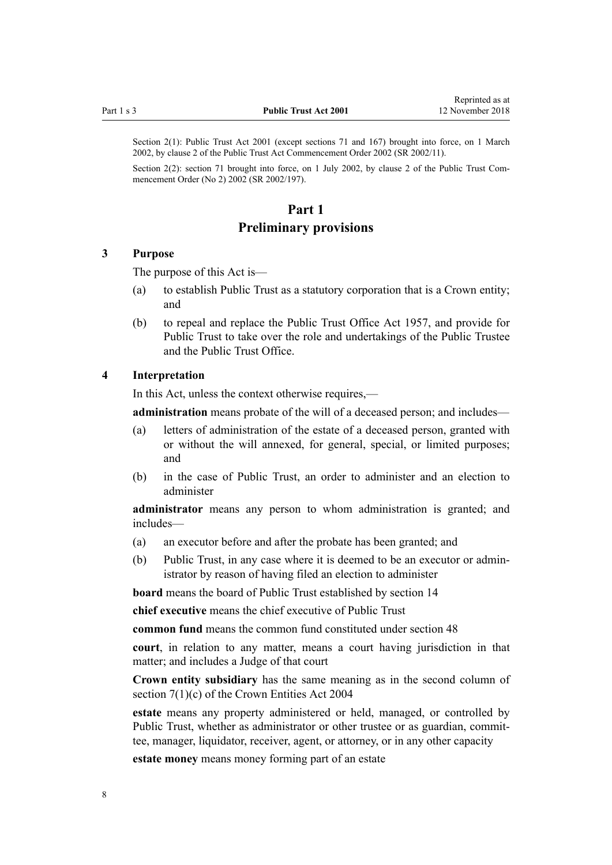<span id="page-7-0"></span>Section 2(1): Public Trust Act 2001 (except sections 71 and 167) brought into force, on 1 March 2002, by [clause 2](http://prd-lgnz-nlb.prd.pco.net.nz/pdflink.aspx?id=DLM109325) of the Public Trust Act Commencement Order 2002 (SR 2002/11).

Section 2(2): section 71 brought into force, on 1 July 2002, by [clause 2](http://prd-lgnz-nlb.prd.pco.net.nz/pdflink.aspx?id=DLM135710) of the Public Trust Commencement Order (No 2) 2002 (SR 2002/197).

## **Part 1 Preliminary provisions**

#### **3 Purpose**

The purpose of this Act is—

- (a) to establish Public Trust as a statutory corporation that is a Crown entity; and
- (b) to repeal and replace the Public Trust Office Act 1957, and provide for Public Trust to take over the role and undertakings of the Public Trustee and the Public Trust Office.

#### **4 Interpretation**

In this Act, unless the context otherwise requires,—

**administration** means probate of the will of a deceased person; and includes—

- (a) letters of administration of the estate of a deceased person, granted with or without the will annexed, for general, special, or limited purposes; and
- (b) in the case of Public Trust, an order to administer and an election to administer

**administrator** means any person to whom administration is granted; and includes—

- (a) an executor before and after the probate has been granted; and
- (b) Public Trust, in any case where it is deemed to be an executor or administrator by reason of having filed an election to administer

**board** means the board of Public Trust established by [section 14](#page-14-0)

**chief executive** means the chief executive of Public Trust

**common fund** means the common fund constituted under [section 48](#page-21-0)

**court**, in relation to any matter, means a court having jurisdiction in that matter; and includes a Judge of that court

**Crown entity subsidiary** has the same meaning as in the second column of [section 7\(1\)\(c\)](http://prd-lgnz-nlb.prd.pco.net.nz/pdflink.aspx?id=DLM329641) of the Crown Entities Act 2004

**estate** means any property administered or held, managed, or controlled by Public Trust, whether as administrator or other trustee or as guardian, committee, manager, liquidator, receiver, agent, or attorney, or in any other capacity

**estate money** means money forming part of an estate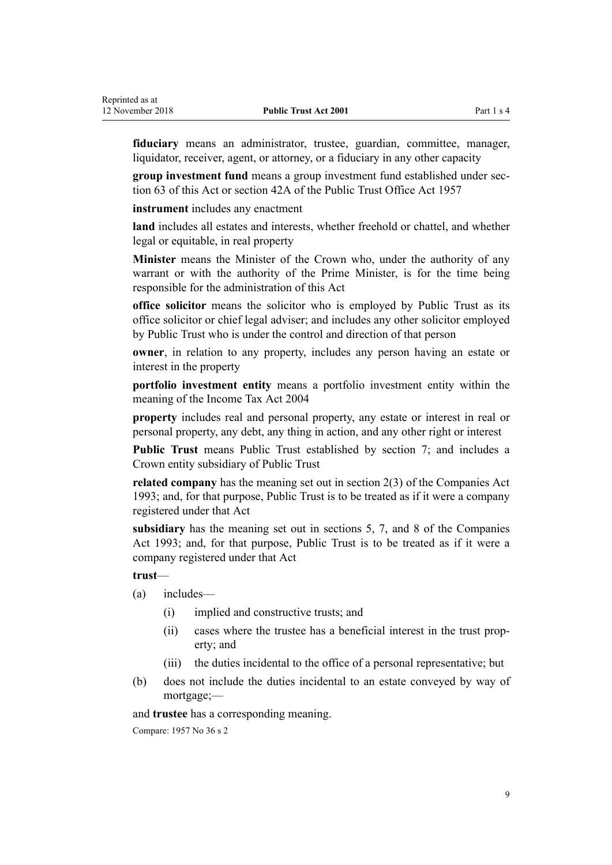**fiduciary** means an administrator, trustee, guardian, committee, manager, liquidator, receiver, agent, or attorney, or a fiduciary in any other capacity

**group investment fund** means a group investment fund established under [sec](#page-27-0)[tion 63](#page-27-0) of this Act or section 42A of the Public Trust Office Act 1957

**instrument** includes any enactment

**land** includes all estates and interests, whether freehold or chattel, and whether legal or equitable, in real property

**Minister** means the Minister of the Crown who, under the authority of any warrant or with the authority of the Prime Minister, is for the time being responsible for the administration of this Act

**office solicitor** means the solicitor who is employed by Public Trust as its office solicitor or chief legal adviser; and includes any other solicitor employed by Public Trust who is under the control and direction of that person

**owner**, in relation to any property, includes any person having an estate or interest in the property

**portfolio investment entity** means a portfolio investment entity within the meaning of the Income Tax Act 2004

**property** includes real and personal property, any estate or interest in real or personal property, any debt, any thing in action, and any other right or interest

**Public Trust** means Public Trust established by [section 7;](#page-11-0) and includes a Crown entity subsidiary of Public Trust

**related company** has the meaning set out in [section 2\(3\)](http://prd-lgnz-nlb.prd.pco.net.nz/pdflink.aspx?id=DLM319576) of the Companies Act 1993; and, for that purpose, Public Trust is to be treated as if it were a company registered under that Act

**subsidiary** has the meaning set out in [sections 5,](http://prd-lgnz-nlb.prd.pco.net.nz/pdflink.aspx?id=DLM319999) [7,](http://prd-lgnz-nlb.prd.pco.net.nz/pdflink.aspx?id=DLM320102) and [8](http://prd-lgnz-nlb.prd.pco.net.nz/pdflink.aspx?id=DLM320104) of the Companies Act 1993; and, for that purpose, Public Trust is to be treated as if it were a company registered under that Act

**trust**—

- (a) includes—
	- (i) implied and constructive trusts; and
	- (ii) cases where the trustee has a beneficial interest in the trust property; and
	- (iii) the duties incidental to the office of a personal representative; but
- (b) does not include the duties incidental to an estate conveyed by way of mortgage;—

and **trustee** has a corresponding meaning.

Compare: 1957 No 36 s 2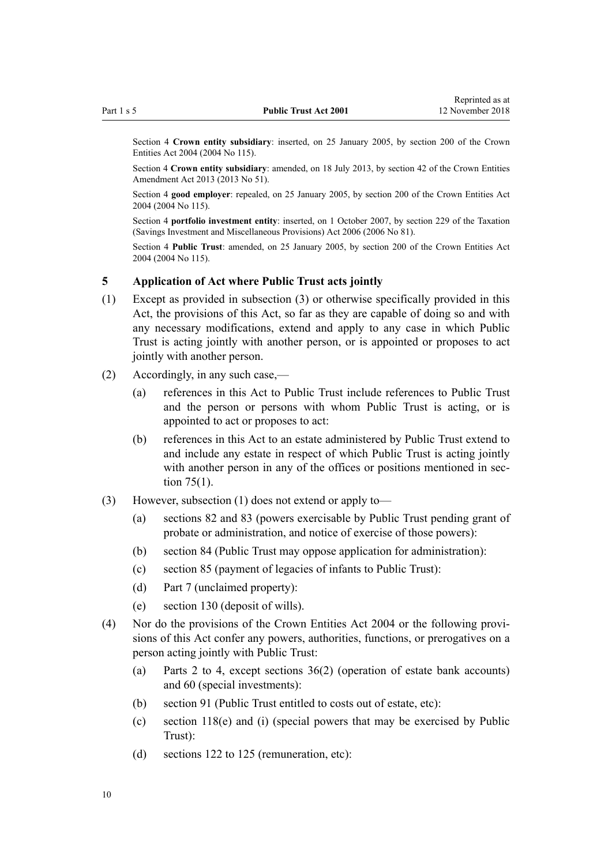<span id="page-9-0"></span>Section 4 **Crown entity subsidiary**: inserted, on 25 January 2005, by [section 200](http://prd-lgnz-nlb.prd.pco.net.nz/pdflink.aspx?id=DLM331111) of the Crown Entities Act 2004 (2004 No 115).

Section 4 **Crown entity subsidiary**: amended, on 18 July 2013, by [section 42](http://prd-lgnz-nlb.prd.pco.net.nz/pdflink.aspx?id=DLM5326977) of the Crown Entities Amendment Act 2013 (2013 No 51).

Section 4 **good employer**: repealed, on 25 January 2005, by [section 200](http://prd-lgnz-nlb.prd.pco.net.nz/pdflink.aspx?id=DLM331111) of the Crown Entities Act 2004 (2004 No 115).

Section 4 **portfolio investment entity**: inserted, on 1 October 2007, by [section 229](http://prd-lgnz-nlb.prd.pco.net.nz/pdflink.aspx?id=DLM401677) of the Taxation (Savings Investment and Miscellaneous Provisions) Act 2006 (2006 No 81).

Section 4 **Public Trust**: amended, on 25 January 2005, by [section 200](http://prd-lgnz-nlb.prd.pco.net.nz/pdflink.aspx?id=DLM331111) of the Crown Entities Act 2004 (2004 No 115).

#### **5 Application of Act where Public Trust acts jointly**

- (1) Except as provided in subsection (3) or otherwise specifically provided in this Act, the provisions of this Act, so far as they are capable of doing so and with any necessary modifications, extend and apply to any case in which Public Trust is acting jointly with another person, or is appointed or proposes to act jointly with another person.
- (2) Accordingly, in any such case,—
	- (a) references in this Act to Public Trust include references to Public Trust and the person or persons with whom Public Trust is acting, or is appointed to act or proposes to act:
	- (b) references in this Act to an estate administered by Public Trust extend to and include any estate in respect of which Public Trust is acting jointly with another person in any of the offices or positions mentioned in [sec](#page-32-0)[tion 75\(1\).](#page-32-0)
- (3) However, subsection (1) does not extend or apply to—
	- (a) [sections 82](#page-36-0) and [83](#page-37-0) (powers exercisable by Public Trust pending grant of probate or administration, and notice of exercise of those powers):
	- (b) [section 84](#page-38-0) (Public Trust may oppose application for administration):
	- (c) [section 85](#page-38-0) (payment of legacies of infants to Public Trust):
	- (d) [Part 7](#page-46-0) (unclaimed property):
	- (e) [section 130](#page-60-0) (deposit of wills).
- (4) Nor do the provisions of the [Crown Entities Act 2004](http://prd-lgnz-nlb.prd.pco.net.nz/pdflink.aspx?id=DLM329630) or the following provisions of this Act confer any powers, authorities, functions, or prerogatives on a person acting jointly with Public Trust:
	- (a) [Parts 2 to 4](#page-11-0), except [sections 36\(2\)](#page-17-0) (operation of estate bank accounts) and [60](#page-26-0) (special investments):
	- (b) [section 91](#page-42-0) (Public Trust entitled to costs out of estate, etc):
	- (c) [section 118\(e\) and \(i\)](#page-54-0) (special powers that may be exercised by Public Trust):
	- (d) [sections 122 to 125](#page-57-0) (remuneration, etc):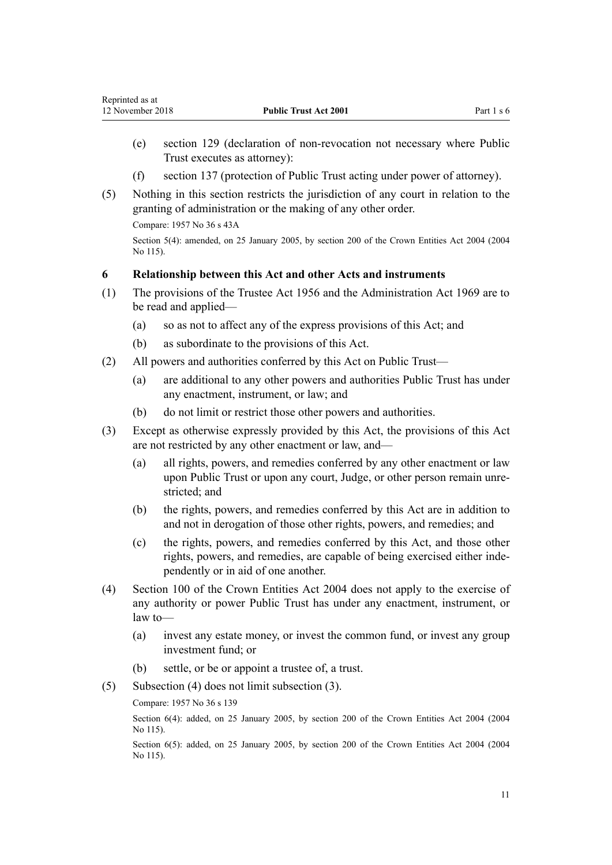- <span id="page-10-0"></span>(e) [section 129](#page-60-0) (declaration of non-revocation not necessary where Public Trust executes as attorney):
- (f) [section 137](#page-64-0) (protection of Public Trust acting under power of attorney).
- (5) Nothing in this section restricts the jurisdiction of any court in relation to the granting of administration or the making of any other order.

Compare: 1957 No 36 s 43A

Section 5(4): amended, on 25 January 2005, by [section 200](http://prd-lgnz-nlb.prd.pco.net.nz/pdflink.aspx?id=DLM331111) of the Crown Entities Act 2004 (2004 No 115).

#### **6 Relationship between this Act and other Acts and instruments**

- (1) The provisions of the [Trustee Act 1956](http://prd-lgnz-nlb.prd.pco.net.nz/pdflink.aspx?id=DLM304703) and the [Administration Act 1969](http://prd-lgnz-nlb.prd.pco.net.nz/pdflink.aspx?id=DLM392629) are to be read and applied—
	- (a) so as not to affect any of the express provisions of this Act; and
	- (b) as subordinate to the provisions of this Act.
- (2) All powers and authorities conferred by this Act on Public Trust—
	- (a) are additional to any other powers and authorities Public Trust has under any enactment, instrument, or law; and
	- (b) do not limit or restrict those other powers and authorities.
- (3) Except as otherwise expressly provided by this Act, the provisions of this Act are not restricted by any other enactment or law, and—
	- (a) all rights, powers, and remedies conferred by any other enactment or law upon Public Trust or upon any court, Judge, or other person remain unrestricted; and
	- (b) the rights, powers, and remedies conferred by this Act are in addition to and not in derogation of those other rights, powers, and remedies; and
	- (c) the rights, powers, and remedies conferred by this Act, and those other rights, powers, and remedies, are capable of being exercised either independently or in aid of one another.
- (4) [Section 100](http://prd-lgnz-nlb.prd.pco.net.nz/pdflink.aspx?id=DLM330345) of the Crown Entities Act 2004 does not apply to the exercise of any authority or power Public Trust has under any enactment, instrument, or law to—
	- (a) invest any estate money, or invest the common fund, or invest any group investment fund; or
	- (b) settle, or be or appoint a trustee of, a trust.
- (5) Subsection (4) does not limit subsection (3).

Compare: 1957 No 36 s 139

Section 6(4): added, on 25 January 2005, by [section 200](http://prd-lgnz-nlb.prd.pco.net.nz/pdflink.aspx?id=DLM331111) of the Crown Entities Act 2004 (2004 No 115).

Section 6(5): added, on 25 January 2005, by [section 200](http://prd-lgnz-nlb.prd.pco.net.nz/pdflink.aspx?id=DLM331111) of the Crown Entities Act 2004 (2004) No 115).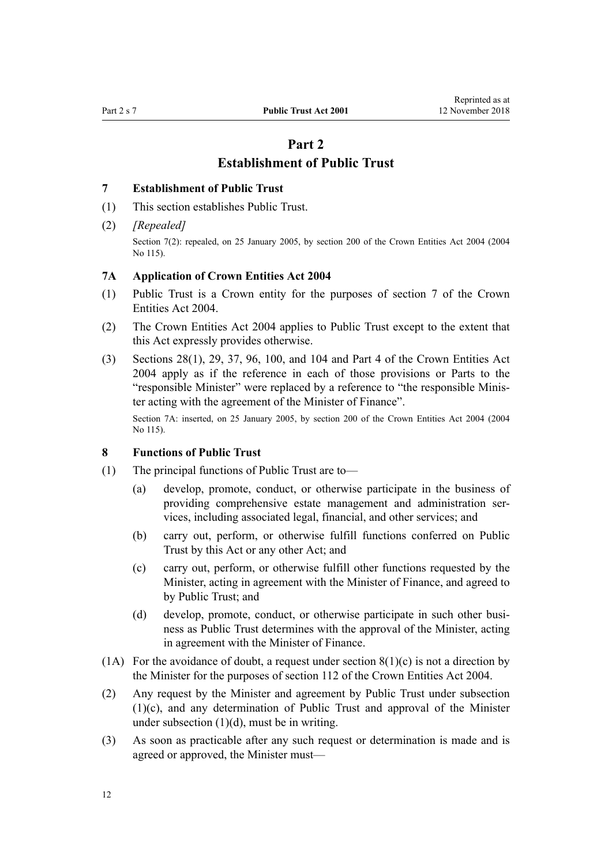## **Part 2 Establishment of Public Trust**

#### <span id="page-11-0"></span>**7 Establishment of Public Trust**

- (1) This section establishes Public Trust.
- (2) *[Repealed]*

Section 7(2): repealed, on 25 January 2005, by [section 200](http://prd-lgnz-nlb.prd.pco.net.nz/pdflink.aspx?id=DLM331111) of the Crown Entities Act 2004 (2004) No 115).

#### **7A Application of Crown Entities Act 2004**

- (1) Public Trust is a Crown entity for the purposes of [section 7](http://prd-lgnz-nlb.prd.pco.net.nz/pdflink.aspx?id=DLM329641) of the Crown Entities Act 2004.
- (2) The [Crown Entities Act 2004](http://prd-lgnz-nlb.prd.pco.net.nz/pdflink.aspx?id=DLM329630) applies to Public Trust except to the extent that this Act expressly provides otherwise.
- (3) [Sections 28\(1\),](http://prd-lgnz-nlb.prd.pco.net.nz/pdflink.aspx?id=DLM329954) [29,](http://prd-lgnz-nlb.prd.pco.net.nz/pdflink.aspx?id=DLM329955) [37,](http://prd-lgnz-nlb.prd.pco.net.nz/pdflink.aspx?id=DLM329964) [96,](http://prd-lgnz-nlb.prd.pco.net.nz/pdflink.aspx?id=DLM330341) [100,](http://prd-lgnz-nlb.prd.pco.net.nz/pdflink.aspx?id=DLM330345) and [104](http://prd-lgnz-nlb.prd.pco.net.nz/pdflink.aspx?id=DLM330352) and [Part 4](http://prd-lgnz-nlb.prd.pco.net.nz/pdflink.aspx?id=DLM330504) of the Crown Entities Act 2004 apply as if the reference in each of those provisions or Parts to the "responsible Minister" were replaced by a reference to "the responsible Minister acting with the agreement of the Minister of Finance".

Section 7A: inserted, on 25 January 2005, by [section 200](http://prd-lgnz-nlb.prd.pco.net.nz/pdflink.aspx?id=DLM331111) of the Crown Entities Act 2004 (2004 No 115).

## **8 Functions of Public Trust**

- (1) The principal functions of Public Trust are to—
	- (a) develop, promote, conduct, or otherwise participate in the business of providing comprehensive estate management and administration services, including associated legal, financial, and other services; and
	- (b) carry out, perform, or otherwise fulfill functions conferred on Public Trust by this Act or any other Act; and
	- (c) carry out, perform, or otherwise fulfill other functions requested by the Minister, acting in agreement with the Minister of Finance, and agreed to by Public Trust; and
	- (d) develop, promote, conduct, or otherwise participate in such other business as Public Trust determines with the approval of the Minister, acting in agreement with the Minister of Finance.
- (1A) For the avoidance of doubt, a request under section  $8(1)(c)$  is not a direction by the Minister for the purposes of [section 112](http://prd-lgnz-nlb.prd.pco.net.nz/pdflink.aspx?id=DLM330360) of the Crown Entities Act 2004.
- (2) Any request by the Minister and agreement by Public Trust under subsection (1)(c), and any determination of Public Trust and approval of the Minister under subsection  $(1)(d)$ , must be in writing.
- (3) As soon as practicable after any such request or determination is made and is agreed or approved, the Minister must—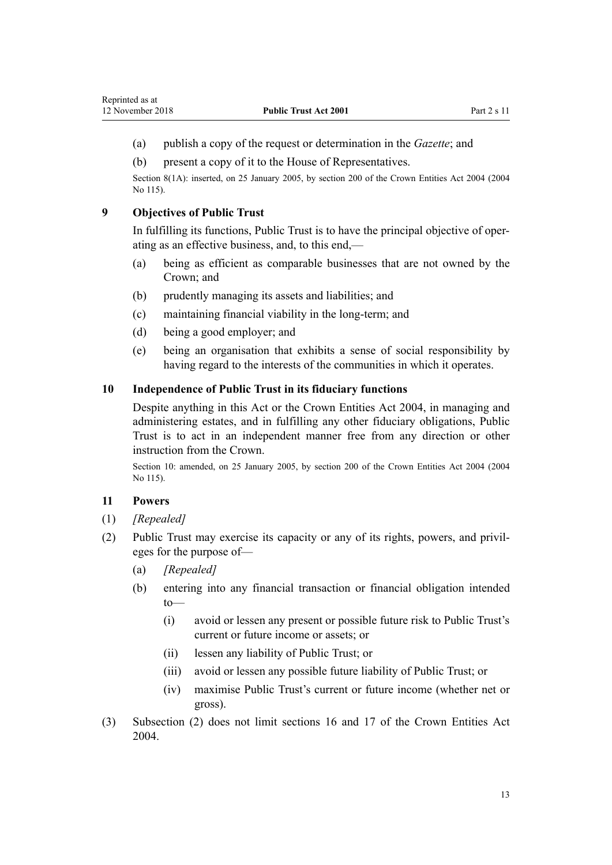- <span id="page-12-0"></span>(a) publish a copy of the request or determination in the *Gazette*; and
- (b) present a copy of it to the House of Representatives.

Section 8(1A): inserted, on 25 January 2005, by [section 200](http://prd-lgnz-nlb.prd.pco.net.nz/pdflink.aspx?id=DLM331111) of the Crown Entities Act 2004 (2004 No 115).

## **9 Objectives of Public Trust**

In fulfilling its functions, Public Trust is to have the principal objective of operating as an effective business, and, to this end,—

- (a) being as efficient as comparable businesses that are not owned by the Crown; and
- (b) prudently managing its assets and liabilities; and
- (c) maintaining financial viability in the long-term; and
- (d) being a good employer; and
- (e) being an organisation that exhibits a sense of social responsibility by having regard to the interests of the communities in which it operates.

#### **10 Independence of Public Trust in its fiduciary functions**

Despite anything in this Act or the [Crown Entities Act 2004,](http://prd-lgnz-nlb.prd.pco.net.nz/pdflink.aspx?id=DLM329630) in managing and administering estates, and in fulfilling any other fiduciary obligations, Public Trust is to act in an independent manner free from any direction or other instruction from the Crown.

Section 10: amended, on 25 January 2005, by [section 200](http://prd-lgnz-nlb.prd.pco.net.nz/pdflink.aspx?id=DLM331111) of the Crown Entities Act 2004 (2004 No 115).

## **11 Powers**

- (1) *[Repealed]*
- (2) Public Trust may exercise its capacity or any of its rights, powers, and privileges for the purpose of—
	- (a) *[Repealed]*
	- (b) entering into any financial transaction or financial obligation intended to—
		- (i) avoid or lessen any present or possible future risk to Public Trust's current or future income or assets; or
		- (ii) lessen any liability of Public Trust; or
		- (iii) avoid or lessen any possible future liability of Public Trust; or
		- (iv) maximise Public Trust's current or future income (whether net or gross).
- (3) Subsection (2) does not limit [sections 16](http://prd-lgnz-nlb.prd.pco.net.nz/pdflink.aspx?id=DLM329930) and [17](http://prd-lgnz-nlb.prd.pco.net.nz/pdflink.aspx?id=DLM329931) of the Crown Entities Act 2004.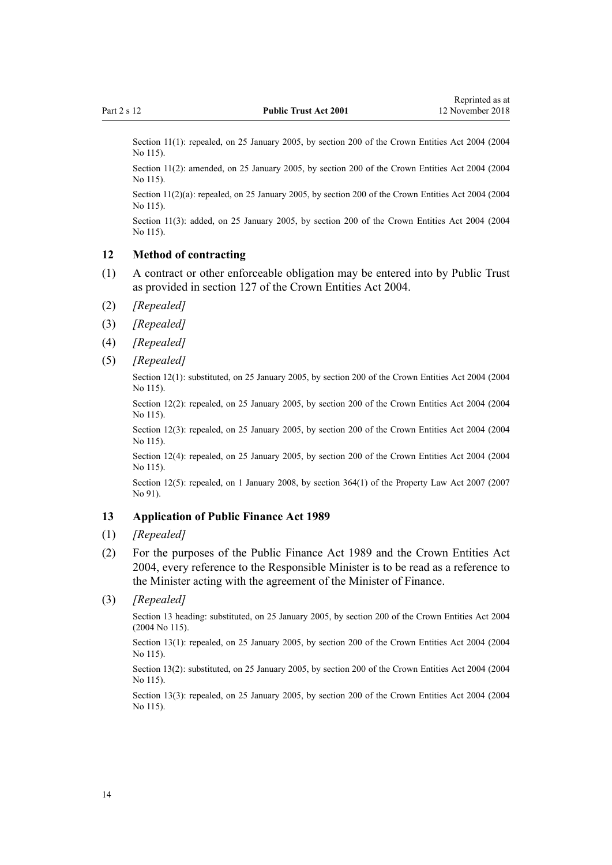<span id="page-13-0"></span>Section 11(1): repealed, on 25 January 2005, by [section 200](http://prd-lgnz-nlb.prd.pco.net.nz/pdflink.aspx?id=DLM331111) of the Crown Entities Act 2004 (2004) No 115).

Section 11(2): amended, on 25 January 2005, by [section 200](http://prd-lgnz-nlb.prd.pco.net.nz/pdflink.aspx?id=DLM331111) of the Crown Entities Act 2004 (2004) No 115).

Section 11(2)(a): repealed, on 25 January 2005, by [section 200](http://prd-lgnz-nlb.prd.pco.net.nz/pdflink.aspx?id=DLM331111) of the Crown Entities Act 2004 (2004 No 115).

Section 11(3): added, on 25 January 2005, by [section 200](http://prd-lgnz-nlb.prd.pco.net.nz/pdflink.aspx?id=DLM331111) of the Crown Entities Act 2004 (2004) No 115).

#### **12 Method of contracting**

- (1) A contract or other enforceable obligation may be entered into by Public Trust as provided in [section 127](http://prd-lgnz-nlb.prd.pco.net.nz/pdflink.aspx?id=DLM330394) of the Crown Entities Act 2004.
- (2) *[Repealed]*
- (3) *[Repealed]*
- (4) *[Repealed]*
- (5) *[Repealed]*

Section 12(1): substituted, on 25 January 2005, by [section 200](http://prd-lgnz-nlb.prd.pco.net.nz/pdflink.aspx?id=DLM331111) of the Crown Entities Act 2004 (2004 No 115).

Section 12(2): repealed, on 25 January 2005, by [section 200](http://prd-lgnz-nlb.prd.pco.net.nz/pdflink.aspx?id=DLM331111) of the Crown Entities Act 2004 (2004) No 115).

Section 12(3): repealed, on 25 January 2005, by [section 200](http://prd-lgnz-nlb.prd.pco.net.nz/pdflink.aspx?id=DLM331111) of the Crown Entities Act 2004 (2004) No 115).

Section 12(4): repealed, on 25 January 2005, by [section 200](http://prd-lgnz-nlb.prd.pco.net.nz/pdflink.aspx?id=DLM331111) of the Crown Entities Act 2004 (2004 No 115).

Section 12(5): repealed, on 1 January 2008, by [section 364\(1\)](http://prd-lgnz-nlb.prd.pco.net.nz/pdflink.aspx?id=DLM969644) of the Property Law Act 2007 (2007) No 91).

#### **13 Application of Public Finance Act 1989**

- (1) *[Repealed]*
- (2) For the purposes of the [Public Finance Act 1989](http://prd-lgnz-nlb.prd.pco.net.nz/pdflink.aspx?id=DLM160808) and the [Crown Entities Act](http://prd-lgnz-nlb.prd.pco.net.nz/pdflink.aspx?id=DLM329630) [2004](http://prd-lgnz-nlb.prd.pco.net.nz/pdflink.aspx?id=DLM329630), every reference to the Responsible Minister is to be read as a reference to the Minister acting with the agreement of the Minister of Finance.
- (3) *[Repealed]*

Section 13 heading: substituted, on 25 January 2005, by [section 200](http://prd-lgnz-nlb.prd.pco.net.nz/pdflink.aspx?id=DLM331111) of the Crown Entities Act 2004 (2004 No 115).

Section 13(1): repealed, on 25 January 2005, by [section 200](http://prd-lgnz-nlb.prd.pco.net.nz/pdflink.aspx?id=DLM331111) of the Crown Entities Act 2004 (2004) No 115).

Section 13(2): substituted, on 25 January 2005, by [section 200](http://prd-lgnz-nlb.prd.pco.net.nz/pdflink.aspx?id=DLM331111) of the Crown Entities Act 2004 (2004 No 115).

Section 13(3): repealed, on 25 January 2005, by [section 200](http://prd-lgnz-nlb.prd.pco.net.nz/pdflink.aspx?id=DLM331111) of the Crown Entities Act 2004 (2004 No 115).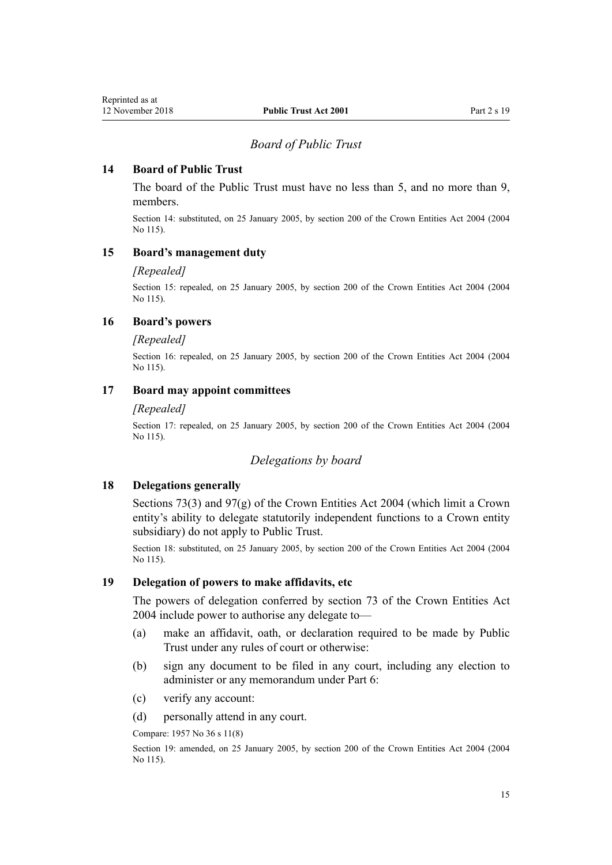#### *Board of Public Trust*

### <span id="page-14-0"></span>**14 Board of Public Trust**

The board of the Public Trust must have no less than 5, and no more than 9, members.

Section 14: substituted, on 25 January 2005, by [section 200](http://prd-lgnz-nlb.prd.pco.net.nz/pdflink.aspx?id=DLM331111) of the Crown Entities Act 2004 (2004 No 115).

### **15 Board's management duty**

#### *[Repealed]*

Section 15: repealed, on 25 January 2005, by [section 200](http://prd-lgnz-nlb.prd.pco.net.nz/pdflink.aspx?id=DLM331111) of the Crown Entities Act 2004 (2004 No 115).

#### **16 Board's powers**

#### *[Repealed]*

Section 16: repealed, on 25 January 2005, by [section 200](http://prd-lgnz-nlb.prd.pco.net.nz/pdflink.aspx?id=DLM331111) of the Crown Entities Act 2004 (2004 No 115).

#### **17 Board may appoint committees**

#### *[Repealed]*

Section 17: repealed, on 25 January 2005, by [section 200](http://prd-lgnz-nlb.prd.pco.net.nz/pdflink.aspx?id=DLM331111) of the Crown Entities Act 2004 (2004 No 115).

#### *Delegations by board*

#### **18 Delegations generally**

[Sections 73\(3\)](http://prd-lgnz-nlb.prd.pco.net.nz/pdflink.aspx?id=DLM330308) and [97\(g\)](http://prd-lgnz-nlb.prd.pco.net.nz/pdflink.aspx?id=DLM330342) of the Crown Entities Act 2004 (which limit a Crown entity's ability to delegate statutorily independent functions to a Crown entity subsidiary) do not apply to Public Trust.

Section 18: substituted, on 25 January 2005, by [section 200](http://prd-lgnz-nlb.prd.pco.net.nz/pdflink.aspx?id=DLM331111) of the Crown Entities Act 2004 (2004 No 115).

#### **19 Delegation of powers to make affidavits, etc**

The powers of delegation conferred by [section 73](http://prd-lgnz-nlb.prd.pco.net.nz/pdflink.aspx?id=DLM330308) of the Crown Entities Act 2004 include power to authorise any delegate to—

- (a) make an affidavit, oath, or declaration required to be made by Public Trust under any rules of court or otherwise:
- (b) sign any document to be filed in any court, including any election to administer or any memorandum under [Part 6:](#page-43-0)
- (c) verify any account:
- (d) personally attend in any court.

Compare: 1957 No 36 s 11(8)

Section 19: amended, on 25 January 2005, by [section 200](http://prd-lgnz-nlb.prd.pco.net.nz/pdflink.aspx?id=DLM331111) of the Crown Entities Act 2004 (2004 No 115).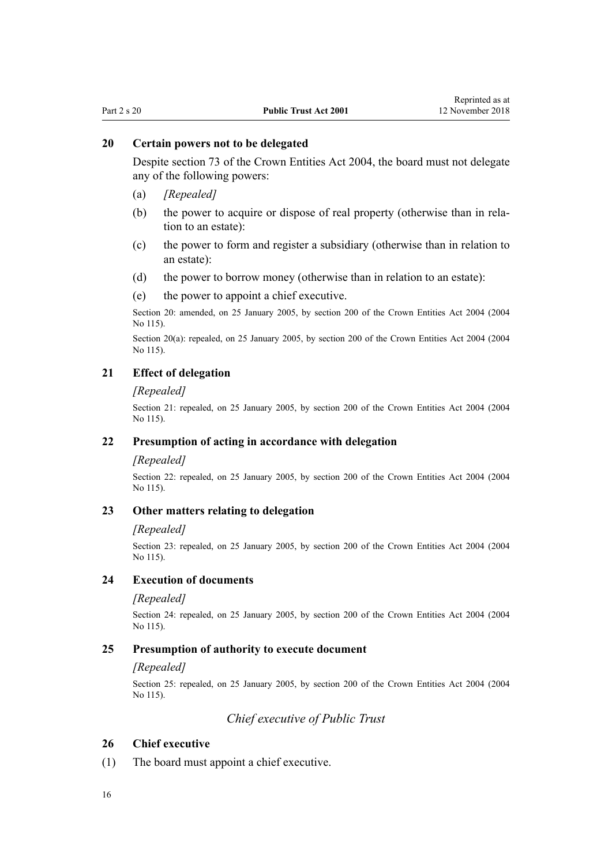## <span id="page-15-0"></span>**20 Certain powers not to be delegated**

Despite [section 73](http://prd-lgnz-nlb.prd.pco.net.nz/pdflink.aspx?id=DLM330308) of the Crown Entities Act 2004, the board must not delegate any of the following powers:

- (a) *[Repealed]*
- (b) the power to acquire or dispose of real property (otherwise than in relation to an estate):
- (c) the power to form and register a subsidiary (otherwise than in relation to an estate):
- (d) the power to borrow money (otherwise than in relation to an estate):
- (e) the power to appoint a chief executive.

Section 20: amended, on 25 January 2005, by [section 200](http://prd-lgnz-nlb.prd.pco.net.nz/pdflink.aspx?id=DLM331111) of the Crown Entities Act 2004 (2004 No 115).

Section 20(a): repealed, on 25 January 2005, by [section 200](http://prd-lgnz-nlb.prd.pco.net.nz/pdflink.aspx?id=DLM331111) of the Crown Entities Act 2004 (2004 No 115).

## **21 Effect of delegation**

#### *[Repealed]*

Section 21: repealed, on 25 January 2005, by [section 200](http://prd-lgnz-nlb.prd.pco.net.nz/pdflink.aspx?id=DLM331111) of the Crown Entities Act 2004 (2004 No 115).

#### **22 Presumption of acting in accordance with delegation**

#### *[Repealed]*

Section 22: repealed, on 25 January 2005, by [section 200](http://prd-lgnz-nlb.prd.pco.net.nz/pdflink.aspx?id=DLM331111) of the Crown Entities Act 2004 (2004 No 115).

## **23 Other matters relating to delegation**

#### *[Repealed]*

Section 23: repealed, on 25 January 2005, by [section 200](http://prd-lgnz-nlb.prd.pco.net.nz/pdflink.aspx?id=DLM331111) of the Crown Entities Act 2004 (2004 No 115).

#### **24 Execution of documents**

#### *[Repealed]*

Section 24: repealed, on 25 January 2005, by [section 200](http://prd-lgnz-nlb.prd.pco.net.nz/pdflink.aspx?id=DLM331111) of the Crown Entities Act 2004 (2004) No 115).

#### **25 Presumption of authority to execute document**

#### *[Repealed]*

Section 25: repealed, on 25 January 2005, by [section 200](http://prd-lgnz-nlb.prd.pco.net.nz/pdflink.aspx?id=DLM331111) of the Crown Entities Act 2004 (2004 No 115).

*Chief executive of Public Trust*

#### **26 Chief executive**

(1) The board must appoint a chief executive.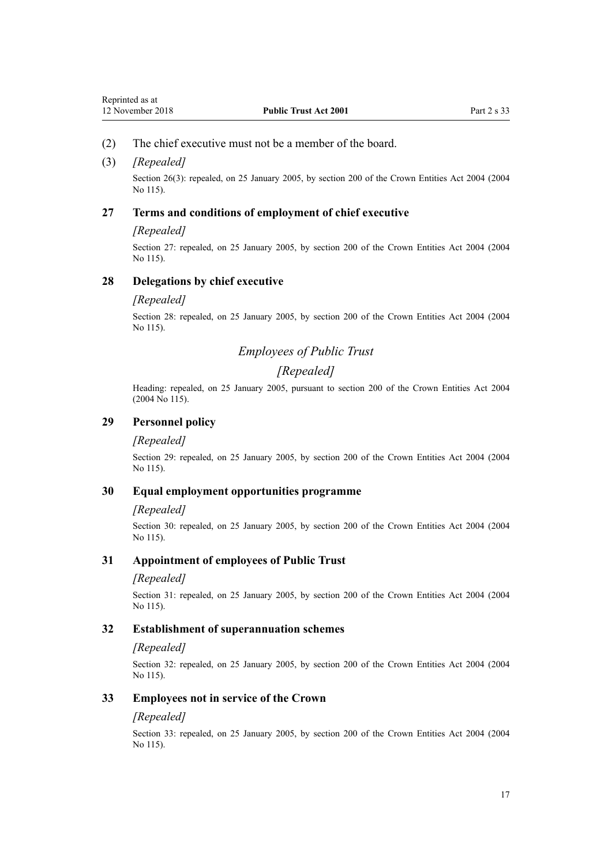#### <span id="page-16-0"></span>(2) The chief executive must not be a member of the board.

#### (3) *[Repealed]*

Section 26(3): repealed, on 25 January 2005, by [section 200](http://prd-lgnz-nlb.prd.pco.net.nz/pdflink.aspx?id=DLM331111) of the Crown Entities Act 2004 (2004) No 115).

#### **27 Terms and conditions of employment of chief executive**

#### *[Repealed]*

Section 27: repealed, on 25 January 2005, by [section 200](http://prd-lgnz-nlb.prd.pco.net.nz/pdflink.aspx?id=DLM331111) of the Crown Entities Act 2004 (2004) No 115).

#### **28 Delegations by chief executive**

#### *[Repealed]*

Section 28: repealed, on 25 January 2005, by [section 200](http://prd-lgnz-nlb.prd.pco.net.nz/pdflink.aspx?id=DLM331111) of the Crown Entities Act 2004 (2004 No 115).

## *Employees of Public Trust*

## *[Repealed]*

Heading: repealed, on 25 January 2005, pursuant to [section 200](http://prd-lgnz-nlb.prd.pco.net.nz/pdflink.aspx?id=DLM331111) of the Crown Entities Act 2004 (2004 No 115).

## **29 Personnel policy**

#### *[Repealed]*

Section 29: repealed, on 25 January 2005, by [section 200](http://prd-lgnz-nlb.prd.pco.net.nz/pdflink.aspx?id=DLM331111) of the Crown Entities Act 2004 (2004 No 115).

#### **30 Equal employment opportunities programme**

#### *[Repealed]*

Section 30: repealed, on 25 January 2005, by [section 200](http://prd-lgnz-nlb.prd.pco.net.nz/pdflink.aspx?id=DLM331111) of the Crown Entities Act 2004 (2004 No 115).

#### **31 Appointment of employees of Public Trust**

#### *[Repealed]*

Section 31: repealed, on 25 January 2005, by [section 200](http://prd-lgnz-nlb.prd.pco.net.nz/pdflink.aspx?id=DLM331111) of the Crown Entities Act 2004 (2004 No 115).

#### **32 Establishment of superannuation schemes**

#### *[Repealed]*

Section 32: repealed, on 25 January 2005, by [section 200](http://prd-lgnz-nlb.prd.pco.net.nz/pdflink.aspx?id=DLM331111) of the Crown Entities Act 2004 (2004 No 115).

#### **33 Employees not in service of the Crown**

#### *[Repealed]*

Section 33: repealed, on 25 January 2005, by [section 200](http://prd-lgnz-nlb.prd.pco.net.nz/pdflink.aspx?id=DLM331111) of the Crown Entities Act 2004 (2004 No 115).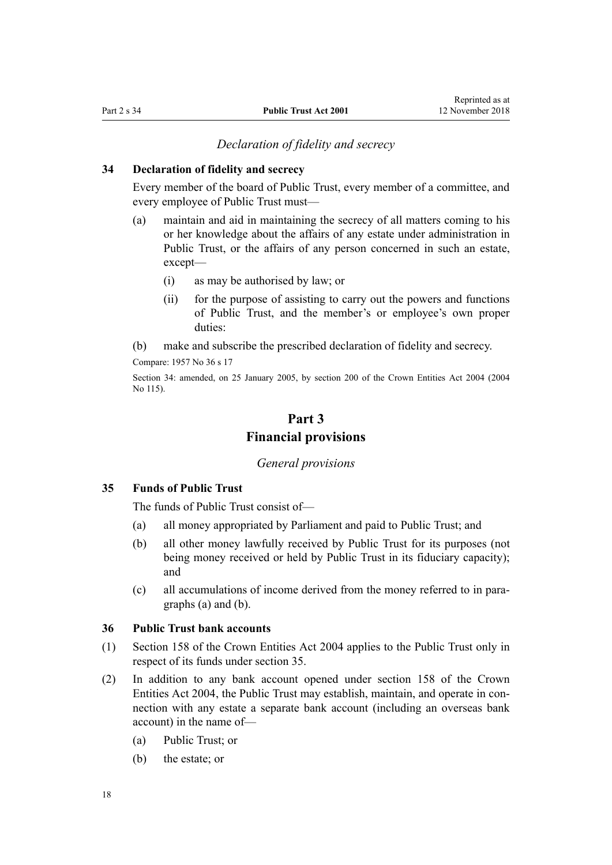#### *Declaration of fidelity and secrecy*

## <span id="page-17-0"></span>**34 Declaration of fidelity and secrecy**

Every member of the board of Public Trust, every member of a committee, and every employee of Public Trust must—

- (a) maintain and aid in maintaining the secrecy of all matters coming to his or her knowledge about the affairs of any estate under administration in Public Trust, or the affairs of any person concerned in such an estate, except—
	- (i) as may be authorised by law; or
	- (ii) for the purpose of assisting to carry out the powers and functions of Public Trust, and the member's or employee's own proper duties:
- (b) make and subscribe the prescribed declaration of fidelity and secrecy.

Compare: 1957 No 36 s 17

Section 34: amended, on 25 January 2005, by [section 200](http://prd-lgnz-nlb.prd.pco.net.nz/pdflink.aspx?id=DLM331111) of the Crown Entities Act 2004 (2004 No 115).

## **Part 3 Financial provisions**

#### *General provisions*

### **35 Funds of Public Trust**

The funds of Public Trust consist of—

- (a) all money appropriated by Parliament and paid to Public Trust; and
- (b) all other money lawfully received by Public Trust for its purposes (not being money received or held by Public Trust in its fiduciary capacity); and
- (c) all accumulations of income derived from the money referred to in paragraphs (a) and (b).

### **36 Public Trust bank accounts**

- (1) [Section 158](http://prd-lgnz-nlb.prd.pco.net.nz/pdflink.aspx?id=DLM330562) of the Crown Entities Act 2004 applies to the Public Trust only in respect of its funds under section 35.
- (2) In addition to any bank account opened under [section 158](http://prd-lgnz-nlb.prd.pco.net.nz/pdflink.aspx?id=DLM330562) of the Crown Entities Act 2004, the Public Trust may establish, maintain, and operate in connection with any estate a separate bank account (including an overseas bank account) in the name of—
	- (a) Public Trust; or
	- (b) the estate; or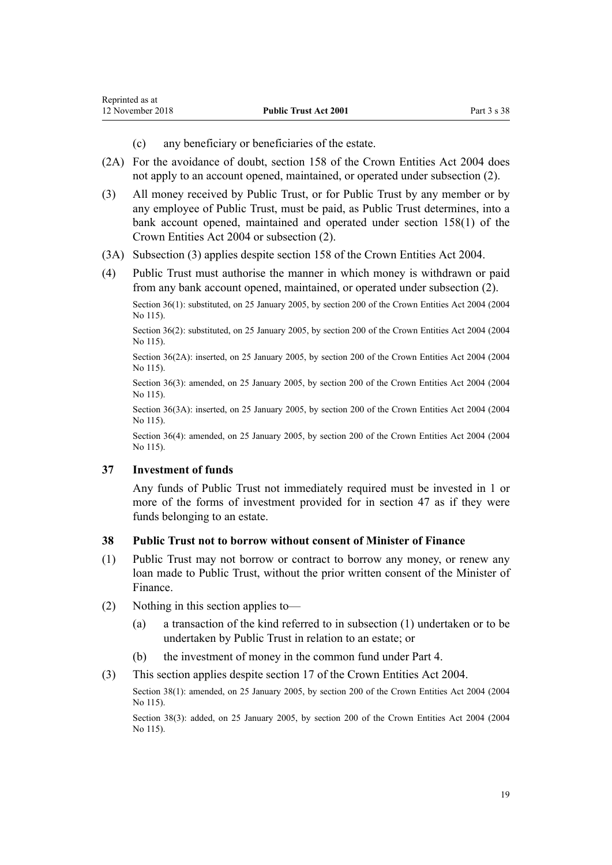- (c) any beneficiary or beneficiaries of the estate.
- <span id="page-18-0"></span>(2A) For the avoidance of doubt, [section 158](http://prd-lgnz-nlb.prd.pco.net.nz/pdflink.aspx?id=DLM330562) of the Crown Entities Act 2004 does not apply to an account opened, maintained, or operated under subsection (2).
- (3) All money received by Public Trust, or for Public Trust by any member or by any employee of Public Trust, must be paid, as Public Trust determines, into a bank account opened, maintained and operated under [section 158\(1\)](http://prd-lgnz-nlb.prd.pco.net.nz/pdflink.aspx?id=DLM330562) of the Crown Entities Act 2004 or subsection (2).
- (3A) Subsection (3) applies despite [section 158](http://prd-lgnz-nlb.prd.pco.net.nz/pdflink.aspx?id=DLM330562) of the Crown Entities Act 2004.
- (4) Public Trust must authorise the manner in which money is withdrawn or paid from any bank account opened, maintained, or operated under subsection (2).

Section 36(1): substituted, on 25 January 2005, by [section 200](http://prd-lgnz-nlb.prd.pco.net.nz/pdflink.aspx?id=DLM331111) of the Crown Entities Act 2004 (2004) No 115).

Section 36(2): substituted, on 25 January 2005, by [section 200](http://prd-lgnz-nlb.prd.pco.net.nz/pdflink.aspx?id=DLM331111) of the Crown Entities Act 2004 (2004) No 115).

Section 36(2A): inserted, on 25 January 2005, by [section 200](http://prd-lgnz-nlb.prd.pco.net.nz/pdflink.aspx?id=DLM331111) of the Crown Entities Act 2004 (2004 No 115).

Section 36(3): amended, on 25 January 2005, by [section 200](http://prd-lgnz-nlb.prd.pco.net.nz/pdflink.aspx?id=DLM331111) of the Crown Entities Act 2004 (2004 No 115).

Section 36(3A): inserted, on 25 January 2005, by [section 200](http://prd-lgnz-nlb.prd.pco.net.nz/pdflink.aspx?id=DLM331111) of the Crown Entities Act 2004 (2004 No 115).

Section 36(4): amended, on 25 January 2005, by [section 200](http://prd-lgnz-nlb.prd.pco.net.nz/pdflink.aspx?id=DLM331111) of the Crown Entities Act 2004 (2004 No 115).

#### **37 Investment of funds**

Any funds of Public Trust not immediately required must be invested in 1 or more of the forms of investment provided for in [section 47](#page-20-0) as if they were funds belonging to an estate.

#### **38 Public Trust not to borrow without consent of Minister of Finance**

- (1) Public Trust may not borrow or contract to borrow any money, or renew any loan made to Public Trust, without the prior written consent of the Minister of Finance.
- (2) Nothing in this section applies to—
	- (a) a transaction of the kind referred to in subsection (1) undertaken or to be undertaken by Public Trust in relation to an estate; or
	- (b) the investment of money in the common fund under [Part 4](#page-20-0).
- (3) This section applies despite [section 17](http://prd-lgnz-nlb.prd.pco.net.nz/pdflink.aspx?id=DLM329931) of the Crown Entities Act 2004.

Section 38(1): amended, on 25 January 2005, by [section 200](http://prd-lgnz-nlb.prd.pco.net.nz/pdflink.aspx?id=DLM331111) of the Crown Entities Act 2004 (2004) No 115).

Section 38(3): added, on 25 January 2005, by [section 200](http://prd-lgnz-nlb.prd.pco.net.nz/pdflink.aspx?id=DLM331111) of the Crown Entities Act 2004 (2004) No 115).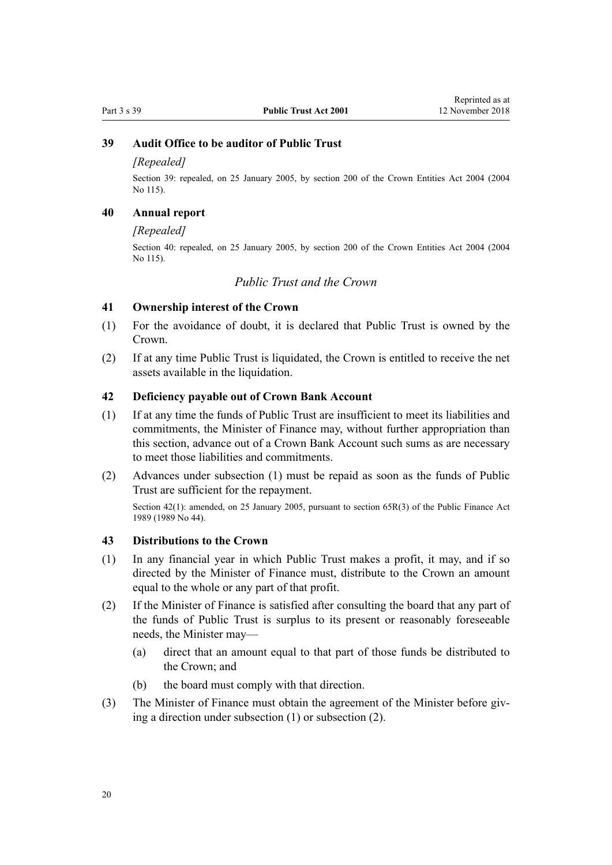## <span id="page-19-0"></span>**39 Audit Office to be auditor of Public Trust**

#### *[Repealed]*

Section 39: repealed, on 25 January 2005, by [section 200](http://prd-lgnz-nlb.prd.pco.net.nz/pdflink.aspx?id=DLM331111) of the Crown Entities Act 2004 (2004 No 115).

## **40 Annual report**

#### *[Repealed]*

Section 40: repealed, on 25 January 2005, by [section 200](http://prd-lgnz-nlb.prd.pco.net.nz/pdflink.aspx?id=DLM331111) of the Crown Entities Act 2004 (2004 No 115).

## *Public Trust and the Crown*

#### **41 Ownership interest of the Crown**

- (1) For the avoidance of doubt, it is declared that Public Trust is owned by the Crown.
- (2) If at any time Public Trust is liquidated, the Crown is entitled to receive the net assets available in the liquidation.

#### **42 Deficiency payable out of Crown Bank Account**

- (1) If at any time the funds of Public Trust are insufficient to meet its liabilities and commitments, the Minister of Finance may, without further appropriation than this section, advance out of a Crown Bank Account such sums as are necessary to meet those liabilities and commitments.
- (2) Advances under subsection (1) must be repaid as soon as the funds of Public Trust are sufficient for the repayment.

Section 42(1): amended, on 25 January 2005, pursuant to [section 65R\(3\)](http://prd-lgnz-nlb.prd.pco.net.nz/pdflink.aspx?id=DLM162942) of the Public Finance Act 1989 (1989 No 44).

#### **43 Distributions to the Crown**

- (1) In any financial year in which Public Trust makes a profit, it may, and if so directed by the Minister of Finance must, distribute to the Crown an amount equal to the whole or any part of that profit.
- (2) If the Minister of Finance is satisfied after consulting the board that any part of the funds of Public Trust is surplus to its present or reasonably foreseeable needs, the Minister may—
	- (a) direct that an amount equal to that part of those funds be distributed to the Crown; and
	- (b) the board must comply with that direction.
- (3) The Minister of Finance must obtain the agreement of the Minister before giving a direction under subsection (1) or subsection (2).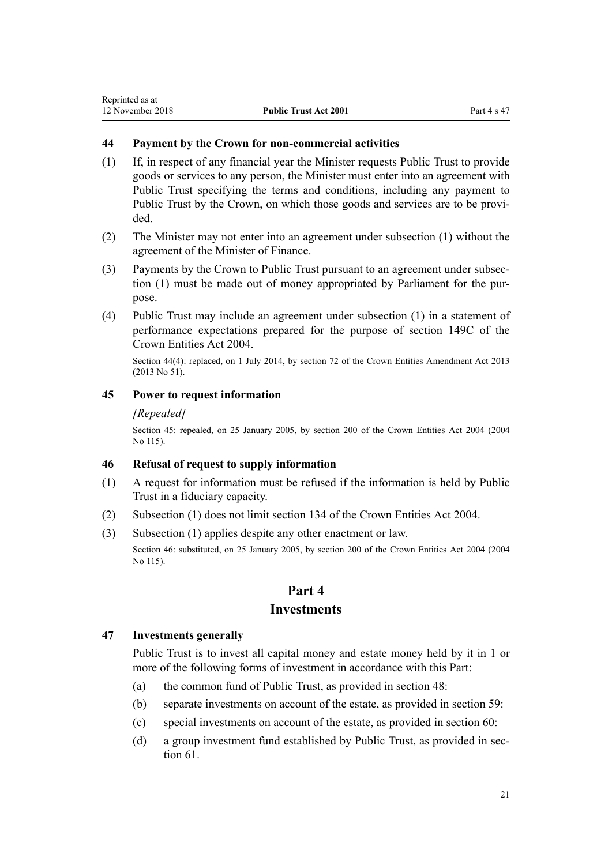## <span id="page-20-0"></span>**44 Payment by the Crown for non-commercial activities**

- (1) If, in respect of any financial year the Minister requests Public Trust to provide goods or services to any person, the Minister must enter into an agreement with Public Trust specifying the terms and conditions, including any payment to Public Trust by the Crown, on which those goods and services are to be provided.
- (2) The Minister may not enter into an agreement under subsection (1) without the agreement of the Minister of Finance.
- (3) Payments by the Crown to Public Trust pursuant to an agreement under subsection (1) must be made out of money appropriated by Parliament for the purpose.
- (4) Public Trust may include an agreement under subsection (1) in a statement of performance expectations prepared for the purpose of [section 149C](http://prd-lgnz-nlb.prd.pco.net.nz/pdflink.aspx?id=DLM6176675) of the Crown Entities Act 2004.

Section 44(4): replaced, on 1 July 2014, by [section 72](http://prd-lgnz-nlb.prd.pco.net.nz/pdflink.aspx?id=DLM5327162) of the Crown Entities Amendment Act 2013 (2013 No 51).

### **45 Power to request information**

#### *[Repealed]*

Section 45: repealed, on 25 January 2005, by [section 200](http://prd-lgnz-nlb.prd.pco.net.nz/pdflink.aspx?id=DLM331111) of the Crown Entities Act 2004 (2004 No 115).

#### **46 Refusal of request to supply information**

- (1) A request for information must be refused if the information is held by Public Trust in a fiduciary capacity.
- (2) Subsection (1) does not limit [section 134](http://prd-lgnz-nlb.prd.pco.net.nz/pdflink.aspx?id=DLM330502) of the Crown Entities Act 2004.
- (3) Subsection (1) applies despite any other enactment or law.

Section 46: substituted, on 25 January 2005, by [section 200](http://prd-lgnz-nlb.prd.pco.net.nz/pdflink.aspx?id=DLM331111) of the Crown Entities Act 2004 (2004 No 115).

## **Part 4 Investments**

#### **47 Investments generally**

Public Trust is to invest all capital money and estate money held by it in 1 or more of the following forms of investment in accordance with this Part:

- (a) the common fund of Public Trust, as provided in [section 48:](#page-21-0)
- (b) separate investments on account of the estate, as provided in [section 59:](#page-25-0)
- (c) special investments on account of the estate, as provided in [section 60](#page-26-0):
- (d) a group investment fund established by Public Trust, as provided in [sec](#page-26-0)[tion 61](#page-26-0).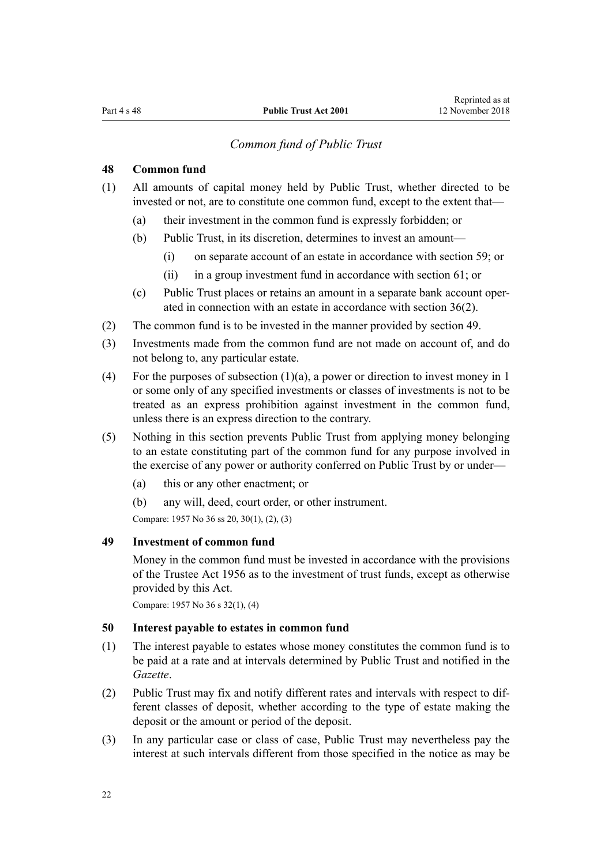## *Common fund of Public Trust*

## <span id="page-21-0"></span>**48 Common fund**

- (1) All amounts of capital money held by Public Trust, whether directed to be invested or not, are to constitute one common fund, except to the extent that—
	- (a) their investment in the common fund is expressly forbidden; or
	- (b) Public Trust, in its discretion, determines to invest an amount—
		- (i) on separate account of an estate in accordance with [section 59;](#page-25-0) or
		- (ii) in a group investment fund in accordance with [section 61;](#page-26-0) or
	- (c) Public Trust places or retains an amount in a separate bank account operated in connection with an estate in accordance with [section 36\(2\).](#page-17-0)
- (2) The common fund is to be invested in the manner provided by section 49.
- (3) Investments made from the common fund are not made on account of, and do not belong to, any particular estate.
- (4) For the purposes of subsection (1)(a), a power or direction to invest money in 1 or some only of any specified investments or classes of investments is not to be treated as an express prohibition against investment in the common fund, unless there is an express direction to the contrary.
- (5) Nothing in this section prevents Public Trust from applying money belonging to an estate constituting part of the common fund for any purpose involved in the exercise of any power or authority conferred on Public Trust by or under—
	- (a) this or any other enactment; or
	- (b) any will, deed, court order, or other instrument.

Compare: 1957 No 36 ss 20, 30(1), (2), (3)

#### **49 Investment of common fund**

Money in the common fund must be invested in accordance with the provisions of the [Trustee Act 1956](http://prd-lgnz-nlb.prd.pco.net.nz/pdflink.aspx?id=DLM304703) as to the investment of trust funds, except as otherwise provided by this Act.

Compare: 1957 No 36 s 32(1), (4)

### **50 Interest payable to estates in common fund**

- (1) The interest payable to estates whose money constitutes the common fund is to be paid at a rate and at intervals determined by Public Trust and notified in the *Gazette*.
- (2) Public Trust may fix and notify different rates and intervals with respect to different classes of deposit, whether according to the type of estate making the deposit or the amount or period of the deposit.
- (3) In any particular case or class of case, Public Trust may nevertheless pay the interest at such intervals different from those specified in the notice as may be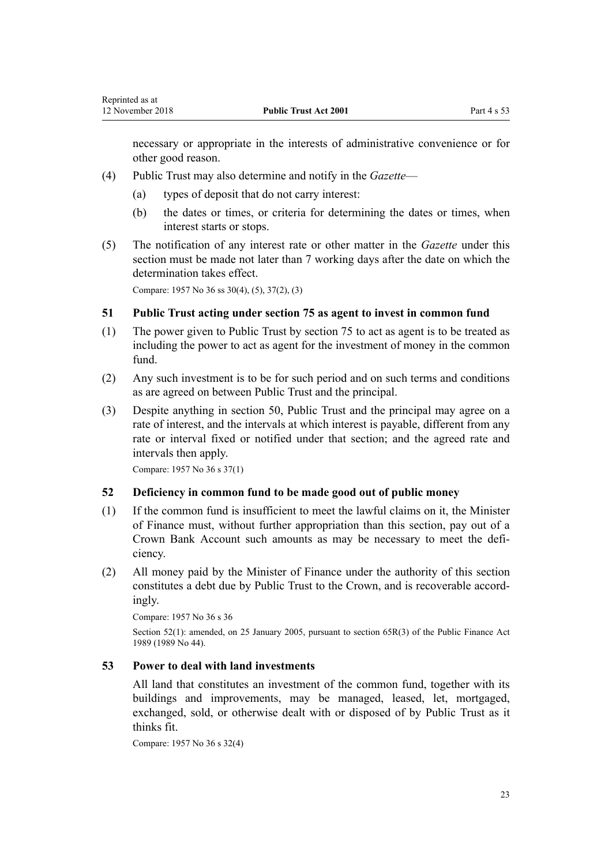<span id="page-22-0"></span>necessary or appropriate in the interests of administrative convenience or for other good reason.

- (4) Public Trust may also determine and notify in the *Gazette*
	- (a) types of deposit that do not carry interest:
	- (b) the dates or times, or criteria for determining the dates or times, when interest starts or stops.
- (5) The notification of any interest rate or other matter in the *Gazette* under this section must be made not later than 7 working days after the date on which the determination takes effect.

Compare: 1957 No 36 ss 30(4), (5), 37(2), (3)

#### **51 Public Trust acting under section 75 as agent to invest in common fund**

- (1) The power given to Public Trust by [section 75](#page-32-0) to act as agent is to be treated as including the power to act as agent for the investment of money in the common fund.
- (2) Any such investment is to be for such period and on such terms and conditions as are agreed on between Public Trust and the principal.
- (3) Despite anything in [section 50,](#page-21-0) Public Trust and the principal may agree on a rate of interest, and the intervals at which interest is payable, different from any rate or interval fixed or notified under that section; and the agreed rate and intervals then apply.

Compare: 1957 No 36 s 37(1)

#### **52 Deficiency in common fund to be made good out of public money**

- (1) If the common fund is insufficient to meet the lawful claims on it, the Minister of Finance must, without further appropriation than this section, pay out of a Crown Bank Account such amounts as may be necessary to meet the deficiency.
- (2) All money paid by the Minister of Finance under the authority of this section constitutes a debt due by Public Trust to the Crown, and is recoverable accordingly.

Compare: 1957 No 36 s 36

Section 52(1): amended, on 25 January 2005, pursuant to [section 65R\(3\)](http://prd-lgnz-nlb.prd.pco.net.nz/pdflink.aspx?id=DLM162942) of the Public Finance Act 1989 (1989 No 44).

#### **53 Power to deal with land investments**

All land that constitutes an investment of the common fund, together with its buildings and improvements, may be managed, leased, let, mortgaged, exchanged, sold, or otherwise dealt with or disposed of by Public Trust as it thinks fit.

Compare: 1957 No 36 s 32(4)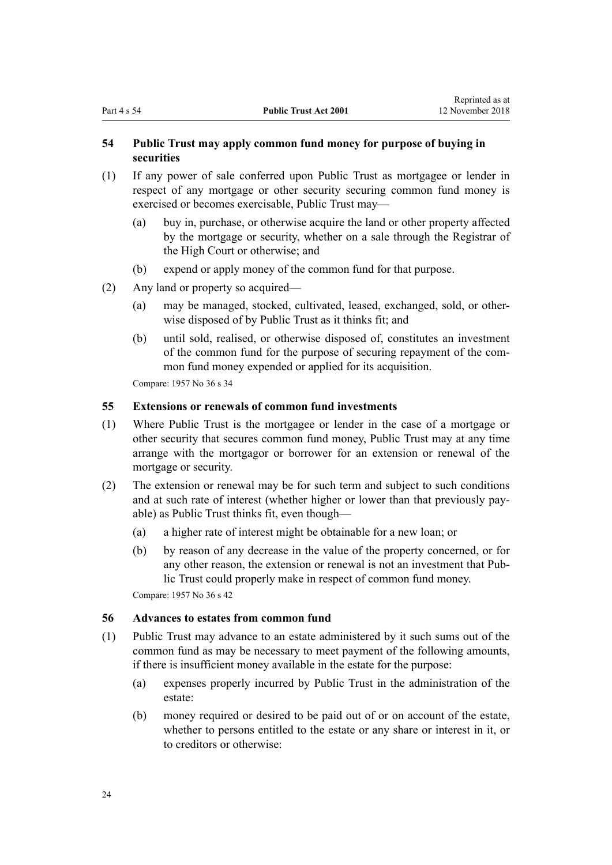## <span id="page-23-0"></span>**54 Public Trust may apply common fund money for purpose of buying in securities**

- (1) If any power of sale conferred upon Public Trust as mortgagee or lender in respect of any mortgage or other security securing common fund money is exercised or becomes exercisable, Public Trust may—
	- (a) buy in, purchase, or otherwise acquire the land or other property affected by the mortgage or security, whether on a sale through the Registrar of the High Court or otherwise; and
	- (b) expend or apply money of the common fund for that purpose.
- (2) Any land or property so acquired—
	- (a) may be managed, stocked, cultivated, leased, exchanged, sold, or otherwise disposed of by Public Trust as it thinks fit; and
	- (b) until sold, realised, or otherwise disposed of, constitutes an investment of the common fund for the purpose of securing repayment of the common fund money expended or applied for its acquisition.

Compare: 1957 No 36 s 34

## **55 Extensions or renewals of common fund investments**

- (1) Where Public Trust is the mortgagee or lender in the case of a mortgage or other security that secures common fund money, Public Trust may at any time arrange with the mortgagor or borrower for an extension or renewal of the mortgage or security.
- (2) The extension or renewal may be for such term and subject to such conditions and at such rate of interest (whether higher or lower than that previously payable) as Public Trust thinks fit, even though—
	- (a) a higher rate of interest might be obtainable for a new loan; or
	- (b) by reason of any decrease in the value of the property concerned, or for any other reason, the extension or renewal is not an investment that Public Trust could properly make in respect of common fund money.

Compare: 1957 No 36 s 42

#### **56 Advances to estates from common fund**

- (1) Public Trust may advance to an estate administered by it such sums out of the common fund as may be necessary to meet payment of the following amounts, if there is insufficient money available in the estate for the purpose:
	- (a) expenses properly incurred by Public Trust in the administration of the estate:
	- (b) money required or desired to be paid out of or on account of the estate, whether to persons entitled to the estate or any share or interest in it, or to creditors or otherwise: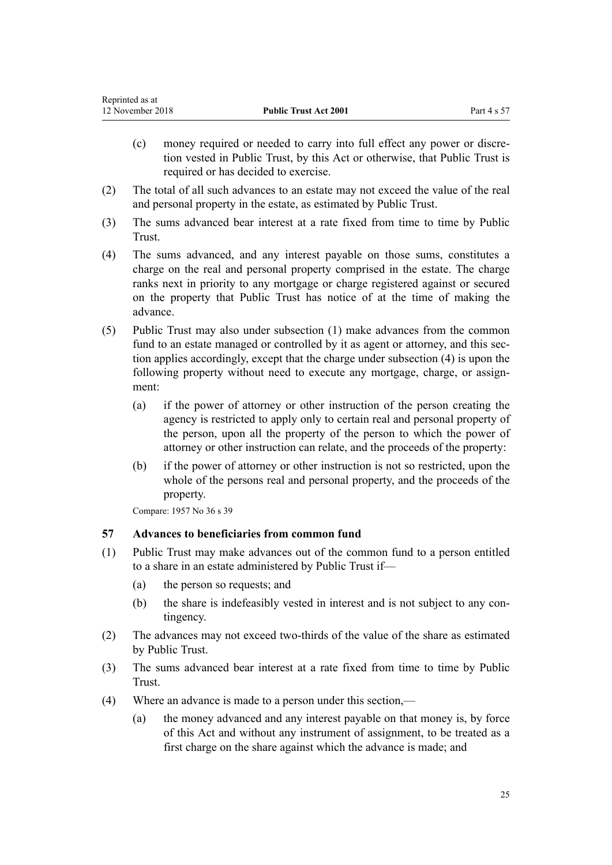<span id="page-24-0"></span>

| Reprinted as at  |                              |             |
|------------------|------------------------------|-------------|
| 12 November 2018 | <b>Public Trust Act 2001</b> | Part 4 s 57 |

- (c) money required or needed to carry into full effect any power or discretion vested in Public Trust, by this Act or otherwise, that Public Trust is required or has decided to exercise.
- (2) The total of all such advances to an estate may not exceed the value of the real and personal property in the estate, as estimated by Public Trust.
- (3) The sums advanced bear interest at a rate fixed from time to time by Public Trust.
- (4) The sums advanced, and any interest payable on those sums, constitutes a charge on the real and personal property comprised in the estate. The charge ranks next in priority to any mortgage or charge registered against or secured on the property that Public Trust has notice of at the time of making the advance.
- (5) Public Trust may also under subsection (1) make advances from the common fund to an estate managed or controlled by it as agent or attorney, and this section applies accordingly, except that the charge under subsection (4) is upon the following property without need to execute any mortgage, charge, or assignment:
	- (a) if the power of attorney or other instruction of the person creating the agency is restricted to apply only to certain real and personal property of the person, upon all the property of the person to which the power of attorney or other instruction can relate, and the proceeds of the property:
	- (b) if the power of attorney or other instruction is not so restricted, upon the whole of the persons real and personal property, and the proceeds of the property.

Compare: 1957 No 36 s 39

## **57 Advances to beneficiaries from common fund**

- (1) Public Trust may make advances out of the common fund to a person entitled to a share in an estate administered by Public Trust if—
	- (a) the person so requests; and
	- (b) the share is indefeasibly vested in interest and is not subject to any contingency.
- (2) The advances may not exceed two-thirds of the value of the share as estimated by Public Trust.
- (3) The sums advanced bear interest at a rate fixed from time to time by Public Trust.
- (4) Where an advance is made to a person under this section,—
	- (a) the money advanced and any interest payable on that money is, by force of this Act and without any instrument of assignment, to be treated as a first charge on the share against which the advance is made; and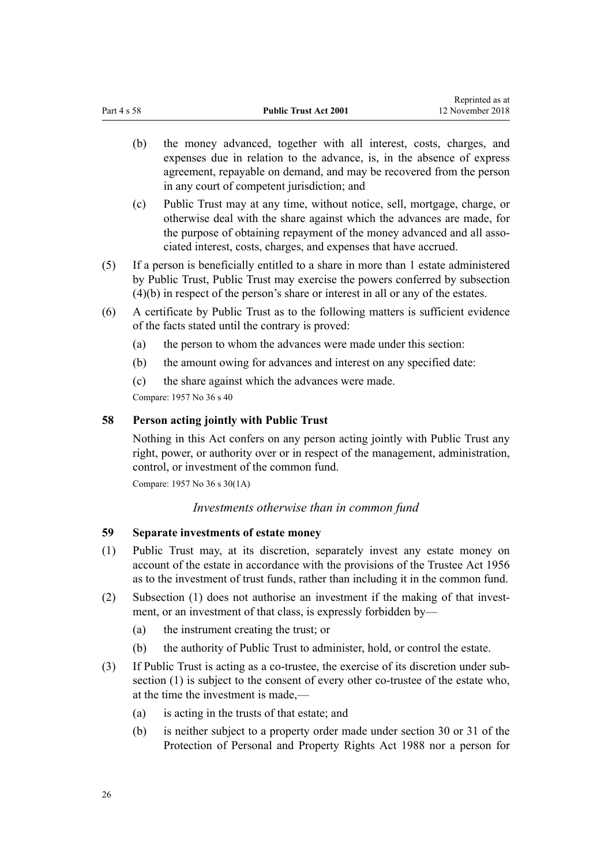- <span id="page-25-0"></span>(b) the money advanced, together with all interest, costs, charges, and expenses due in relation to the advance, is, in the absence of express agreement, repayable on demand, and may be recovered from the person in any court of competent jurisdiction; and
- (c) Public Trust may at any time, without notice, sell, mortgage, charge, or otherwise deal with the share against which the advances are made, for the purpose of obtaining repayment of the money advanced and all associated interest, costs, charges, and expenses that have accrued.
- (5) If a person is beneficially entitled to a share in more than 1 estate administered by Public Trust, Public Trust may exercise the powers conferred by subsection (4)(b) in respect of the person's share or interest in all or any of the estates.
- (6) A certificate by Public Trust as to the following matters is sufficient evidence of the facts stated until the contrary is proved:
	- (a) the person to whom the advances were made under this section:
	- (b) the amount owing for advances and interest on any specified date:
	- (c) the share against which the advances were made.

Compare: 1957 No 36 s 40

## **58 Person acting jointly with Public Trust**

Nothing in this Act confers on any person acting jointly with Public Trust any right, power, or authority over or in respect of the management, administration, control, or investment of the common fund.

Compare: 1957 No 36 s 30(1A)

*Investments otherwise than in common fund*

### **59 Separate investments of estate money**

- (1) Public Trust may, at its discretion, separately invest any estate money on account of the estate in accordance with the provisions of the [Trustee Act 1956](http://prd-lgnz-nlb.prd.pco.net.nz/pdflink.aspx?id=DLM304703) as to the investment of trust funds, rather than including it in the common fund.
- (2) Subsection (1) does not authorise an investment if the making of that investment, or an investment of that class, is expressly forbidden by—
	- (a) the instrument creating the trust; or
	- (b) the authority of Public Trust to administer, hold, or control the estate.
- (3) If Public Trust is acting as a co-trustee, the exercise of its discretion under subsection (1) is subject to the consent of every other co-trustee of the estate who, at the time the investment is made,—
	- (a) is acting in the trusts of that estate; and
	- (b) is neither subject to a property order made under [section 30](http://prd-lgnz-nlb.prd.pco.net.nz/pdflink.aspx?id=DLM127009) or [31](http://prd-lgnz-nlb.prd.pco.net.nz/pdflink.aspx?id=DLM127010) of the Protection of Personal and Property Rights Act 1988 nor a person for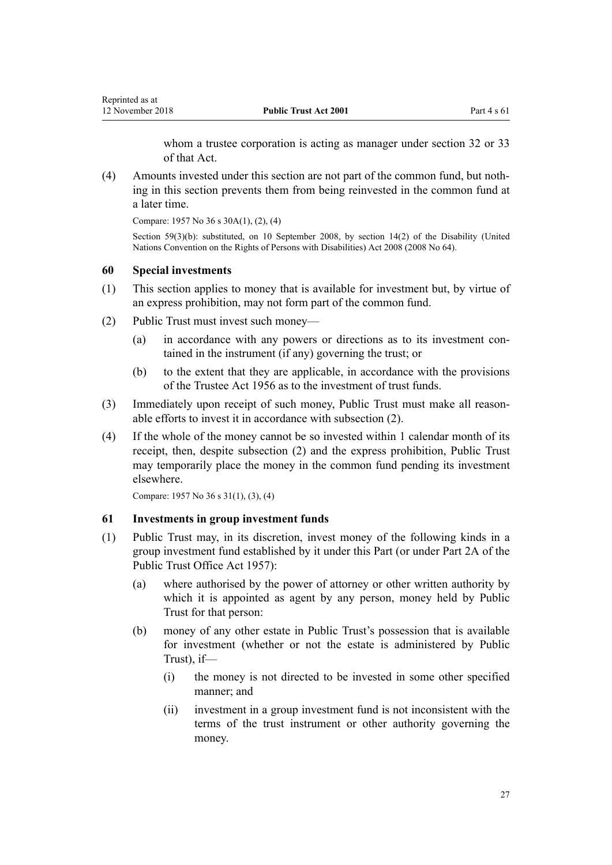whom a trustee corporation is acting as manager under [section 32](http://prd-lgnz-nlb.prd.pco.net.nz/pdflink.aspx?id=DLM127016) or [33](http://prd-lgnz-nlb.prd.pco.net.nz/pdflink.aspx?id=DLM127020) of that Act.

<span id="page-26-0"></span>(4) Amounts invested under this section are not part of the common fund, but nothing in this section prevents them from being reinvested in the common fund at a later time.

Compare: 1957 No 36 s 30A(1), (2), (4)

Section 59(3)(b): substituted, on 10 September 2008, by [section 14\(2\)](http://prd-lgnz-nlb.prd.pco.net.nz/pdflink.aspx?id=DLM1404054) of the Disability (United Nations Convention on the Rights of Persons with Disabilities) Act 2008 (2008 No 64).

#### **60 Special investments**

- (1) This section applies to money that is available for investment but, by virtue of an express prohibition, may not form part of the common fund.
- (2) Public Trust must invest such money—
	- (a) in accordance with any powers or directions as to its investment contained in the instrument (if any) governing the trust; or
	- (b) to the extent that they are applicable, in accordance with the provisions of the [Trustee Act 1956](http://prd-lgnz-nlb.prd.pco.net.nz/pdflink.aspx?id=DLM304703) as to the investment of trust funds.
- (3) Immediately upon receipt of such money, Public Trust must make all reasonable efforts to invest it in accordance with subsection (2).
- (4) If the whole of the money cannot be so invested within 1 calendar month of its receipt, then, despite subsection (2) and the express prohibition, Public Trust may temporarily place the money in the common fund pending its investment elsewhere.

Compare: 1957 No 36 s 31(1), (3), (4)

#### **61 Investments in group investment funds**

- (1) Public Trust may, in its discretion, invest money of the following kinds in a group investment fund established by it under this Part (or under Part 2A of the Public Trust Office Act 1957):
	- (a) where authorised by the power of attorney or other written authority by which it is appointed as agent by any person, money held by Public Trust for that person:
	- (b) money of any other estate in Public Trust's possession that is available for investment (whether or not the estate is administered by Public Trust) if—
		- (i) the money is not directed to be invested in some other specified manner; and
		- (ii) investment in a group investment fund is not inconsistent with the terms of the trust instrument or other authority governing the money.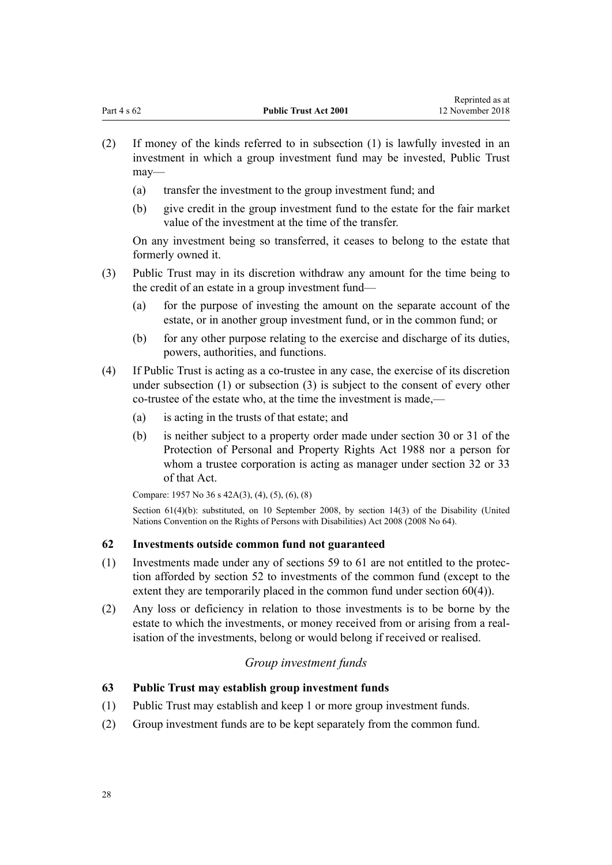- <span id="page-27-0"></span>(2) If money of the kinds referred to in subsection (1) is lawfully invested in an investment in which a group investment fund may be invested, Public Trust may—
	- (a) transfer the investment to the group investment fund; and
	- (b) give credit in the group investment fund to the estate for the fair market value of the investment at the time of the transfer.

On any investment being so transferred, it ceases to belong to the estate that formerly owned it.

- (3) Public Trust may in its discretion withdraw any amount for the time being to the credit of an estate in a group investment fund—
	- (a) for the purpose of investing the amount on the separate account of the estate, or in another group investment fund, or in the common fund; or
	- (b) for any other purpose relating to the exercise and discharge of its duties, powers, authorities, and functions.
- (4) If Public Trust is acting as a co-trustee in any case, the exercise of its discretion under subsection (1) or subsection (3) is subject to the consent of every other co-trustee of the estate who, at the time the investment is made,—
	- (a) is acting in the trusts of that estate; and
	- (b) is neither subject to a property order made under [section 30](http://prd-lgnz-nlb.prd.pco.net.nz/pdflink.aspx?id=DLM127009) or [31](http://prd-lgnz-nlb.prd.pco.net.nz/pdflink.aspx?id=DLM127010) of the Protection of Personal and Property Rights Act 1988 nor a person for whom a trustee corporation is acting as manager under [section 32](http://prd-lgnz-nlb.prd.pco.net.nz/pdflink.aspx?id=DLM127016) or [33](http://prd-lgnz-nlb.prd.pco.net.nz/pdflink.aspx?id=DLM127020) of that Act.

Compare: 1957 No 36 s 42A(3), (4), (5), (6), (8)

Section 61(4)(b): substituted, on 10 September 2008, by [section 14\(3\)](http://prd-lgnz-nlb.prd.pco.net.nz/pdflink.aspx?id=DLM1404054) of the Disability (United Nations Convention on the Rights of Persons with Disabilities) Act 2008 (2008 No 64).

#### **62 Investments outside common fund not guaranteed**

- (1) Investments made under any of [sections 59 to 61](#page-25-0) are not entitled to the protection afforded by [section 52](#page-22-0) to investments of the common fund (except to the extent they are temporarily placed in the common fund under [section 60\(4\)](#page-26-0)).
- (2) Any loss or deficiency in relation to those investments is to be borne by the estate to which the investments, or money received from or arising from a realisation of the investments, belong or would belong if received or realised.

## *Group investment funds*

#### **63 Public Trust may establish group investment funds**

- (1) Public Trust may establish and keep 1 or more group investment funds.
- (2) Group investment funds are to be kept separately from the common fund.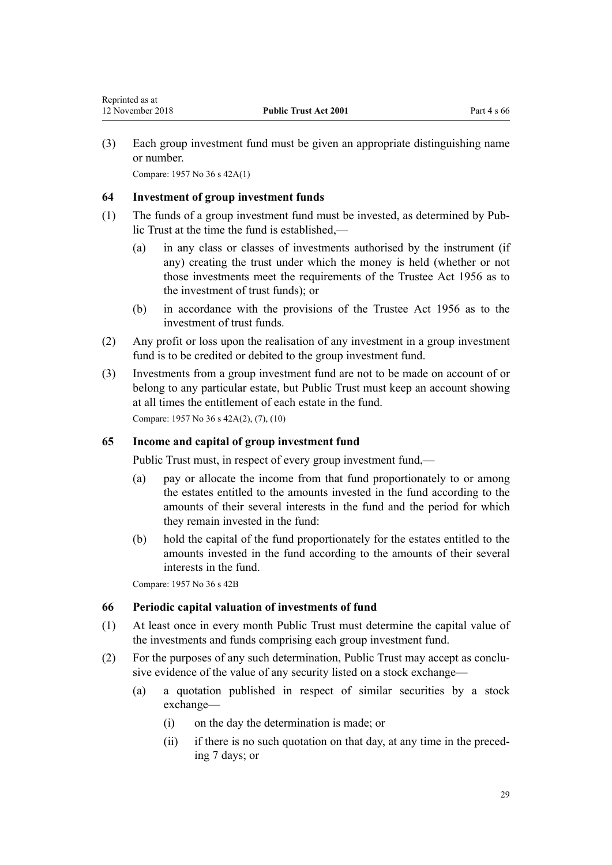<span id="page-28-0"></span>(3) Each group investment fund must be given an appropriate distinguishing name or number.

Compare: 1957 No 36 s 42A(1)

#### **64 Investment of group investment funds**

- (1) The funds of a group investment fund must be invested, as determined by Public Trust at the time the fund is established,—
	- (a) in any class or classes of investments authorised by the instrument (if any) creating the trust under which the money is held (whether or not those investments meet the requirements of the [Trustee Act 1956](http://prd-lgnz-nlb.prd.pco.net.nz/pdflink.aspx?id=DLM304703) as to the investment of trust funds); or
	- (b) in accordance with the provisions of the [Trustee Act 1956](http://prd-lgnz-nlb.prd.pco.net.nz/pdflink.aspx?id=DLM304703) as to the investment of trust funds.
- (2) Any profit or loss upon the realisation of any investment in a group investment fund is to be credited or debited to the group investment fund.
- (3) Investments from a group investment fund are not to be made on account of or belong to any particular estate, but Public Trust must keep an account showing at all times the entitlement of each estate in the fund.

Compare: 1957 No 36 s 42A(2), (7), (10)

#### **65 Income and capital of group investment fund**

Public Trust must, in respect of every group investment fund,—

- (a) pay or allocate the income from that fund proportionately to or among the estates entitled to the amounts invested in the fund according to the amounts of their several interests in the fund and the period for which they remain invested in the fund:
- (b) hold the capital of the fund proportionately for the estates entitled to the amounts invested in the fund according to the amounts of their several interests in the fund.

Compare: 1957 No 36 s 42B

#### **66 Periodic capital valuation of investments of fund**

- (1) At least once in every month Public Trust must determine the capital value of the investments and funds comprising each group investment fund.
- (2) For the purposes of any such determination, Public Trust may accept as conclusive evidence of the value of any security listed on a stock exchange—
	- (a) a quotation published in respect of similar securities by a stock exchange—
		- (i) on the day the determination is made; or
		- (ii) if there is no such quotation on that day, at any time in the preceding 7 days; or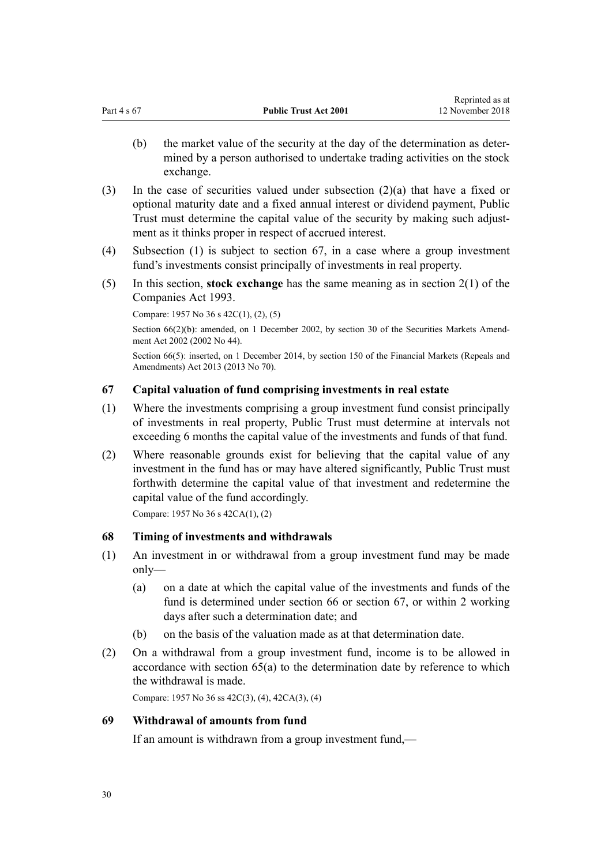- <span id="page-29-0"></span>(b) the market value of the security at the day of the determination as determined by a person authorised to undertake trading activities on the stock exchange.
- (3) In the case of securities valued under subsection (2)(a) that have a fixed or optional maturity date and a fixed annual interest or dividend payment, Public Trust must determine the capital value of the security by making such adjustment as it thinks proper in respect of accrued interest.
- (4) Subsection (1) is subject to section 67, in a case where a group investment fund's investments consist principally of investments in real property.
- (5) In this section, **stock exchange** has the same meaning as in [section 2\(1\)](http://prd-lgnz-nlb.prd.pco.net.nz/pdflink.aspx?id=DLM319576) of the Companies Act 1993.

Compare: 1957 No 36 s 42C(1), (2), (5)

Section 66(2)(b): amended, on 1 December 2002, by [section 30](http://prd-lgnz-nlb.prd.pco.net.nz/pdflink.aspx?id=DLM162198) of the Securities Markets Amendment Act 2002 (2002 No 44).

Section 66(5): inserted, on 1 December 2014, by [section 150](http://prd-lgnz-nlb.prd.pco.net.nz/pdflink.aspx?id=DLM5561603) of the Financial Markets (Repeals and Amendments) Act 2013 (2013 No 70).

## **67 Capital valuation of fund comprising investments in real estate**

- (1) Where the investments comprising a group investment fund consist principally of investments in real property, Public Trust must determine at intervals not exceeding 6 months the capital value of the investments and funds of that fund.
- (2) Where reasonable grounds exist for believing that the capital value of any investment in the fund has or may have altered significantly, Public Trust must forthwith determine the capital value of that investment and redetermine the capital value of the fund accordingly.

Compare: 1957 No 36 s 42CA(1), (2)

## **68 Timing of investments and withdrawals**

- (1) An investment in or withdrawal from a group investment fund may be made only—
	- (a) on a date at which the capital value of the investments and funds of the fund is determined under [section 66](#page-28-0) or section 67, or within 2 working days after such a determination date; and
	- (b) on the basis of the valuation made as at that determination date.
- (2) On a withdrawal from a group investment fund, income is to be allowed in accordance with [section 65\(a\)](#page-28-0) to the determination date by reference to which the withdrawal is made.

Compare: 1957 No 36 ss 42C(3), (4), 42CA(3), (4)

## **69 Withdrawal of amounts from fund**

If an amount is withdrawn from a group investment fund,—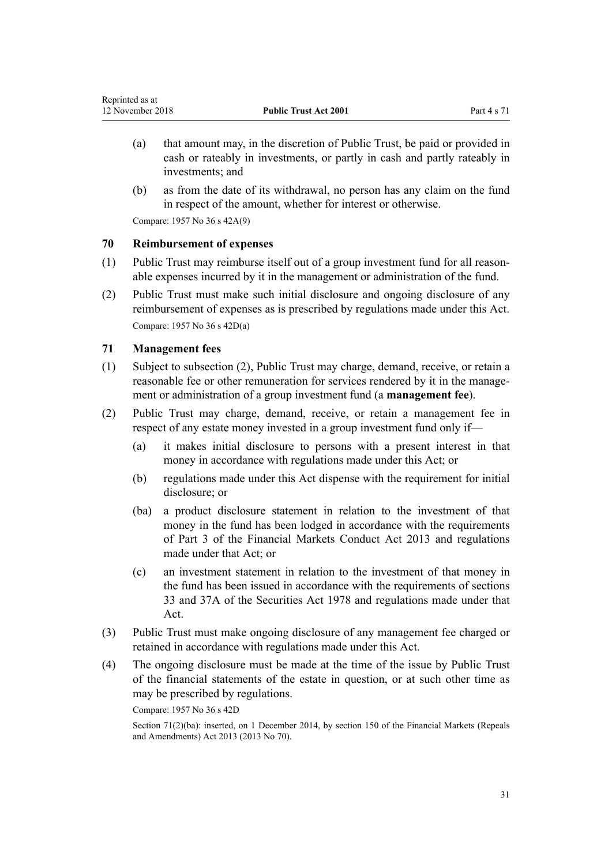- <span id="page-30-0"></span>(a) that amount may, in the discretion of Public Trust, be paid or provided in cash or rateably in investments, or partly in cash and partly rateably in investments; and
- (b) as from the date of its withdrawal, no person has any claim on the fund in respect of the amount, whether for interest or otherwise.

Compare: 1957 No 36 s 42A(9)

## **70 Reimbursement of expenses**

- (1) Public Trust may reimburse itself out of a group investment fund for all reasonable expenses incurred by it in the management or administration of the fund.
- (2) Public Trust must make such initial disclosure and ongoing disclosure of any reimbursement of expenses as is prescribed by regulations made under this Act. Compare: 1957 No 36 s 42D(a)

## **71 Management fees**

- (1) Subject to subsection (2), Public Trust may charge, demand, receive, or retain a reasonable fee or other remuneration for services rendered by it in the management or administration of a group investment fund (a **management fee**).
- (2) Public Trust may charge, demand, receive, or retain a management fee in respect of any estate money invested in a group investment fund only if—
	- (a) it makes initial disclosure to persons with a present interest in that money in accordance with regulations made under this Act; or
	- (b) regulations made under this Act dispense with the requirement for initial disclosure; or
	- (ba) a product disclosure statement in relation to the investment of that money in the fund has been lodged in accordance with the requirements of [Part 3](http://prd-lgnz-nlb.prd.pco.net.nz/pdflink.aspx?id=DLM4090967) of the Financial Markets Conduct Act 2013 and regulations made under that Act; or
	- (c) an investment statement in relation to the investment of that money in the fund has been issued in accordance with the requirements of [sections](http://prd-lgnz-nlb.prd.pco.net.nz/pdflink.aspx?id=DLM28187) [33](http://prd-lgnz-nlb.prd.pco.net.nz/pdflink.aspx?id=DLM28187) and [37A](http://prd-lgnz-nlb.prd.pco.net.nz/pdflink.aspx?id=DLM28351) of the Securities Act 1978 and regulations made under that Act.
- (3) Public Trust must make ongoing disclosure of any management fee charged or retained in accordance with regulations made under this Act.
- (4) The ongoing disclosure must be made at the time of the issue by Public Trust of the financial statements of the estate in question, or at such other time as may be prescribed by regulations.

Compare: 1957 No 36 s 42D

Section 71(2)(ba): inserted, on 1 December 2014, by [section 150](http://prd-lgnz-nlb.prd.pco.net.nz/pdflink.aspx?id=DLM5561603) of the Financial Markets (Repeals and Amendments) Act 2013 (2013 No 70).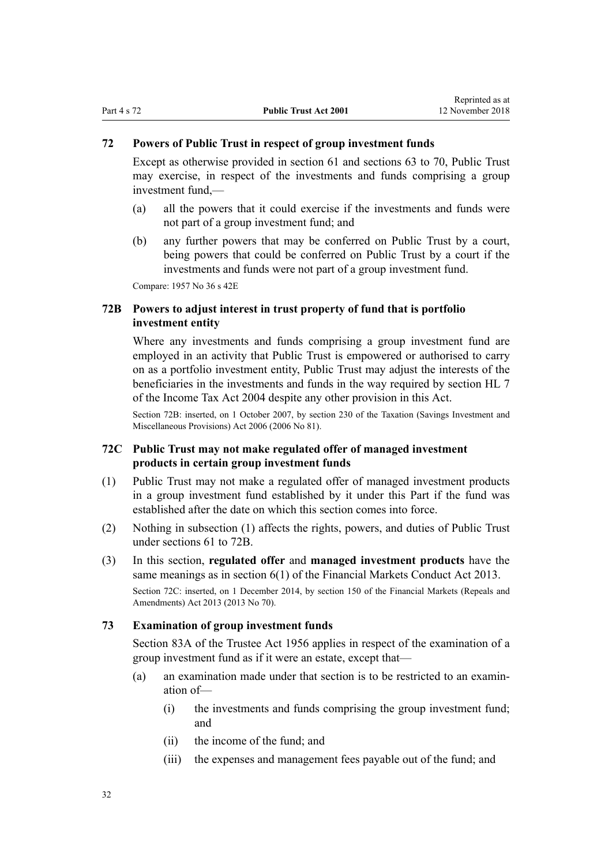## <span id="page-31-0"></span>**72 Powers of Public Trust in respect of group investment funds**

Except as otherwise provided in [section 61](#page-26-0) and [sections 63 to 70,](#page-27-0) Public Trust may exercise, in respect of the investments and funds comprising a group investment fund,—

- (a) all the powers that it could exercise if the investments and funds were not part of a group investment fund; and
- (b) any further powers that may be conferred on Public Trust by a court, being powers that could be conferred on Public Trust by a court if the investments and funds were not part of a group investment fund.

Compare: 1957 No 36 s 42E

## **72B Powers to adjust interest in trust property of fund that is portfolio investment entity**

Where any investments and funds comprising a group investment fund are employed in an activity that Public Trust is empowered or authorised to carry on as a portfolio investment entity, Public Trust may adjust the interests of the beneficiaries in the investments and funds in the way required by [section HL 7](http://prd-lgnz-nlb.prd.pco.net.nz/pdflink.aspx?id=DLM264600) of the Income Tax Act 2004 despite any other provision in this Act.

Section 72B: inserted, on 1 October 2007, by [section 230](http://prd-lgnz-nlb.prd.pco.net.nz/pdflink.aspx?id=DLM401680) of the Taxation (Savings Investment and Miscellaneous Provisions) Act 2006 (2006 No 81).

## **72C Public Trust may not make regulated offer of managed investment products in certain group investment funds**

- (1) Public Trust may not make a regulated offer of managed investment products in a group investment fund established by it under this Part if the fund was established after the date on which this section comes into force.
- (2) Nothing in subsection (1) affects the rights, powers, and duties of Public Trust under [sections 61 to 72B.](#page-26-0)
- (3) In this section, **regulated offer** and **managed investment products** have the same meanings as in [section 6\(1\)](http://prd-lgnz-nlb.prd.pco.net.nz/pdflink.aspx?id=DLM4090590) of the Financial Markets Conduct Act 2013.

Section 72C: inserted, on 1 December 2014, by [section 150](http://prd-lgnz-nlb.prd.pco.net.nz/pdflink.aspx?id=DLM5561603) of the Financial Markets (Repeals and Amendments) Act 2013 (2013 No 70).

## **73 Examination of group investment funds**

[Section 83A](http://prd-lgnz-nlb.prd.pco.net.nz/pdflink.aspx?id=DLM305807) of the Trustee Act 1956 applies in respect of the examination of a group investment fund as if it were an estate, except that—

- (a) an examination made under that section is to be restricted to an examination of—
	- (i) the investments and funds comprising the group investment fund; and
	- (ii) the income of the fund; and
	- (iii) the expenses and management fees payable out of the fund; and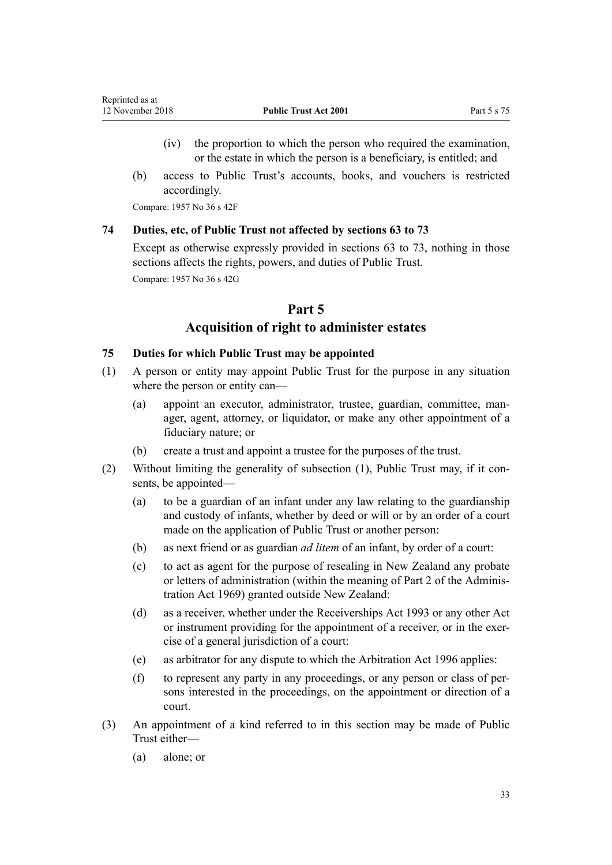- <span id="page-32-0"></span>(iv) the proportion to which the person who required the examination, or the estate in which the person is a beneficiary, is entitled; and
- (b) access to Public Trust's accounts, books, and vouchers is restricted accordingly.

Compare: 1957 No 36 s 42F

#### **74 Duties, etc, of Public Trust not affected by sections 63 to 73**

Except as otherwise expressly provided in [sections 63 to 73](#page-27-0), nothing in those sections affects the rights, powers, and duties of Public Trust.

Compare: 1957 No 36 s 42G

## **Part 5**

## **Acquisition of right to administer estates**

#### **75 Duties for which Public Trust may be appointed**

- (1) A person or entity may appoint Public Trust for the purpose in any situation where the person or entity can—
	- (a) appoint an executor, administrator, trustee, guardian, committee, manager, agent, attorney, or liquidator, or make any other appointment of a fiduciary nature; or
	- (b) create a trust and appoint a trustee for the purposes of the trust.
- (2) Without limiting the generality of subsection (1), Public Trust may, if it consents, be appointed—
	- (a) to be a guardian of an infant under any law relating to the guardianship and custody of infants, whether by deed or will or by an order of a court made on the application of Public Trust or another person:
	- (b) as next friend or as guardian *ad litem* of an infant, by order of a court:
	- (c) to act as agent for the purpose of resealing in New Zealand any probate or letters of administration (within the meaning of [Part 2](http://prd-lgnz-nlb.prd.pco.net.nz/pdflink.aspx?id=DLM393088) of the Administration Act 1969) granted outside New Zealand:
	- (d) as a receiver, whether under the [Receiverships Act 1993](http://prd-lgnz-nlb.prd.pco.net.nz/pdflink.aspx?id=DLM327640) or any other Act or instrument providing for the appointment of a receiver, or in the exercise of a general jurisdiction of a court:
	- (e) as arbitrator for any dispute to which the [Arbitration Act 1996](http://prd-lgnz-nlb.prd.pco.net.nz/pdflink.aspx?id=DLM403276) applies:
	- (f) to represent any party in any proceedings, or any person or class of persons interested in the proceedings, on the appointment or direction of a court.
- (3) An appointment of a kind referred to in this section may be made of Public Trust either—
	- (a) alone; or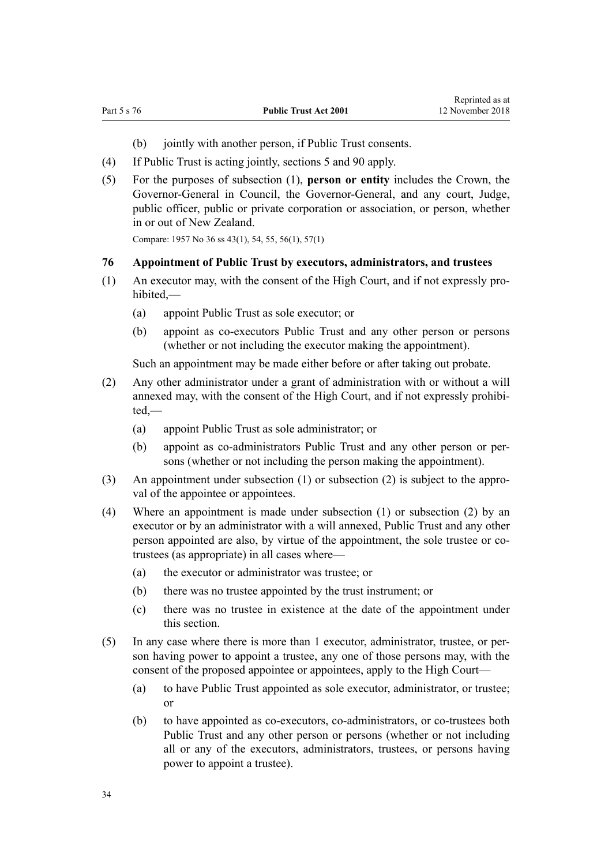- (b) jointly with another person, if Public Trust consents.
- <span id="page-33-0"></span>(4) If Public Trust is acting jointly, [sections 5](#page-9-0) and [90](#page-41-0) apply.
- (5) For the purposes of subsection (1), **person or entity** includes the Crown, the Governor-General in Council, the Governor-General, and any court, Judge, public officer, public or private corporation or association, or person, whether in or out of New Zealand.

Compare: 1957 No 36 ss 43(1), 54, 55, 56(1), 57(1)

#### **76 Appointment of Public Trust by executors, administrators, and trustees**

- (1) An executor may, with the consent of the High Court, and if not expressly prohibited,—
	- (a) appoint Public Trust as sole executor; or
	- (b) appoint as co-executors Public Trust and any other person or persons (whether or not including the executor making the appointment).

Such an appointment may be made either before or after taking out probate.

- (2) Any other administrator under a grant of administration with or without a will annexed may, with the consent of the High Court, and if not expressly prohibited,—
	- (a) appoint Public Trust as sole administrator; or
	- (b) appoint as co-administrators Public Trust and any other person or persons (whether or not including the person making the appointment).
- (3) An appointment under subsection (1) or subsection (2) is subject to the approval of the appointee or appointees.
- (4) Where an appointment is made under subsection (1) or subsection (2) by an executor or by an administrator with a will annexed, Public Trust and any other person appointed are also, by virtue of the appointment, the sole trustee or cotrustees (as appropriate) in all cases where—
	- (a) the executor or administrator was trustee; or
	- (b) there was no trustee appointed by the trust instrument; or
	- (c) there was no trustee in existence at the date of the appointment under this section.
- (5) In any case where there is more than 1 executor, administrator, trustee, or person having power to appoint a trustee, any one of those persons may, with the consent of the proposed appointee or appointees, apply to the High Court—
	- (a) to have Public Trust appointed as sole executor, administrator, or trustee; or
	- (b) to have appointed as co-executors, co-administrators, or co-trustees both Public Trust and any other person or persons (whether or not including all or any of the executors, administrators, trustees, or persons having power to appoint a trustee).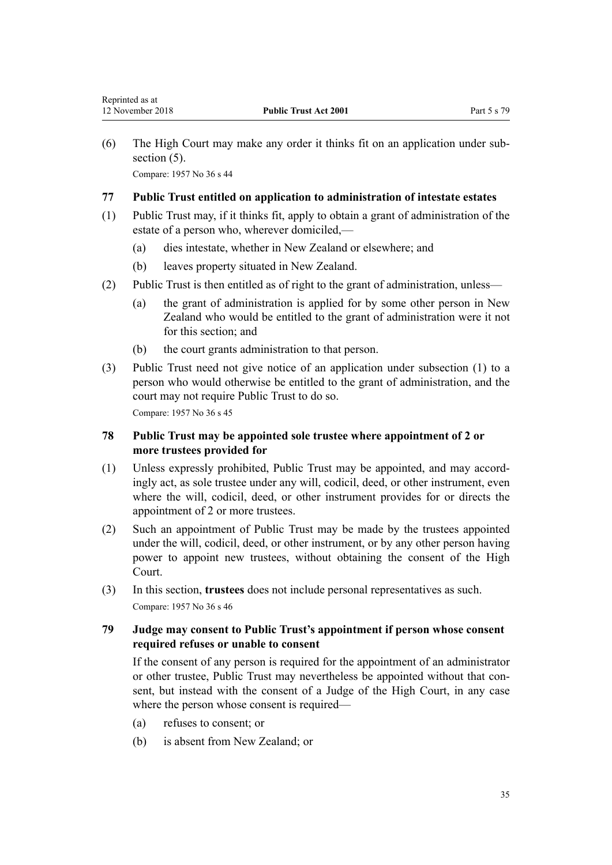<span id="page-34-0"></span>(6) The High Court may make any order it thinks fit on an application under subsection  $(5)$ . Compare: 1957 No 36 s 44

#### **77 Public Trust entitled on application to administration of intestate estates**

- (1) Public Trust may, if it thinks fit, apply to obtain a grant of administration of the estate of a person who, wherever domiciled,—
	- (a) dies intestate, whether in New Zealand or elsewhere; and
	- (b) leaves property situated in New Zealand.
- (2) Public Trust is then entitled as of right to the grant of administration, unless—
	- (a) the grant of administration is applied for by some other person in New Zealand who would be entitled to the grant of administration were it not for this section; and
	- (b) the court grants administration to that person.
- (3) Public Trust need not give notice of an application under subsection (1) to a person who would otherwise be entitled to the grant of administration, and the court may not require Public Trust to do so.

Compare: 1957 No 36 s 45

## **78 Public Trust may be appointed sole trustee where appointment of 2 or more trustees provided for**

- (1) Unless expressly prohibited, Public Trust may be appointed, and may accordingly act, as sole trustee under any will, codicil, deed, or other instrument, even where the will, codicil, deed, or other instrument provides for or directs the appointment of 2 or more trustees.
- (2) Such an appointment of Public Trust may be made by the trustees appointed under the will, codicil, deed, or other instrument, or by any other person having power to appoint new trustees, without obtaining the consent of the High Court.
- (3) In this section, **trustees** does not include personal representatives as such. Compare: 1957 No 36 s 46

## **79 Judge may consent to Public Trust's appointment if person whose consent required refuses or unable to consent**

If the consent of any person is required for the appointment of an administrator or other trustee, Public Trust may nevertheless be appointed without that consent, but instead with the consent of a Judge of the High Court, in any case where the person whose consent is required—

- (a) refuses to consent; or
- (b) is absent from New Zealand; or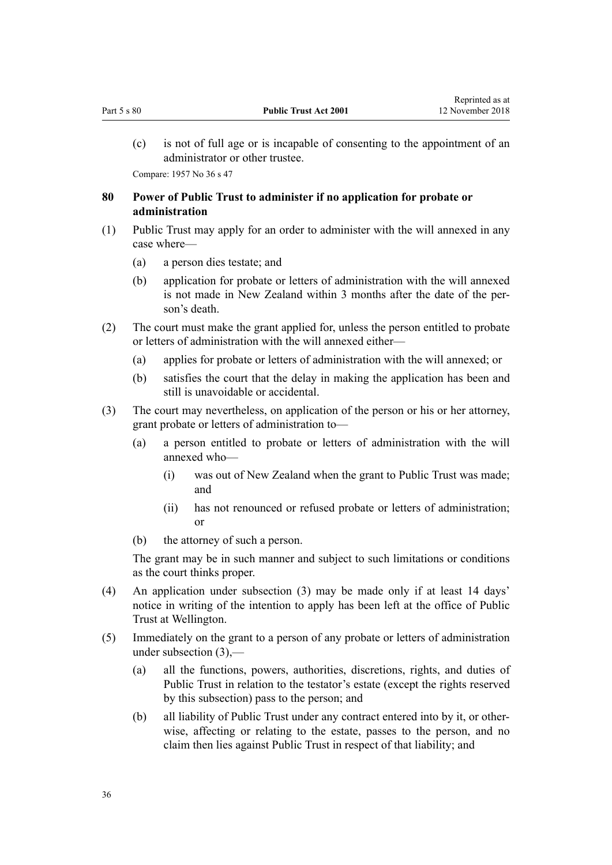<span id="page-35-0"></span>(c) is not of full age or is incapable of consenting to the appointment of an administrator or other trustee.

Compare: 1957 No 36 s 47

## **80 Power of Public Trust to administer if no application for probate or administration**

- (1) Public Trust may apply for an order to administer with the will annexed in any case where—
	- (a) a person dies testate; and
	- (b) application for probate or letters of administration with the will annexed is not made in New Zealand within 3 months after the date of the person's death.
- (2) The court must make the grant applied for, unless the person entitled to probate or letters of administration with the will annexed either—
	- (a) applies for probate or letters of administration with the will annexed; or
	- (b) satisfies the court that the delay in making the application has been and still is unavoidable or accidental.
- (3) The court may nevertheless, on application of the person or his or her attorney, grant probate or letters of administration to—
	- (a) a person entitled to probate or letters of administration with the will annexed who—
		- (i) was out of New Zealand when the grant to Public Trust was made; and
		- (ii) has not renounced or refused probate or letters of administration; or
	- (b) the attorney of such a person.

The grant may be in such manner and subject to such limitations or conditions as the court thinks proper.

- (4) An application under subsection (3) may be made only if at least 14 days' notice in writing of the intention to apply has been left at the office of Public Trust at Wellington.
- (5) Immediately on the grant to a person of any probate or letters of administration under subsection (3),—
	- (a) all the functions, powers, authorities, discretions, rights, and duties of Public Trust in relation to the testator's estate (except the rights reserved by this subsection) pass to the person; and
	- (b) all liability of Public Trust under any contract entered into by it, or otherwise, affecting or relating to the estate, passes to the person, and no claim then lies against Public Trust in respect of that liability; and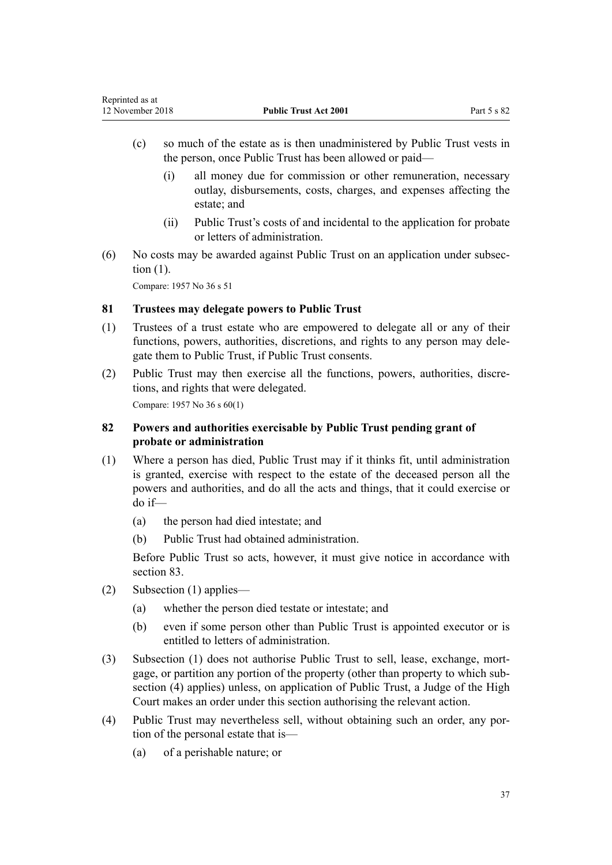- <span id="page-36-0"></span>(c) so much of the estate as is then unadministered by Public Trust vests in the person, once Public Trust has been allowed or paid—
	- (i) all money due for commission or other remuneration, necessary outlay, disbursements, costs, charges, and expenses affecting the estate; and
	- (ii) Public Trust's costs of and incidental to the application for probate or letters of administration.
- (6) No costs may be awarded against Public Trust on an application under subsection (1).

### **81 Trustees may delegate powers to Public Trust**

- (1) Trustees of a trust estate who are empowered to delegate all or any of their functions, powers, authorities, discretions, and rights to any person may delegate them to Public Trust, if Public Trust consents.
- (2) Public Trust may then exercise all the functions, powers, authorities, discretions, and rights that were delegated.

Compare: 1957 No 36 s 60(1)

# **82 Powers and authorities exercisable by Public Trust pending grant of probate or administration**

- (1) Where a person has died, Public Trust may if it thinks fit, until administration is granted, exercise with respect to the estate of the deceased person all the powers and authorities, and do all the acts and things, that it could exercise or do if—
	- (a) the person had died intestate; and
	- (b) Public Trust had obtained administration.

Before Public Trust so acts, however, it must give notice in accordance with [section 83](#page-37-0).

- (2) Subsection (1) applies—
	- (a) whether the person died testate or intestate; and
	- (b) even if some person other than Public Trust is appointed executor or is entitled to letters of administration.
- (3) Subsection (1) does not authorise Public Trust to sell, lease, exchange, mortgage, or partition any portion of the property (other than property to which subsection (4) applies) unless, on application of Public Trust, a Judge of the High Court makes an order under this section authorising the relevant action.
- (4) Public Trust may nevertheless sell, without obtaining such an order, any portion of the personal estate that is—
	- (a) of a perishable nature; or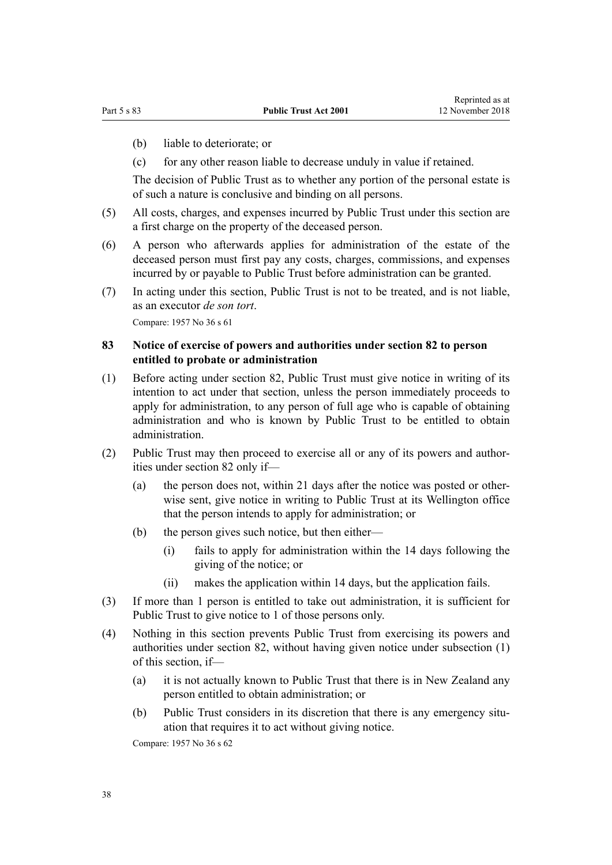- <span id="page-37-0"></span>(b) liable to deteriorate; or
- (c) for any other reason liable to decrease unduly in value if retained.

The decision of Public Trust as to whether any portion of the personal estate is of such a nature is conclusive and binding on all persons.

- (5) All costs, charges, and expenses incurred by Public Trust under this section are a first charge on the property of the deceased person.
- (6) A person who afterwards applies for administration of the estate of the deceased person must first pay any costs, charges, commissions, and expenses incurred by or payable to Public Trust before administration can be granted.
- (7) In acting under this section, Public Trust is not to be treated, and is not liable, as an executor *de son tort*.

Compare: 1957 No 36 s 61

## **83 Notice of exercise of powers and authorities under section 82 to person entitled to probate or administration**

- (1) Before acting under [section 82,](#page-36-0) Public Trust must give notice in writing of its intention to act under that section, unless the person immediately proceeds to apply for administration, to any person of full age who is capable of obtaining administration and who is known by Public Trust to be entitled to obtain administration.
- (2) Public Trust may then proceed to exercise all or any of its powers and authorities under [section 82](#page-36-0) only if—
	- (a) the person does not, within 21 days after the notice was posted or otherwise sent, give notice in writing to Public Trust at its Wellington office that the person intends to apply for administration; or
	- (b) the person gives such notice, but then either—
		- (i) fails to apply for administration within the 14 days following the giving of the notice; or
		- (ii) makes the application within 14 days, but the application fails.
- (3) If more than 1 person is entitled to take out administration, it is sufficient for Public Trust to give notice to 1 of those persons only.
- (4) Nothing in this section prevents Public Trust from exercising its powers and authorities under [section 82](#page-36-0), without having given notice under subsection (1) of this section, if—
	- (a) it is not actually known to Public Trust that there is in New Zealand any person entitled to obtain administration; or
	- (b) Public Trust considers in its discretion that there is any emergency situation that requires it to act without giving notice.

Compare: 1957 No 36 s 62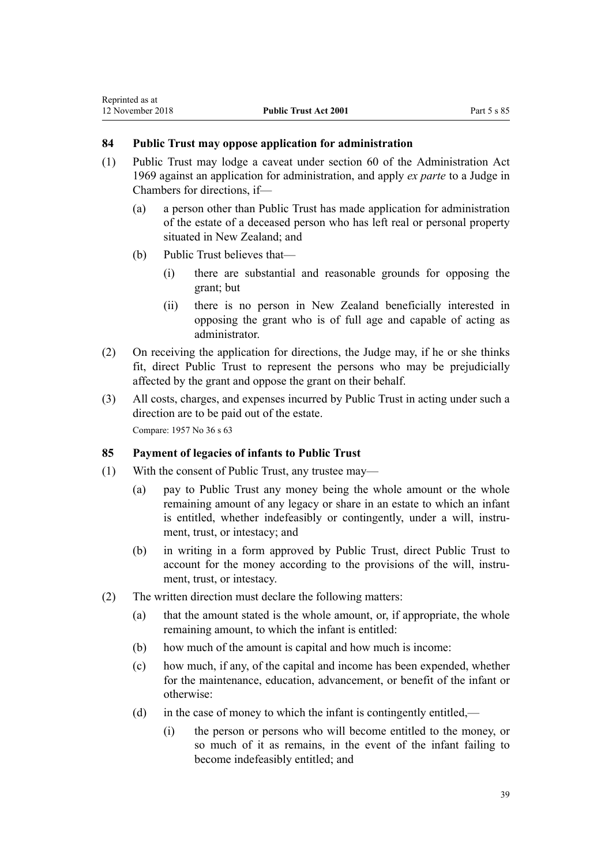# **84 Public Trust may oppose application for administration**

- (1) Public Trust may lodge a caveat under [section 60](http://prd-lgnz-nlb.prd.pco.net.nz/pdflink.aspx?id=DLM393001) of the Administration Act 1969 against an application for administration, and apply *ex parte* to a Judge in Chambers for directions, if—
	- (a) a person other than Public Trust has made application for administration of the estate of a deceased person who has left real or personal property situated in New Zealand; and
	- (b) Public Trust believes that—
		- (i) there are substantial and reasonable grounds for opposing the grant; but
		- (ii) there is no person in New Zealand beneficially interested in opposing the grant who is of full age and capable of acting as administrator.
- (2) On receiving the application for directions, the Judge may, if he or she thinks fit, direct Public Trust to represent the persons who may be prejudicially affected by the grant and oppose the grant on their behalf.
- (3) All costs, charges, and expenses incurred by Public Trust in acting under such a direction are to be paid out of the estate. Compare: 1957 No 36 s 63

### **85 Payment of legacies of infants to Public Trust**

- (1) With the consent of Public Trust, any trustee may—
	- (a) pay to Public Trust any money being the whole amount or the whole remaining amount of any legacy or share in an estate to which an infant is entitled, whether indefeasibly or contingently, under a will, instrument, trust, or intestacy; and
	- (b) in writing in a form approved by Public Trust, direct Public Trust to account for the money according to the provisions of the will, instrument, trust, or intestacy.
- (2) The written direction must declare the following matters:
	- (a) that the amount stated is the whole amount, or, if appropriate, the whole remaining amount, to which the infant is entitled:
	- (b) how much of the amount is capital and how much is income:
	- (c) how much, if any, of the capital and income has been expended, whether for the maintenance, education, advancement, or benefit of the infant or otherwise:
	- (d) in the case of money to which the infant is contingently entitled,—
		- (i) the person or persons who will become entitled to the money, or so much of it as remains, in the event of the infant failing to become indefeasibly entitled; and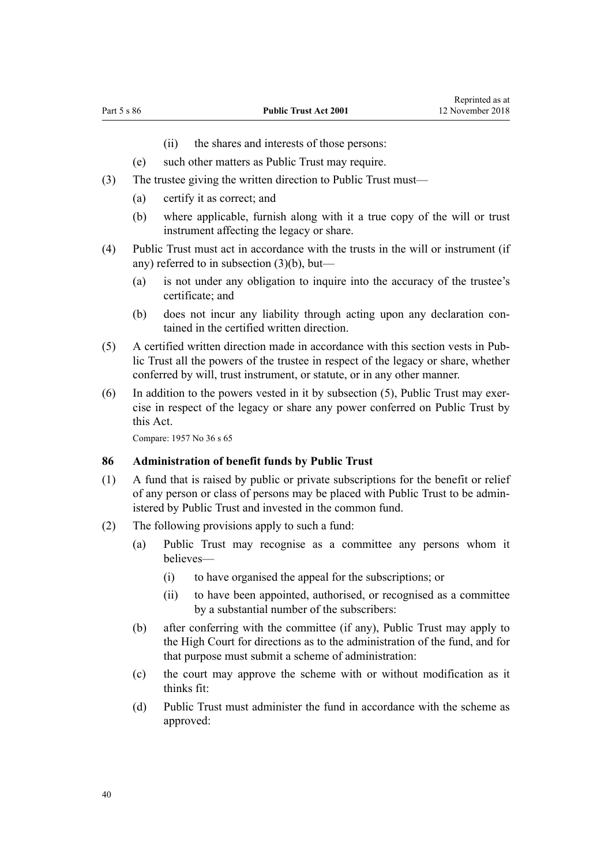- (ii) the shares and interests of those persons:
- (e) such other matters as Public Trust may require.
- <span id="page-39-0"></span>(3) The trustee giving the written direction to Public Trust must—
	- (a) certify it as correct; and
	- (b) where applicable, furnish along with it a true copy of the will or trust instrument affecting the legacy or share.
- (4) Public Trust must act in accordance with the trusts in the will or instrument (if any) referred to in subsection (3)(b), but—
	- (a) is not under any obligation to inquire into the accuracy of the trustee's certificate; and
	- (b) does not incur any liability through acting upon any declaration contained in the certified written direction.
- (5) A certified written direction made in accordance with this section vests in Public Trust all the powers of the trustee in respect of the legacy or share, whether conferred by will, trust instrument, or statute, or in any other manner.
- (6) In addition to the powers vested in it by subsection (5), Public Trust may exercise in respect of the legacy or share any power conferred on Public Trust by this Act.

#### **86 Administration of benefit funds by Public Trust**

- (1) A fund that is raised by public or private subscriptions for the benefit or relief of any person or class of persons may be placed with Public Trust to be administered by Public Trust and invested in the common fund.
- (2) The following provisions apply to such a fund:
	- (a) Public Trust may recognise as a committee any persons whom it believes—
		- (i) to have organised the appeal for the subscriptions; or
		- (ii) to have been appointed, authorised, or recognised as a committee by a substantial number of the subscribers:
	- (b) after conferring with the committee (if any), Public Trust may apply to the High Court for directions as to the administration of the fund, and for that purpose must submit a scheme of administration:
	- (c) the court may approve the scheme with or without modification as it thinks fit:
	- (d) Public Trust must administer the fund in accordance with the scheme as approved: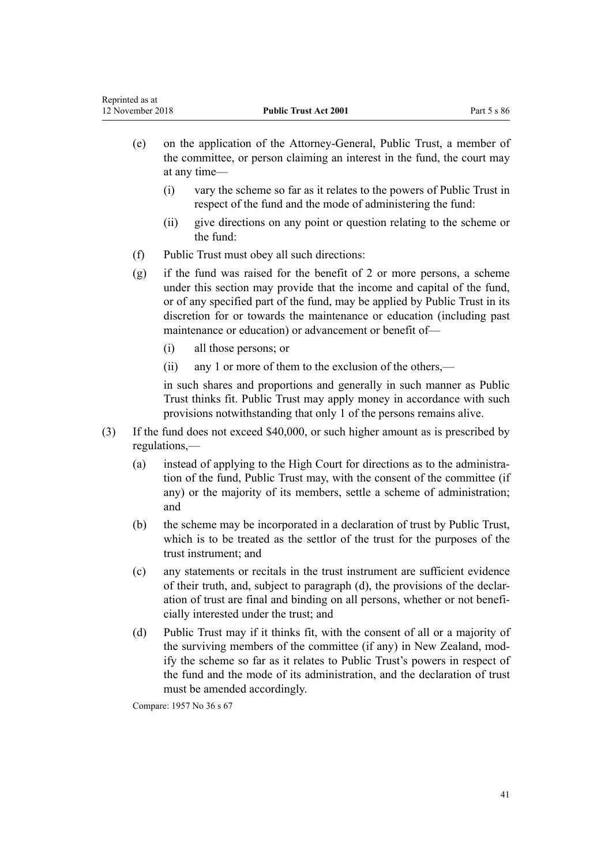- (e) on the application of the Attorney-General, Public Trust, a member of the committee, or person claiming an interest in the fund, the court may at any time—
	- (i) vary the scheme so far as it relates to the powers of Public Trust in respect of the fund and the mode of administering the fund:
	- (ii) give directions on any point or question relating to the scheme or the fund:
- (f) Public Trust must obey all such directions:
- (g) if the fund was raised for the benefit of 2 or more persons, a scheme under this section may provide that the income and capital of the fund, or of any specified part of the fund, may be applied by Public Trust in its discretion for or towards the maintenance or education (including past maintenance or education) or advancement or benefit of—
	- (i) all those persons; or
	- (ii) any 1 or more of them to the exclusion of the others,—

in such shares and proportions and generally in such manner as Public Trust thinks fit. Public Trust may apply money in accordance with such provisions notwithstanding that only 1 of the persons remains alive.

- (3) If the fund does not exceed \$40,000, or such higher amount as is prescribed by regulations,—
	- (a) instead of applying to the High Court for directions as to the administration of the fund, Public Trust may, with the consent of the committee (if any) or the majority of its members, settle a scheme of administration; and
	- (b) the scheme may be incorporated in a declaration of trust by Public Trust, which is to be treated as the settlor of the trust for the purposes of the trust instrument; and
	- (c) any statements or recitals in the trust instrument are sufficient evidence of their truth, and, subject to paragraph (d), the provisions of the declaration of trust are final and binding on all persons, whether or not beneficially interested under the trust; and
	- (d) Public Trust may if it thinks fit, with the consent of all or a majority of the surviving members of the committee (if any) in New Zealand, modify the scheme so far as it relates to Public Trust's powers in respect of the fund and the mode of its administration, and the declaration of trust must be amended accordingly.

Compare: 1957 No 36 s 67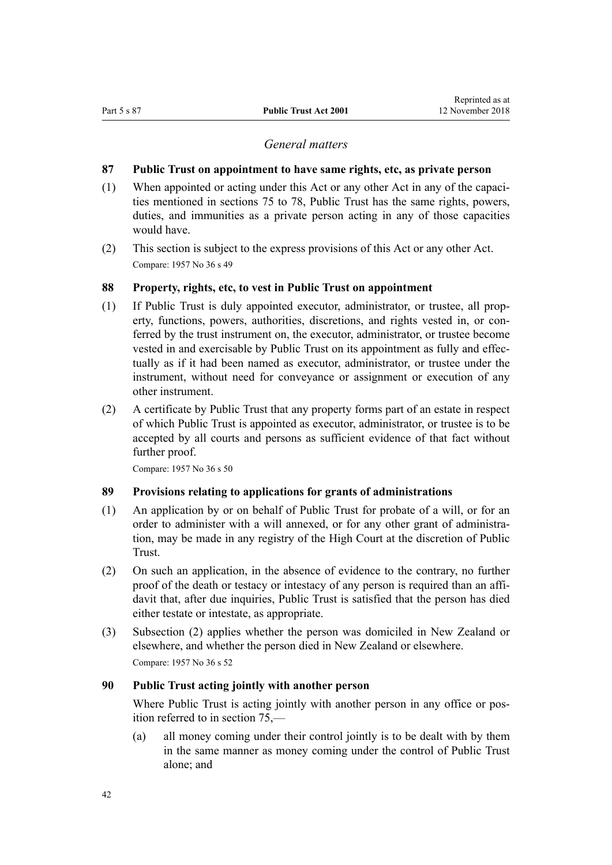### *General matters*

#### <span id="page-41-0"></span>**87 Public Trust on appointment to have same rights, etc, as private person**

- (1) When appointed or acting under this Act or any other Act in any of the capacities mentioned in [sections 75 to 78,](#page-32-0) Public Trust has the same rights, powers, duties, and immunities as a private person acting in any of those capacities would have.
- (2) This section is subject to the express provisions of this Act or any other Act. Compare: 1957 No 36 s 49

#### **88 Property, rights, etc, to vest in Public Trust on appointment**

- (1) If Public Trust is duly appointed executor, administrator, or trustee, all property, functions, powers, authorities, discretions, and rights vested in, or conferred by the trust instrument on, the executor, administrator, or trustee become vested in and exercisable by Public Trust on its appointment as fully and effectually as if it had been named as executor, administrator, or trustee under the instrument, without need for conveyance or assignment or execution of any other instrument.
- (2) A certificate by Public Trust that any property forms part of an estate in respect of which Public Trust is appointed as executor, administrator, or trustee is to be accepted by all courts and persons as sufficient evidence of that fact without further proof.

Compare: 1957 No 36 s 50

### **89 Provisions relating to applications for grants of administrations**

- (1) An application by or on behalf of Public Trust for probate of a will, or for an order to administer with a will annexed, or for any other grant of administration, may be made in any registry of the High Court at the discretion of Public Trust.
- (2) On such an application, in the absence of evidence to the contrary, no further proof of the death or testacy or intestacy of any person is required than an affidavit that, after due inquiries, Public Trust is satisfied that the person has died either testate or intestate, as appropriate.
- (3) Subsection (2) applies whether the person was domiciled in New Zealand or elsewhere, and whether the person died in New Zealand or elsewhere. Compare: 1957 No 36 s 52

#### **90 Public Trust acting jointly with another person**

Where Public Trust is acting jointly with another person in any office or position referred to in [section 75](#page-32-0),—

(a) all money coming under their control jointly is to be dealt with by them in the same manner as money coming under the control of Public Trust alone; and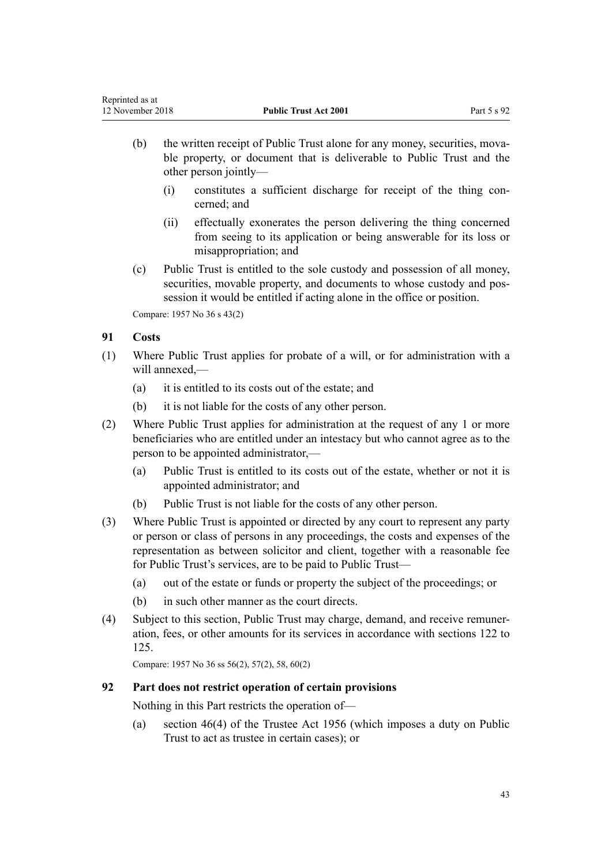- (b) the written receipt of Public Trust alone for any money, securities, movable property, or document that is deliverable to Public Trust and the other person jointly—
	- (i) constitutes a sufficient discharge for receipt of the thing concerned; and
	- (ii) effectually exonerates the person delivering the thing concerned from seeing to its application or being answerable for its loss or misappropriation; and
- (c) Public Trust is entitled to the sole custody and possession of all money, securities, movable property, and documents to whose custody and possession it would be entitled if acting alone in the office or position.

Compare: 1957 No 36 s 43(2)

# **91 Costs**

- (1) Where Public Trust applies for probate of a will, or for administration with a will annexed,—
	- (a) it is entitled to its costs out of the estate; and
	- (b) it is not liable for the costs of any other person.
- (2) Where Public Trust applies for administration at the request of any 1 or more beneficiaries who are entitled under an intestacy but who cannot agree as to the person to be appointed administrator,—
	- (a) Public Trust is entitled to its costs out of the estate, whether or not it is appointed administrator; and
	- (b) Public Trust is not liable for the costs of any other person.
- (3) Where Public Trust is appointed or directed by any court to represent any party or person or class of persons in any proceedings, the costs and expenses of the representation as between solicitor and client, together with a reasonable fee for Public Trust's services, are to be paid to Public Trust—
	- (a) out of the estate or funds or property the subject of the proceedings; or
	- (b) in such other manner as the court directs.
- (4) Subject to this section, Public Trust may charge, demand, and receive remuneration, fees, or other amounts for its services in accordance with [sections 122 to](#page-57-0) [125](#page-57-0).

Compare: 1957 No 36 ss 56(2), 57(2), 58, 60(2)

### **92 Part does not restrict operation of certain provisions**

Nothing in this Part restricts the operation of—

(a) [section 46\(4\)](http://prd-lgnz-nlb.prd.pco.net.nz/pdflink.aspx?id=DLM305508) of the Trustee Act 1956 (which imposes a duty on Public Trust to act as trustee in certain cases); or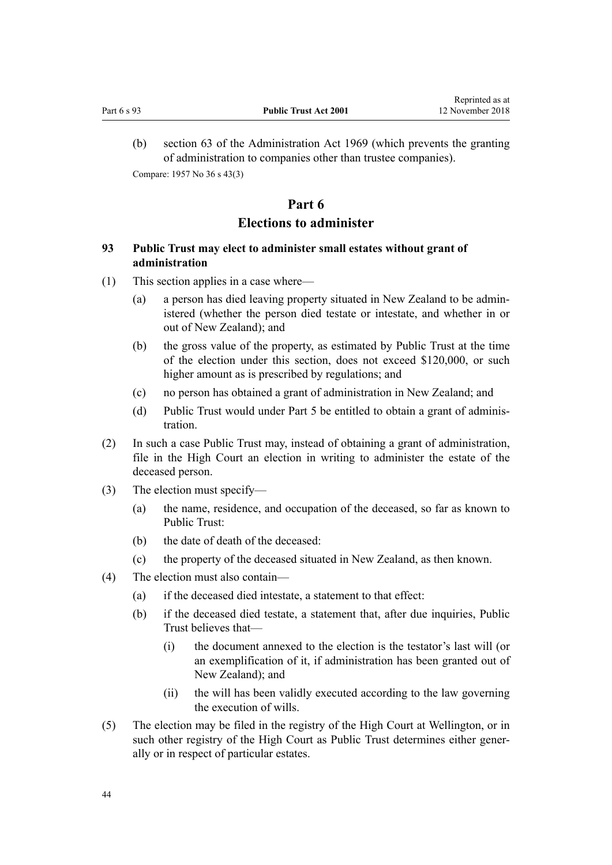<span id="page-43-0"></span>(b) [section 63](http://prd-lgnz-nlb.prd.pco.net.nz/pdflink.aspx?id=DLM393013) of the Administration Act 1969 (which prevents the granting of administration to companies other than trustee companies). Compare: 1957 No 36 s 43(3)

# **Part 6 Elections to administer**

# **93 Public Trust may elect to administer small estates without grant of administration**

- (1) This section applies in a case where—
	- (a) a person has died leaving property situated in New Zealand to be administered (whether the person died testate or intestate, and whether in or out of New Zealand); and
	- (b) the gross value of the property, as estimated by Public Trust at the time of the election under this section, does not exceed \$120,000, or such higher amount as is prescribed by regulations; and
	- (c) no person has obtained a grant of administration in New Zealand; and
	- (d) Public Trust would under [Part 5](#page-32-0) be entitled to obtain a grant of administration.
- (2) In such a case Public Trust may, instead of obtaining a grant of administration, file in the High Court an election in writing to administer the estate of the deceased person.
- (3) The election must specify—
	- (a) the name, residence, and occupation of the deceased, so far as known to Public Trust:
	- (b) the date of death of the deceased:
	- (c) the property of the deceased situated in New Zealand, as then known.
- (4) The election must also contain—
	- (a) if the deceased died intestate, a statement to that effect:
	- (b) if the deceased died testate, a statement that, after due inquiries, Public Trust believes that—
		- (i) the document annexed to the election is the testator's last will (or an exemplification of it, if administration has been granted out of New Zealand); and
		- (ii) the will has been validly executed according to the law governing the execution of wills.
- (5) The election may be filed in the registry of the High Court at Wellington, or in such other registry of the High Court as Public Trust determines either generally or in respect of particular estates.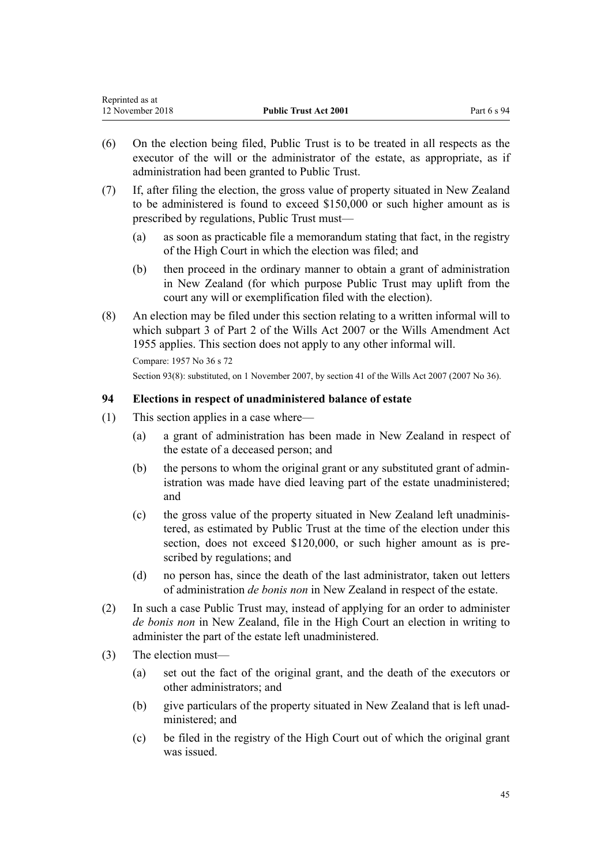<span id="page-44-0"></span>

| Reprinted as at  |                              |             |
|------------------|------------------------------|-------------|
| 12 November 2018 | <b>Public Trust Act 2001</b> | Part 6 s 94 |

- (6) On the election being filed, Public Trust is to be treated in all respects as the executor of the will or the administrator of the estate, as appropriate, as if administration had been granted to Public Trust.
- (7) If, after filing the election, the gross value of property situated in New Zealand to be administered is found to exceed \$150,000 or such higher amount as is prescribed by regulations, Public Trust must—
	- (a) as soon as practicable file a memorandum stating that fact, in the registry of the High Court in which the election was filed; and
	- (b) then proceed in the ordinary manner to obtain a grant of administration in New Zealand (for which purpose Public Trust may uplift from the court any will or exemplification filed with the election).
- (8) An election may be filed under this section relating to a written informal will to which [subpart 3](http://prd-lgnz-nlb.prd.pco.net.nz/pdflink.aspx?id=DLM413545) of Part 2 of the Wills Act 2007 or the Wills Amendment Act 1955 applies. This section does not apply to any other informal will.

Compare: 1957 No 36 s 72 Section 93(8): substituted, on 1 November 2007, by [section 41](http://prd-lgnz-nlb.prd.pco.net.nz/pdflink.aspx?id=DLM413569) of the Wills Act 2007 (2007 No 36).

# **94 Elections in respect of unadministered balance of estate**

- (1) This section applies in a case where—
	- (a) a grant of administration has been made in New Zealand in respect of the estate of a deceased person; and
	- (b) the persons to whom the original grant or any substituted grant of administration was made have died leaving part of the estate unadministered; and
	- (c) the gross value of the property situated in New Zealand left unadministered, as estimated by Public Trust at the time of the election under this section, does not exceed \$120,000, or such higher amount as is prescribed by regulations; and
	- (d) no person has, since the death of the last administrator, taken out letters of administration *de bonis non* in New Zealand in respect of the estate.
- (2) In such a case Public Trust may, instead of applying for an order to administer *de bonis non* in New Zealand, file in the High Court an election in writing to administer the part of the estate left unadministered.
- (3) The election must—
	- (a) set out the fact of the original grant, and the death of the executors or other administrators; and
	- (b) give particulars of the property situated in New Zealand that is left unadministered; and
	- (c) be filed in the registry of the High Court out of which the original grant was issued.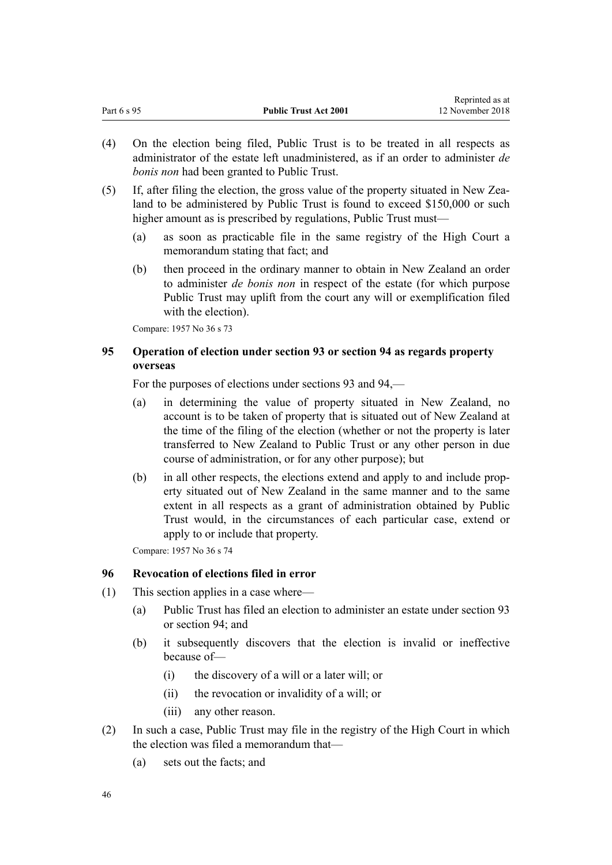<span id="page-45-0"></span>

| nephinted as at<br>12 November 2018 |
|-------------------------------------|
|                                     |

Reprinted as at

- (4) On the election being filed, Public Trust is to be treated in all respects as administrator of the estate left unadministered, as if an order to administer *de bonis non* had been granted to Public Trust.
- (5) If, after filing the election, the gross value of the property situated in New Zealand to be administered by Public Trust is found to exceed \$150,000 or such higher amount as is prescribed by regulations, Public Trust must—
	- (a) as soon as practicable file in the same registry of the High Court a memorandum stating that fact; and
	- (b) then proceed in the ordinary manner to obtain in New Zealand an order to administer *de bonis non* in respect of the estate (for which purpose Public Trust may uplift from the court any will or exemplification filed with the election).

Compare: 1957 No 36 s 73

## **95 Operation of election under section 93 or section 94 as regards property overseas**

For the purposes of elections under [sections 93](#page-43-0) and [94](#page-44-0),—

- (a) in determining the value of property situated in New Zealand, no account is to be taken of property that is situated out of New Zealand at the time of the filing of the election (whether or not the property is later transferred to New Zealand to Public Trust or any other person in due course of administration, or for any other purpose); but
- (b) in all other respects, the elections extend and apply to and include property situated out of New Zealand in the same manner and to the same extent in all respects as a grant of administration obtained by Public Trust would, in the circumstances of each particular case, extend or apply to or include that property.

Compare: 1957 No 36 s 74

### **96 Revocation of elections filed in error**

- (1) This section applies in a case where—
	- (a) Public Trust has filed an election to administer an estate under [section 93](#page-43-0) or [section 94;](#page-44-0) and
	- (b) it subsequently discovers that the election is invalid or ineffective because of—
		- (i) the discovery of a will or a later will; or
		- (ii) the revocation or invalidity of a will; or
		- (iii) any other reason.
- (2) In such a case, Public Trust may file in the registry of the High Court in which the election was filed a memorandum that—
	- (a) sets out the facts; and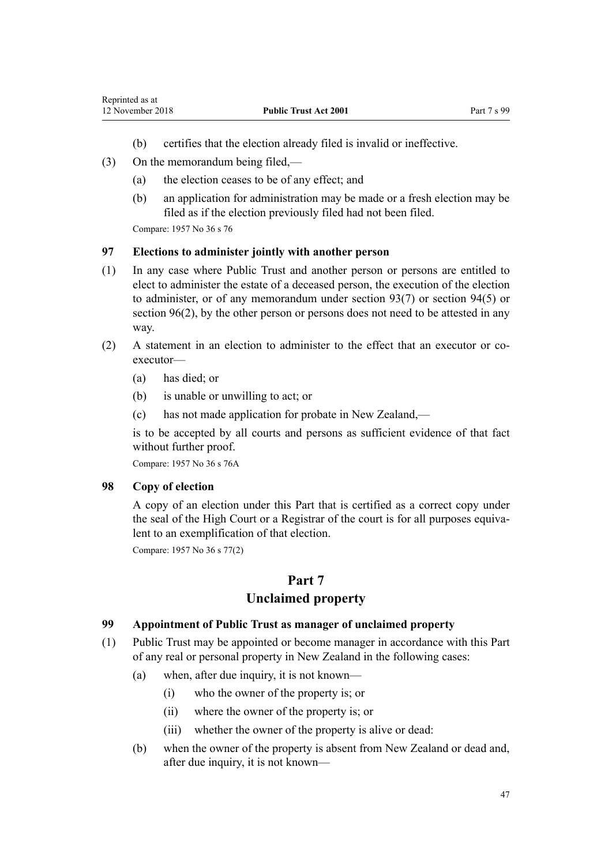- (b) certifies that the election already filed is invalid or ineffective.
- (3) On the memorandum being filed,—
	- (a) the election ceases to be of any effect; and
	- (b) an application for administration may be made or a fresh election may be filed as if the election previously filed had not been filed.

#### **97 Elections to administer jointly with another person**

- (1) In any case where Public Trust and another person or persons are entitled to elect to administer the estate of a deceased person, the execution of the election to administer, or of any memorandum under [section 93\(7\)](#page-43-0) or [section 94\(5\)](#page-44-0) or [section 96\(2\),](#page-45-0) by the other person or persons does not need to be attested in any way.
- (2) A statement in an election to administer to the effect that an executor or coexecutor—
	- (a) has died; or
	- (b) is unable or unwilling to act; or
	- (c) has not made application for probate in New Zealand,—

is to be accepted by all courts and persons as sufficient evidence of that fact without further proof.

Compare: 1957 No 36 s 76A

### **98 Copy of election**

A copy of an election under this Part that is certified as a correct copy under the seal of the High Court or a Registrar of the court is for all purposes equivalent to an exemplification of that election.

Compare: 1957 No 36 s 77(2)

# **Part 7**

# **Unclaimed property**

### **99 Appointment of Public Trust as manager of unclaimed property**

- (1) Public Trust may be appointed or become manager in accordance with this Part of any real or personal property in New Zealand in the following cases:
	- (a) when, after due inquiry, it is not known—
		- (i) who the owner of the property is; or
		- (ii) where the owner of the property is; or
		- (iii) whether the owner of the property is alive or dead:
	- (b) when the owner of the property is absent from New Zealand or dead and, after due inquiry, it is not known—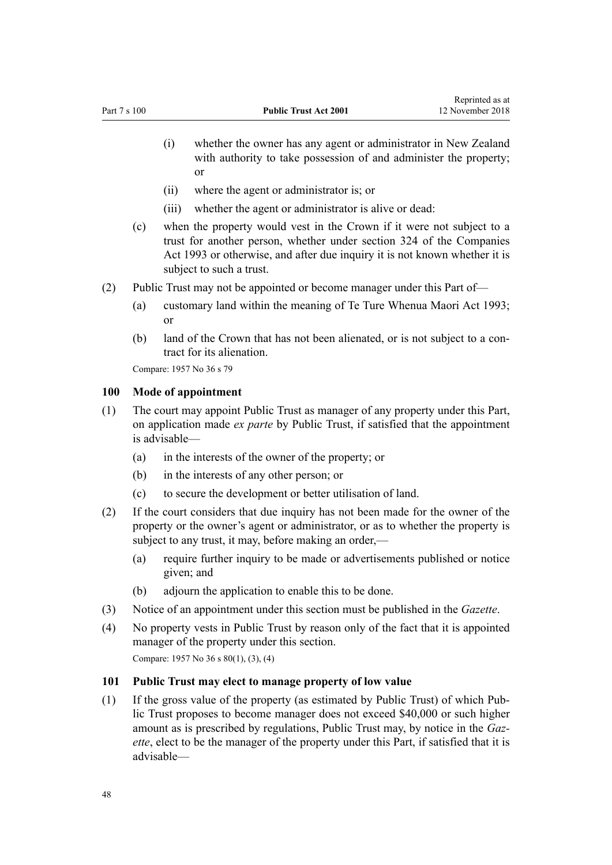- <span id="page-47-0"></span>(i) whether the owner has any agent or administrator in New Zealand with authority to take possession of and administer the property; or
- (ii) where the agent or administrator is; or
- (iii) whether the agent or administrator is alive or dead:
- (c) when the property would vest in the Crown if it were not subject to a trust for another person, whether under [section 324](http://prd-lgnz-nlb.prd.pco.net.nz/pdflink.aspx?id=DLM322850) of the Companies Act 1993 or otherwise, and after due inquiry it is not known whether it is subject to such a trust.
- (2) Public Trust may not be appointed or become manager under this Part of—
	- (a) customary land within the meaning of [Te Ture Whenua Maori Act 1993;](http://prd-lgnz-nlb.prd.pco.net.nz/pdflink.aspx?id=DLM289881) or
	- (b) land of the Crown that has not been alienated, or is not subject to a contract for its alienation.

#### **100 Mode of appointment**

- (1) The court may appoint Public Trust as manager of any property under this Part, on application made *ex parte* by Public Trust, if satisfied that the appointment is advisable—
	- (a) in the interests of the owner of the property; or
	- (b) in the interests of any other person; or
	- (c) to secure the development or better utilisation of land.
- (2) If the court considers that due inquiry has not been made for the owner of the property or the owner's agent or administrator, or as to whether the property is subject to any trust, it may, before making an order,—
	- (a) require further inquiry to be made or advertisements published or notice given; and
	- (b) adjourn the application to enable this to be done.
- (3) Notice of an appointment under this section must be published in the *Gazette*.
- (4) No property vests in Public Trust by reason only of the fact that it is appointed manager of the property under this section.

Compare: 1957 No 36 s 80(1), (3), (4)

## **101 Public Trust may elect to manage property of low value**

(1) If the gross value of the property (as estimated by Public Trust) of which Public Trust proposes to become manager does not exceed \$40,000 or such higher amount as is prescribed by regulations, Public Trust may, by notice in the *Gazette*, elect to be the manager of the property under this Part, if satisfied that it is advisable—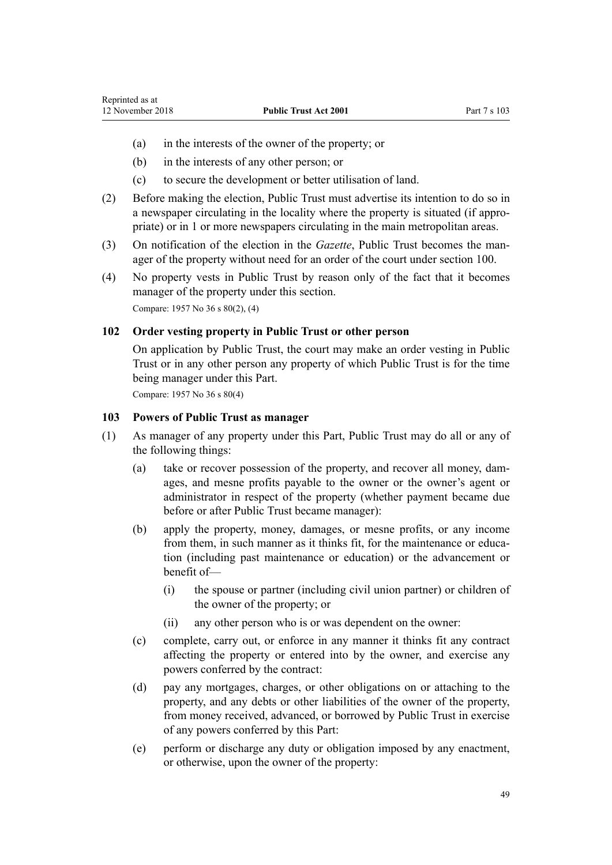- (a) in the interests of the owner of the property; or
- (b) in the interests of any other person; or
- (c) to secure the development or better utilisation of land.
- (2) Before making the election, Public Trust must advertise its intention to do so in a newspaper circulating in the locality where the property is situated (if appropriate) or in 1 or more newspapers circulating in the main metropolitan areas.
- (3) On notification of the election in the *Gazette*, Public Trust becomes the manager of the property without need for an order of the court under [section 100](#page-47-0).
- (4) No property vests in Public Trust by reason only of the fact that it becomes manager of the property under this section. Compare: 1957 No 36 s 80(2), (4)

### **102 Order vesting property in Public Trust or other person**

On application by Public Trust, the court may make an order vesting in Public Trust or in any other person any property of which Public Trust is for the time being manager under this Part.

Compare: 1957 No 36 s 80(4)

### **103 Powers of Public Trust as manager**

- (1) As manager of any property under this Part, Public Trust may do all or any of the following things:
	- (a) take or recover possession of the property, and recover all money, damages, and mesne profits payable to the owner or the owner's agent or administrator in respect of the property (whether payment became due before or after Public Trust became manager):
	- (b) apply the property, money, damages, or mesne profits, or any income from them, in such manner as it thinks fit, for the maintenance or education (including past maintenance or education) or the advancement or benefit of—
		- (i) the spouse or partner (including civil union partner) or children of the owner of the property; or
		- (ii) any other person who is or was dependent on the owner:
	- (c) complete, carry out, or enforce in any manner it thinks fit any contract affecting the property or entered into by the owner, and exercise any powers conferred by the contract:
	- (d) pay any mortgages, charges, or other obligations on or attaching to the property, and any debts or other liabilities of the owner of the property, from money received, advanced, or borrowed by Public Trust in exercise of any powers conferred by this Part:
	- (e) perform or discharge any duty or obligation imposed by any enactment, or otherwise, upon the owner of the property: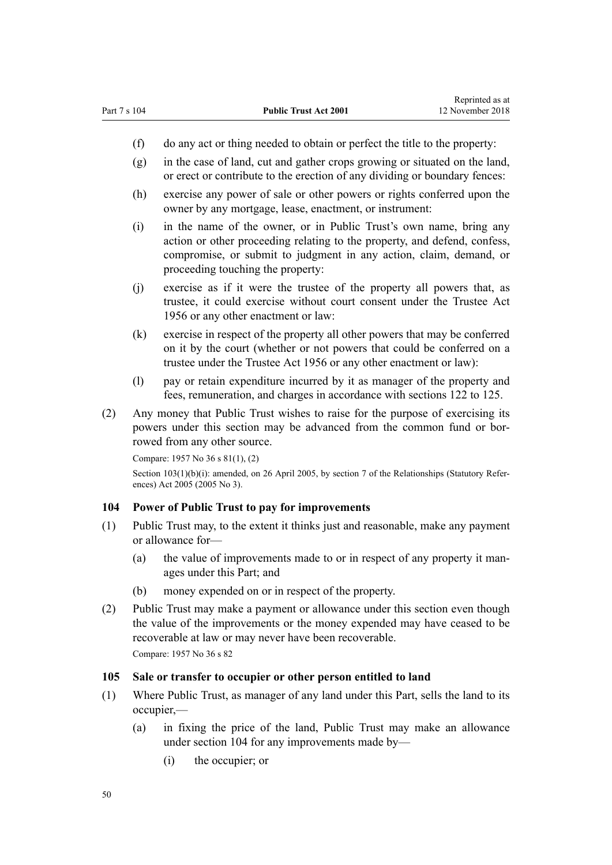- <span id="page-49-0"></span>(f) do any act or thing needed to obtain or perfect the title to the property:
- (g) in the case of land, cut and gather crops growing or situated on the land, or erect or contribute to the erection of any dividing or boundary fences:
- (h) exercise any power of sale or other powers or rights conferred upon the owner by any mortgage, lease, enactment, or instrument:
- (i) in the name of the owner, or in Public Trust's own name, bring any action or other proceeding relating to the property, and defend, confess, compromise, or submit to judgment in any action, claim, demand, or proceeding touching the property:
- (j) exercise as if it were the trustee of the property all powers that, as trustee, it could exercise without court consent under the [Trustee Act](http://prd-lgnz-nlb.prd.pco.net.nz/pdflink.aspx?id=DLM304703) [1956](http://prd-lgnz-nlb.prd.pco.net.nz/pdflink.aspx?id=DLM304703) or any other enactment or law:
- (k) exercise in respect of the property all other powers that may be conferred on it by the court (whether or not powers that could be conferred on a trustee under the [Trustee Act 1956](http://prd-lgnz-nlb.prd.pco.net.nz/pdflink.aspx?id=DLM304703) or any other enactment or law):
- (l) pay or retain expenditure incurred by it as manager of the property and fees, remuneration, and charges in accordance with [sections 122 to 125.](#page-57-0)
- (2) Any money that Public Trust wishes to raise for the purpose of exercising its powers under this section may be advanced from the common fund or borrowed from any other source.

```
Compare: 1957 No 36 s 81(1), (2)
section 7 of the Relationships (Statutory Refer-
ences) Act 2005 (2005 No 3).
```
### **104 Power of Public Trust to pay for improvements**

- (1) Public Trust may, to the extent it thinks just and reasonable, make any payment or allowance for—
	- (a) the value of improvements made to or in respect of any property it manages under this Part; and
	- (b) money expended on or in respect of the property.
- (2) Public Trust may make a payment or allowance under this section even though the value of the improvements or the money expended may have ceased to be recoverable at law or may never have been recoverable. Compare: 1957 No 36 s 82

#### **105 Sale or transfer to occupier or other person entitled to land**

- (1) Where Public Trust, as manager of any land under this Part, sells the land to its occupier,—
	- (a) in fixing the price of the land, Public Trust may make an allowance under section 104 for any improvements made by—
		- (i) the occupier; or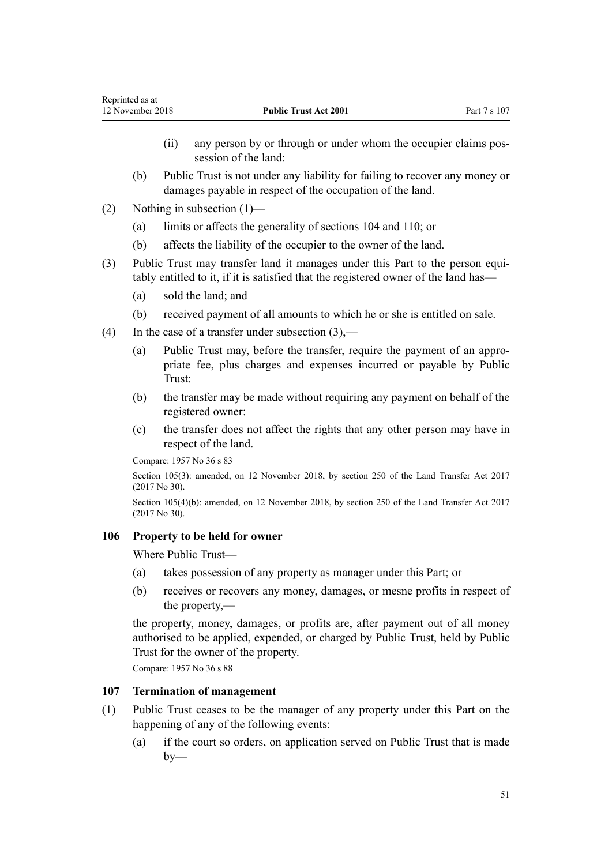- (ii) any person by or through or under whom the occupier claims possession of the land:
- (b) Public Trust is not under any liability for failing to recover any money or damages payable in respect of the occupation of the land.
- (2) Nothing in subsection (1)—
	- (a) limits or affects the generality of [sections 104](#page-49-0) and [110;](#page-52-0) or
	- (b) affects the liability of the occupier to the owner of the land.
- (3) Public Trust may transfer land it manages under this Part to the person equitably entitled to it, if it is satisfied that the registered owner of the land has—
	- (a) sold the land; and
	- (b) received payment of all amounts to which he or she is entitled on sale.
- (4) In the case of a transfer under subsection  $(3)$ ,—
	- (a) Public Trust may, before the transfer, require the payment of an appropriate fee, plus charges and expenses incurred or payable by Public Trust:
	- (b) the transfer may be made without requiring any payment on behalf of the registered owner:
	- (c) the transfer does not affect the rights that any other person may have in respect of the land.

Section 105(3): amended, on 12 November 2018, by [section 250](http://prd-lgnz-nlb.prd.pco.net.nz/pdflink.aspx?id=DLM6731493) of the Land Transfer Act 2017 (2017 No 30).

Section 105(4)(b): amended, on 12 November 2018, by [section 250](http://prd-lgnz-nlb.prd.pco.net.nz/pdflink.aspx?id=DLM6731493) of the Land Transfer Act 2017 (2017 No 30).

#### **106 Property to be held for owner**

Where Public Trust—

- (a) takes possession of any property as manager under this Part; or
- (b) receives or recovers any money, damages, or mesne profits in respect of the property,—

the property, money, damages, or profits are, after payment out of all money authorised to be applied, expended, or charged by Public Trust, held by Public Trust for the owner of the property.

Compare: 1957 No 36 s 88

### **107 Termination of management**

- (1) Public Trust ceases to be the manager of any property under this Part on the happening of any of the following events:
	- (a) if the court so orders, on application served on Public Trust that is made  $by-$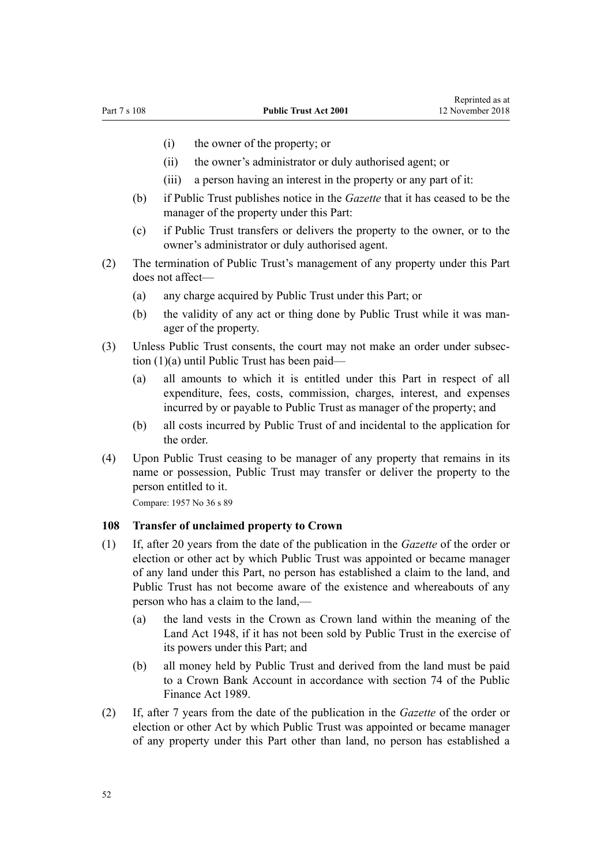- <span id="page-51-0"></span>(i) the owner of the property; or
- (ii) the owner's administrator or duly authorised agent; or
- (iii) a person having an interest in the property or any part of it:
- (b) if Public Trust publishes notice in the *Gazette* that it has ceased to be the manager of the property under this Part:
- (c) if Public Trust transfers or delivers the property to the owner, or to the owner's administrator or duly authorised agent.
- (2) The termination of Public Trust's management of any property under this Part does not affect—
	- (a) any charge acquired by Public Trust under this Part; or
	- (b) the validity of any act or thing done by Public Trust while it was manager of the property.
- (3) Unless Public Trust consents, the court may not make an order under subsection (1)(a) until Public Trust has been paid—
	- (a) all amounts to which it is entitled under this Part in respect of all expenditure, fees, costs, commission, charges, interest, and expenses incurred by or payable to Public Trust as manager of the property; and
	- (b) all costs incurred by Public Trust of and incidental to the application for the order.
- (4) Upon Public Trust ceasing to be manager of any property that remains in its name or possession, Public Trust may transfer or deliver the property to the person entitled to it.

### **108 Transfer of unclaimed property to Crown**

- (1) If, after 20 years from the date of the publication in the *Gazette* of the order or election or other act by which Public Trust was appointed or became manager of any land under this Part, no person has established a claim to the land, and Public Trust has not become aware of the existence and whereabouts of any person who has a claim to the land,—
	- (a) the land vests in the Crown as Crown land within the meaning of the [Land Act 1948](http://prd-lgnz-nlb.prd.pco.net.nz/pdflink.aspx?id=DLM250585), if it has not been sold by Public Trust in the exercise of its powers under this Part; and
	- (b) all money held by Public Trust and derived from the land must be paid to a Crown Bank Account in accordance with [section 74](http://prd-lgnz-nlb.prd.pco.net.nz/pdflink.aspx?id=DLM163141) of the Public Finance Act 1989.
- (2) If, after 7 years from the date of the publication in the *Gazette* of the order or election or other Act by which Public Trust was appointed or became manager of any property under this Part other than land, no person has established a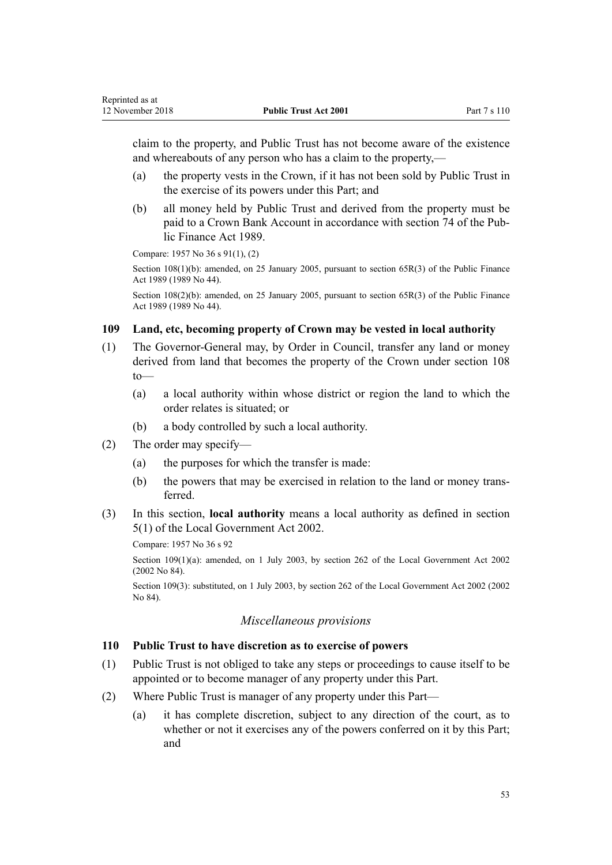<span id="page-52-0"></span>claim to the property, and Public Trust has not become aware of the existence and whereabouts of any person who has a claim to the property,—

- (a) the property vests in the Crown, if it has not been sold by Public Trust in the exercise of its powers under this Part; and
- (b) all money held by Public Trust and derived from the property must be paid to a Crown Bank Account in accordance with [section 74](http://prd-lgnz-nlb.prd.pco.net.nz/pdflink.aspx?id=DLM163141) of the Public Finance Act 1989.

Compare: 1957 No 36 s 91(1), (2)

Section 108(1)(b): amended, on 25 January 2005, pursuant to [section 65R\(3\)](http://prd-lgnz-nlb.prd.pco.net.nz/pdflink.aspx?id=DLM162942) of the Public Finance Act 1989 (1989 No 44).

Section 108(2)(b): amended, on 25 January 2005, pursuant to [section 65R\(3\)](http://prd-lgnz-nlb.prd.pco.net.nz/pdflink.aspx?id=DLM162942) of the Public Finance Act 1989 (1989 No 44).

#### **109 Land, etc, becoming property of Crown may be vested in local authority**

- (1) The Governor-General may, by Order in Council, transfer any land or money derived from land that becomes the property of the Crown under [section 108](#page-51-0) to—
	- (a) a local authority within whose district or region the land to which the order relates is situated; or
	- (b) a body controlled by such a local authority.
- (2) The order may specify—
	- (a) the purposes for which the transfer is made:
	- (b) the powers that may be exercised in relation to the land or money transferred.
- (3) In this section, **local authority** means a local authority as defined in [section](http://prd-lgnz-nlb.prd.pco.net.nz/pdflink.aspx?id=DLM170881) [5\(1\)](http://prd-lgnz-nlb.prd.pco.net.nz/pdflink.aspx?id=DLM170881) of the [Local Government Act 2002.](http://prd-lgnz-nlb.prd.pco.net.nz/pdflink.aspx?id=DLM170872)

Compare: 1957 No 36 s 92

Section 109(1)(a): amended, on 1 July 2003, by [section 262](http://prd-lgnz-nlb.prd.pco.net.nz/pdflink.aspx?id=DLM174088) of the Local Government Act 2002 (2002 No 84).

Section 109(3): substituted, on 1 July 2003, by [section 262](http://prd-lgnz-nlb.prd.pco.net.nz/pdflink.aspx?id=DLM174088) of the Local Government Act 2002 (2002 No 84).

### *Miscellaneous provisions*

#### **110 Public Trust to have discretion as to exercise of powers**

- (1) Public Trust is not obliged to take any steps or proceedings to cause itself to be appointed or to become manager of any property under this Part.
- (2) Where Public Trust is manager of any property under this Part—
	- (a) it has complete discretion, subject to any direction of the court, as to whether or not it exercises any of the powers conferred on it by this Part; and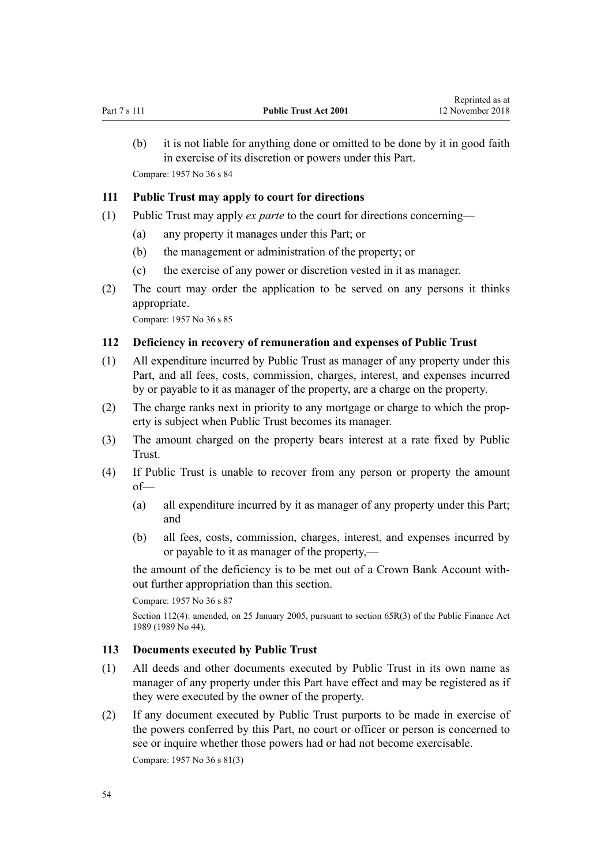(b) it is not liable for anything done or omitted to be done by it in good faith in exercise of its discretion or powers under this Part. Compare: 1957 No 36 s 84

#### **111 Public Trust may apply to court for directions**

- (1) Public Trust may apply *ex parte* to the court for directions concerning—
	- (a) any property it manages under this Part; or
	- (b) the management or administration of the property; or
	- (c) the exercise of any power or discretion vested in it as manager.
- (2) The court may order the application to be served on any persons it thinks appropriate.

Compare: 1957 No 36 s 85

### **112 Deficiency in recovery of remuneration and expenses of Public Trust**

- (1) All expenditure incurred by Public Trust as manager of any property under this Part, and all fees, costs, commission, charges, interest, and expenses incurred by or payable to it as manager of the property, are a charge on the property.
- (2) The charge ranks next in priority to any mortgage or charge to which the property is subject when Public Trust becomes its manager.
- (3) The amount charged on the property bears interest at a rate fixed by Public Trust.
- (4) If Public Trust is unable to recover from any person or property the amount of—
	- (a) all expenditure incurred by it as manager of any property under this Part; and
	- (b) all fees, costs, commission, charges, interest, and expenses incurred by or payable to it as manager of the property,—

the amount of the deficiency is to be met out of a Crown Bank Account without further appropriation than this section.

Compare: 1957 No 36 s 87

Section 112(4): amended, on 25 January 2005, pursuant to [section 65R\(3\)](http://prd-lgnz-nlb.prd.pco.net.nz/pdflink.aspx?id=DLM162942) of the Public Finance Act 1989 (1989 No 44).

### **113 Documents executed by Public Trust**

- (1) All deeds and other documents executed by Public Trust in its own name as manager of any property under this Part have effect and may be registered as if they were executed by the owner of the property.
- (2) If any document executed by Public Trust purports to be made in exercise of the powers conferred by this Part, no court or officer or person is concerned to see or inquire whether those powers had or had not become exercisable. Compare: 1957 No 36 s 81(3)

54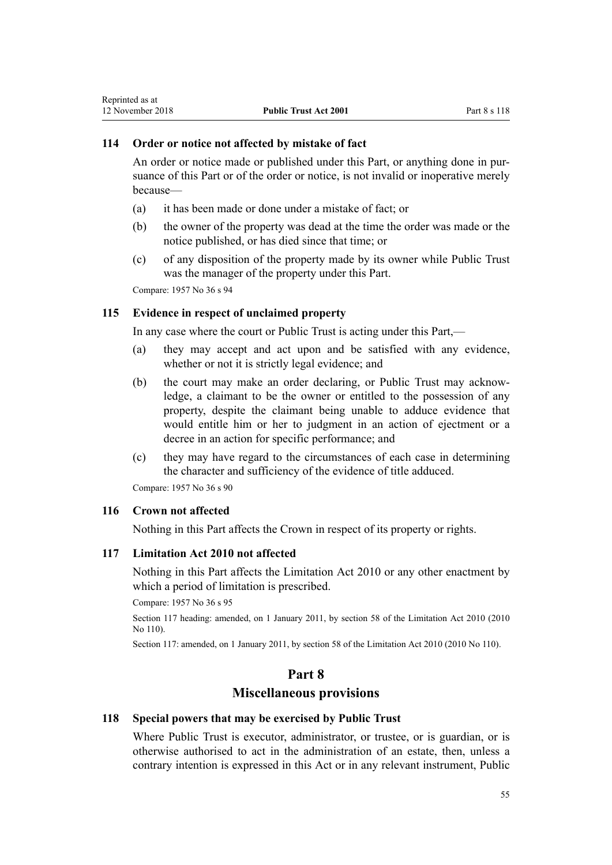### **114 Order or notice not affected by mistake of fact**

An order or notice made or published under this Part, or anything done in pursuance of this Part or of the order or notice, is not invalid or inoperative merely because—

- (a) it has been made or done under a mistake of fact; or
- (b) the owner of the property was dead at the time the order was made or the notice published, or has died since that time; or
- (c) of any disposition of the property made by its owner while Public Trust was the manager of the property under this Part.

Compare: 1957 No 36 s 94

### **115 Evidence in respect of unclaimed property**

In any case where the court or Public Trust is acting under this Part,—

- (a) they may accept and act upon and be satisfied with any evidence, whether or not it is strictly legal evidence; and
- (b) the court may make an order declaring, or Public Trust may acknowledge, a claimant to be the owner or entitled to the possession of any property, despite the claimant being unable to adduce evidence that would entitle him or her to judgment in an action of ejectment or a decree in an action for specific performance; and
- (c) they may have regard to the circumstances of each case in determining the character and sufficiency of the evidence of title adduced.

Compare: 1957 No 36 s 90

### **116 Crown not affected**

Nothing in this Part affects the Crown in respect of its property or rights.

### **117 Limitation Act 2010 not affected**

Nothing in this Part affects the [Limitation Act 2010](http://prd-lgnz-nlb.prd.pco.net.nz/pdflink.aspx?id=DLM2033100) or any other enactment by which a period of limitation is prescribed.

Compare: 1957 No 36 s 95

Section 117 heading: amended, on 1 January 2011, by [section 58](http://prd-lgnz-nlb.prd.pco.net.nz/pdflink.aspx?id=DLM2033287) of the Limitation Act 2010 (2010 No 110).

Section 117: amended, on 1 January 2011, by [section 58](http://prd-lgnz-nlb.prd.pco.net.nz/pdflink.aspx?id=DLM2033287) of the Limitation Act 2010 (2010 No 110).

### **Part 8**

# **Miscellaneous provisions**

#### **118 Special powers that may be exercised by Public Trust**

Where Public Trust is executor, administrator, or trustee, or is guardian, or is otherwise authorised to act in the administration of an estate, then, unless a contrary intention is expressed in this Act or in any relevant instrument, Public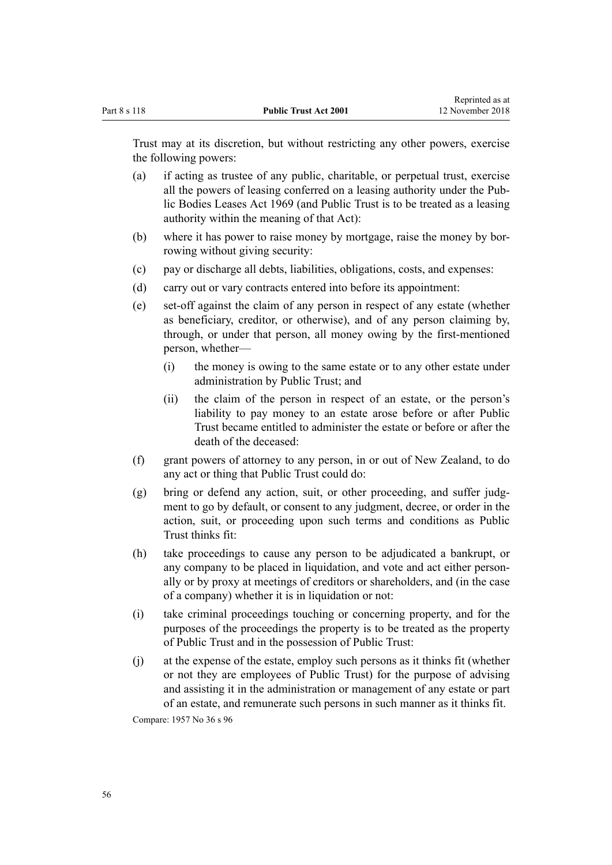Trust may at its discretion, but without restricting any other powers, exercise the following powers:

- (a) if acting as trustee of any public, charitable, or perpetual trust, exercise all the powers of leasing conferred on a leasing authority under the [Pub](http://prd-lgnz-nlb.prd.pco.net.nz/pdflink.aspx?id=DLM394841)[lic Bodies Leases Act 1969](http://prd-lgnz-nlb.prd.pco.net.nz/pdflink.aspx?id=DLM394841) (and Public Trust is to be treated as a leasing authority within the meaning of that Act):
- (b) where it has power to raise money by mortgage, raise the money by borrowing without giving security:
- (c) pay or discharge all debts, liabilities, obligations, costs, and expenses:
- (d) carry out or vary contracts entered into before its appointment:
- (e) set-off against the claim of any person in respect of any estate (whether as beneficiary, creditor, or otherwise), and of any person claiming by, through, or under that person, all money owing by the first-mentioned person, whether—
	- (i) the money is owing to the same estate or to any other estate under administration by Public Trust; and
	- (ii) the claim of the person in respect of an estate, or the person's liability to pay money to an estate arose before or after Public Trust became entitled to administer the estate or before or after the death of the deceased:
- (f) grant powers of attorney to any person, in or out of New Zealand, to do any act or thing that Public Trust could do:
- (g) bring or defend any action, suit, or other proceeding, and suffer judgment to go by default, or consent to any judgment, decree, or order in the action, suit, or proceeding upon such terms and conditions as Public Trust thinks fit:
- (h) take proceedings to cause any person to be adjudicated a bankrupt, or any company to be placed in liquidation, and vote and act either personally or by proxy at meetings of creditors or shareholders, and (in the case of a company) whether it is in liquidation or not:
- (i) take criminal proceedings touching or concerning property, and for the purposes of the proceedings the property is to be treated as the property of Public Trust and in the possession of Public Trust:
- (j) at the expense of the estate, employ such persons as it thinks fit (whether or not they are employees of Public Trust) for the purpose of advising and assisting it in the administration or management of any estate or part of an estate, and remunerate such persons in such manner as it thinks fit.

Compare: 1957 No 36 s 96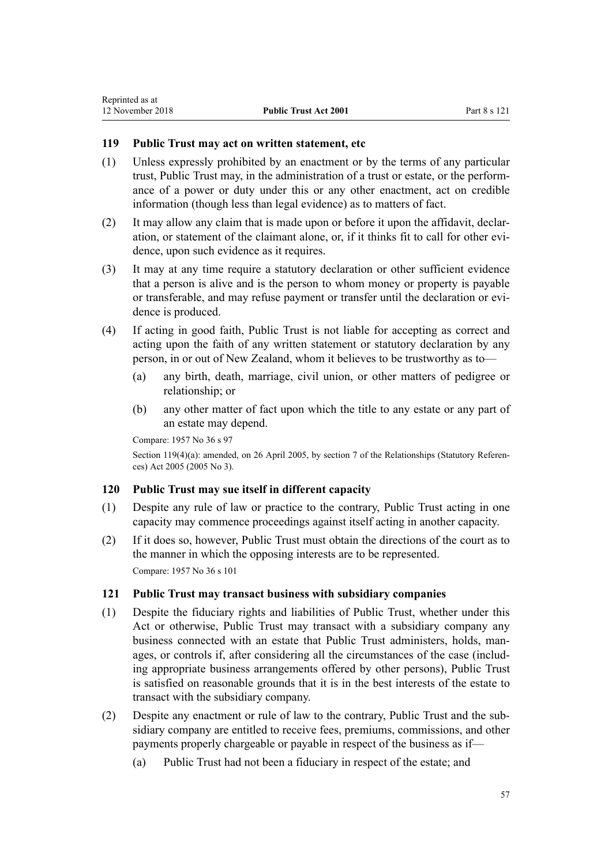# **119 Public Trust may act on written statement, etc**

- (1) Unless expressly prohibited by an enactment or by the terms of any particular trust, Public Trust may, in the administration of a trust or estate, or the performance of a power or duty under this or any other enactment, act on credible information (though less than legal evidence) as to matters of fact.
- (2) It may allow any claim that is made upon or before it upon the affidavit, declaration, or statement of the claimant alone, or, if it thinks fit to call for other evidence, upon such evidence as it requires.
- (3) It may at any time require a statutory declaration or other sufficient evidence that a person is alive and is the person to whom money or property is payable or transferable, and may refuse payment or transfer until the declaration or evidence is produced.
- (4) If acting in good faith, Public Trust is not liable for accepting as correct and acting upon the faith of any written statement or statutory declaration by any person, in or out of New Zealand, whom it believes to be trustworthy as to—
	- (a) any birth, death, marriage, civil union, or other matters of pedigree or relationship; or
	- (b) any other matter of fact upon which the title to any estate or any part of an estate may depend.

```
Compare: 1957 No 36 s 97
```
Section 119(4)(a): amended, on 26 April 2005, by [section 7](http://prd-lgnz-nlb.prd.pco.net.nz/pdflink.aspx?id=DLM333795) of the Relationships (Statutory References) Act 2005 (2005 No 3).

### **120 Public Trust may sue itself in different capacity**

- (1) Despite any rule of law or practice to the contrary, Public Trust acting in one capacity may commence proceedings against itself acting in another capacity.
- (2) If it does so, however, Public Trust must obtain the directions of the court as to the manner in which the opposing interests are to be represented. Compare: 1957 No 36 s 101

### **121 Public Trust may transact business with subsidiary companies**

- (1) Despite the fiduciary rights and liabilities of Public Trust, whether under this Act or otherwise, Public Trust may transact with a subsidiary company any business connected with an estate that Public Trust administers, holds, manages, or controls if, after considering all the circumstances of the case (including appropriate business arrangements offered by other persons), Public Trust is satisfied on reasonable grounds that it is in the best interests of the estate to transact with the subsidiary company.
- (2) Despite any enactment or rule of law to the contrary, Public Trust and the subsidiary company are entitled to receive fees, premiums, commissions, and other payments properly chargeable or payable in respect of the business as if—
	- (a) Public Trust had not been a fiduciary in respect of the estate; and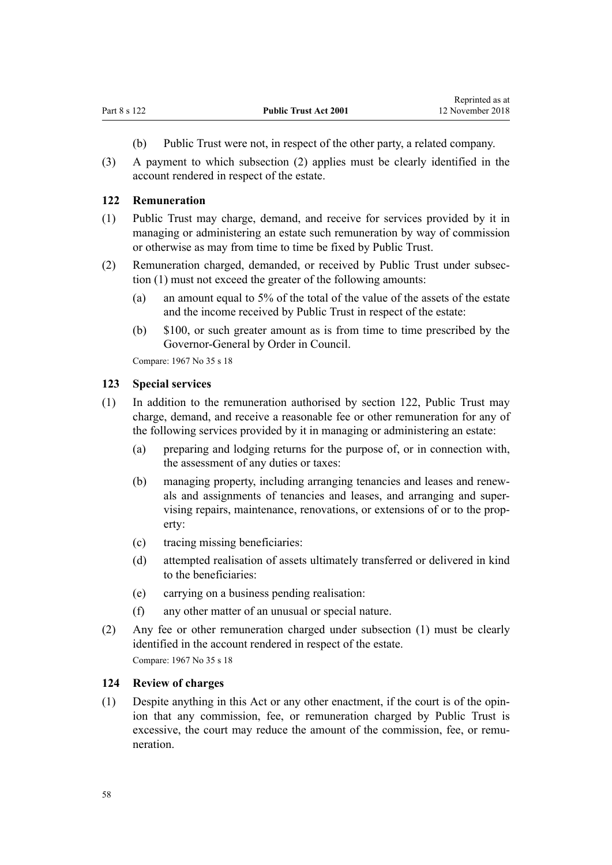- (b) Public Trust were not, in respect of the other party, a related company.
- <span id="page-57-0"></span>(3) A payment to which subsection (2) applies must be clearly identified in the account rendered in respect of the estate.

#### **122 Remuneration**

- (1) Public Trust may charge, demand, and receive for services provided by it in managing or administering an estate such remuneration by way of commission or otherwise as may from time to time be fixed by Public Trust.
- (2) Remuneration charged, demanded, or received by Public Trust under subsection (1) must not exceed the greater of the following amounts:
	- (a) an amount equal to 5% of the total of the value of the assets of the estate and the income received by Public Trust in respect of the estate:
	- (b) \$100, or such greater amount as is from time to time prescribed by the Governor-General by Order in Council.

Compare: 1967 No 35 [s 18](http://prd-lgnz-nlb.prd.pco.net.nz/pdflink.aspx?id=DLM381473)

#### **123 Special services**

- (1) In addition to the remuneration authorised by section 122, Public Trust may charge, demand, and receive a reasonable fee or other remuneration for any of the following services provided by it in managing or administering an estate:
	- (a) preparing and lodging returns for the purpose of, or in connection with, the assessment of any duties or taxes:
	- (b) managing property, including arranging tenancies and leases and renewals and assignments of tenancies and leases, and arranging and supervising repairs, maintenance, renovations, or extensions of or to the property:
	- (c) tracing missing beneficiaries:
	- (d) attempted realisation of assets ultimately transferred or delivered in kind to the beneficiaries:
	- (e) carrying on a business pending realisation:
	- (f) any other matter of an unusual or special nature.
- (2) Any fee or other remuneration charged under subsection (1) must be clearly identified in the account rendered in respect of the estate.

Compare: 1967 No 35 [s 18](http://prd-lgnz-nlb.prd.pco.net.nz/pdflink.aspx?id=DLM381473)

#### **124 Review of charges**

(1) Despite anything in this Act or any other enactment, if the court is of the opinion that any commission, fee, or remuneration charged by Public Trust is excessive, the court may reduce the amount of the commission, fee, or remuneration.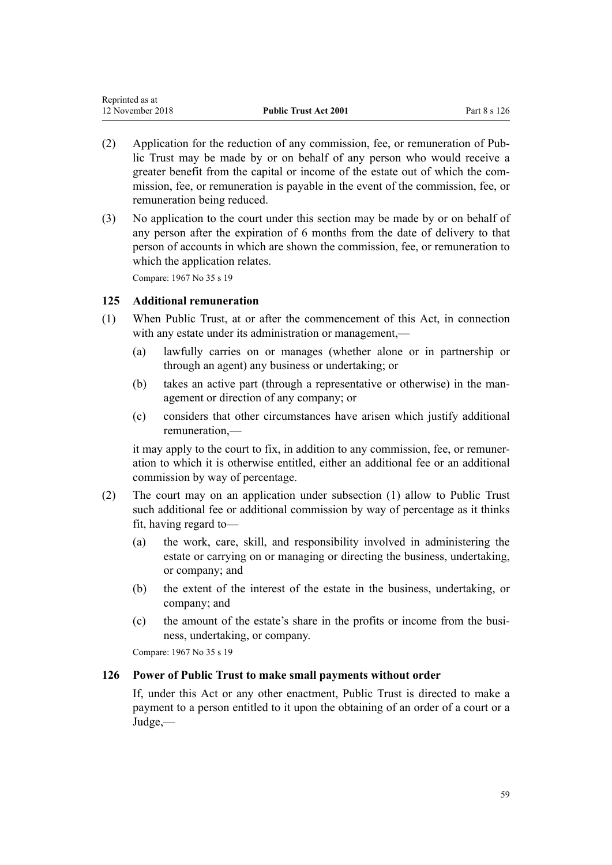<span id="page-58-0"></span>

| Reprinted as at  |                              |              |
|------------------|------------------------------|--------------|
| 12 November 2018 | <b>Public Trust Act 2001</b> | Part 8 s 126 |

- (2) Application for the reduction of any commission, fee, or remuneration of Public Trust may be made by or on behalf of any person who would receive a greater benefit from the capital or income of the estate out of which the commission, fee, or remuneration is payable in the event of the commission, fee, or remuneration being reduced.
- (3) No application to the court under this section may be made by or on behalf of any person after the expiration of 6 months from the date of delivery to that person of accounts in which are shown the commission, fee, or remuneration to which the application relates.

### **125 Additional remuneration**

- (1) When Public Trust, at or after the commencement of this Act, in connection with any estate under its administration or management,—
	- (a) lawfully carries on or manages (whether alone or in partnership or through an agent) any business or undertaking; or
	- (b) takes an active part (through a representative or otherwise) in the management or direction of any company; or
	- (c) considers that other circumstances have arisen which justify additional remuneration,—

it may apply to the court to fix, in addition to any commission, fee, or remuneration to which it is otherwise entitled, either an additional fee or an additional commission by way of percentage.

- (2) The court may on an application under subsection (1) allow to Public Trust such additional fee or additional commission by way of percentage as it thinks fit, having regard to—
	- (a) the work, care, skill, and responsibility involved in administering the estate or carrying on or managing or directing the business, undertaking, or company; and
	- (b) the extent of the interest of the estate in the business, undertaking, or company; and
	- (c) the amount of the estate's share in the profits or income from the business, undertaking, or company.

Compare: 1967 No 35 [s 19](http://prd-lgnz-nlb.prd.pco.net.nz/pdflink.aspx?id=DLM381476)

#### **126 Power of Public Trust to make small payments without order**

If, under this Act or any other enactment, Public Trust is directed to make a payment to a person entitled to it upon the obtaining of an order of a court or a Judge,—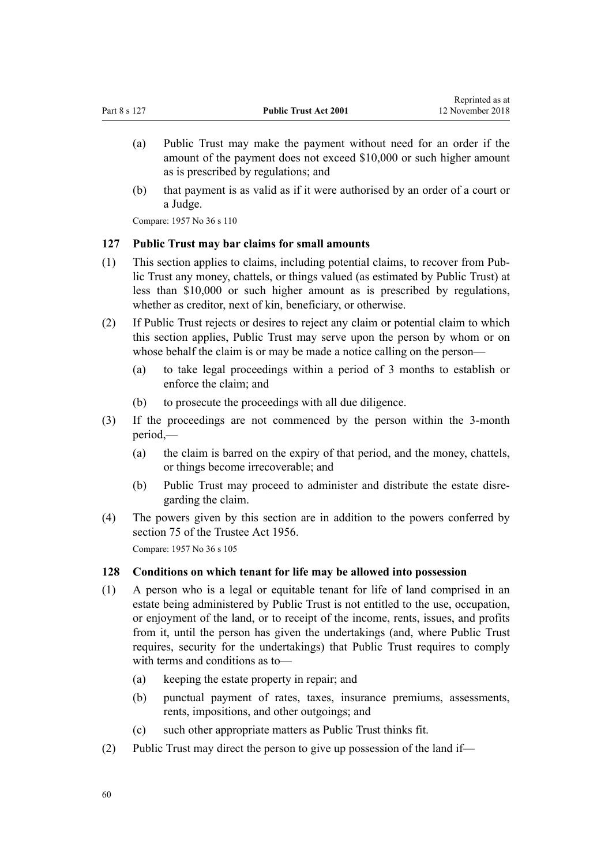- <span id="page-59-0"></span>(a) Public Trust may make the payment without need for an order if the amount of the payment does not exceed \$10,000 or such higher amount as is prescribed by regulations; and
- (b) that payment is as valid as if it were authorised by an order of a court or a Judge.

#### **127 Public Trust may bar claims for small amounts**

- (1) This section applies to claims, including potential claims, to recover from Public Trust any money, chattels, or things valued (as estimated by Public Trust) at less than \$10,000 or such higher amount as is prescribed by regulations, whether as creditor, next of kin, beneficiary, or otherwise.
- (2) If Public Trust rejects or desires to reject any claim or potential claim to which this section applies, Public Trust may serve upon the person by whom or on whose behalf the claim is or may be made a notice calling on the person—
	- (a) to take legal proceedings within a period of 3 months to establish or enforce the claim; and
	- (b) to prosecute the proceedings with all due diligence.
- (3) If the proceedings are not commenced by the person within the 3-month period,—
	- (a) the claim is barred on the expiry of that period, and the money, chattels, or things become irrecoverable; and
	- (b) Public Trust may proceed to administer and distribute the estate disregarding the claim.
- (4) The powers given by this section are in addition to the powers conferred by [section 75](http://prd-lgnz-nlb.prd.pco.net.nz/pdflink.aspx?id=DLM305583) of the Trustee Act 1956. Compare: 1957 No 36 s 105

#### **128 Conditions on which tenant for life may be allowed into possession**

- (1) A person who is a legal or equitable tenant for life of land comprised in an estate being administered by Public Trust is not entitled to the use, occupation, or enjoyment of the land, or to receipt of the income, rents, issues, and profits from it, until the person has given the undertakings (and, where Public Trust requires, security for the undertakings) that Public Trust requires to comply with terms and conditions as to—
	- (a) keeping the estate property in repair; and
	- (b) punctual payment of rates, taxes, insurance premiums, assessments, rents, impositions, and other outgoings; and
	- (c) such other appropriate matters as Public Trust thinks fit.
- (2) Public Trust may direct the person to give up possession of the land if—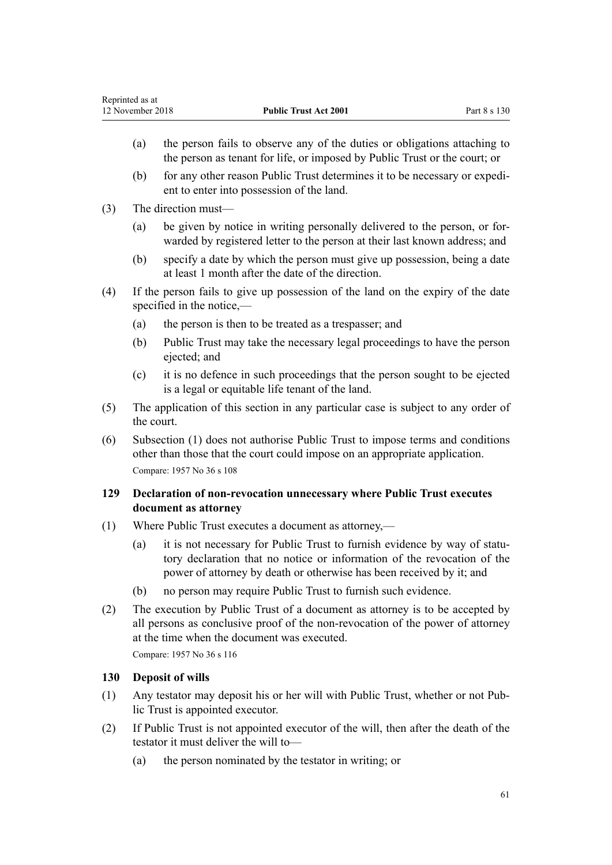- (a) the person fails to observe any of the duties or obligations attaching to the person as tenant for life, or imposed by Public Trust or the court; or
- (b) for any other reason Public Trust determines it to be necessary or expedient to enter into possession of the land.
- (3) The direction must—
	- (a) be given by notice in writing personally delivered to the person, or forwarded by registered letter to the person at their last known address; and
	- (b) specify a date by which the person must give up possession, being a date at least 1 month after the date of the direction.
- (4) If the person fails to give up possession of the land on the expiry of the date specified in the notice,—
	- (a) the person is then to be treated as a trespasser; and
	- (b) Public Trust may take the necessary legal proceedings to have the person ejected; and
	- (c) it is no defence in such proceedings that the person sought to be ejected is a legal or equitable life tenant of the land.
- (5) The application of this section in any particular case is subject to any order of the court.
- (6) Subsection (1) does not authorise Public Trust to impose terms and conditions other than those that the court could impose on an appropriate application. Compare: 1957 No 36 s 108

### **129 Declaration of non-revocation unnecessary where Public Trust executes document as attorney**

- (1) Where Public Trust executes a document as attorney,—
	- (a) it is not necessary for Public Trust to furnish evidence by way of statutory declaration that no notice or information of the revocation of the power of attorney by death or otherwise has been received by it; and
	- (b) no person may require Public Trust to furnish such evidence.
- (2) The execution by Public Trust of a document as attorney is to be accepted by all persons as conclusive proof of the non-revocation of the power of attorney at the time when the document was executed.

Compare: 1957 No 36 s 116

# **130 Deposit of wills**

- (1) Any testator may deposit his or her will with Public Trust, whether or not Public Trust is appointed executor.
- (2) If Public Trust is not appointed executor of the will, then after the death of the testator it must deliver the will to—
	- (a) the person nominated by the testator in writing; or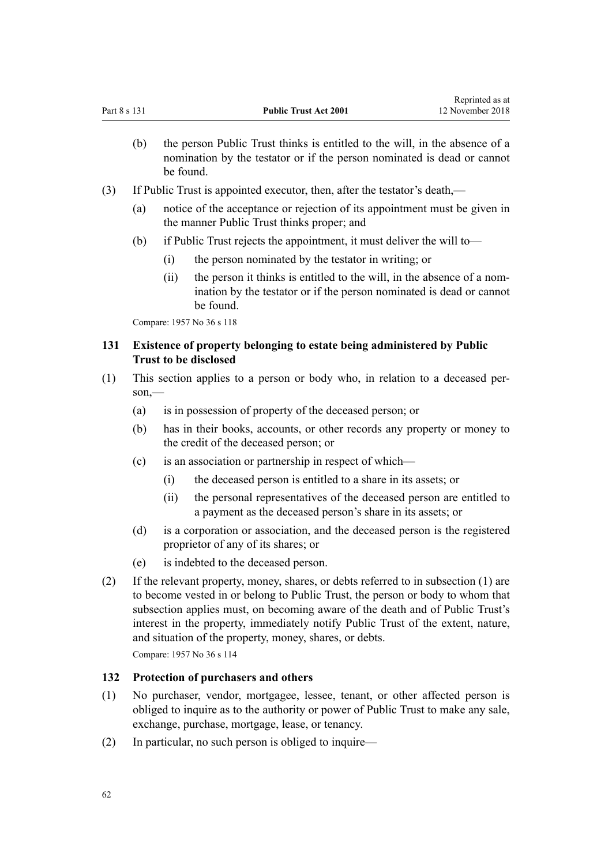- (b) the person Public Trust thinks is entitled to the will, in the absence of a nomination by the testator or if the person nominated is dead or cannot be found.
- (3) If Public Trust is appointed executor, then, after the testator's death,—
	- (a) notice of the acceptance or rejection of its appointment must be given in the manner Public Trust thinks proper; and
	- (b) if Public Trust rejects the appointment, it must deliver the will to—
		- (i) the person nominated by the testator in writing; or
		- (ii) the person it thinks is entitled to the will, in the absence of a nomination by the testator or if the person nominated is dead or cannot be found.

## **131 Existence of property belonging to estate being administered by Public Trust to be disclosed**

- (1) This section applies to a person or body who, in relation to a deceased person,—
	- (a) is in possession of property of the deceased person; or
	- (b) has in their books, accounts, or other records any property or money to the credit of the deceased person; or
	- (c) is an association or partnership in respect of which—
		- (i) the deceased person is entitled to a share in its assets; or
		- (ii) the personal representatives of the deceased person are entitled to a payment as the deceased person's share in its assets; or
	- (d) is a corporation or association, and the deceased person is the registered proprietor of any of its shares; or
	- (e) is indebted to the deceased person.
- (2) If the relevant property, money, shares, or debts referred to in subsection (1) are to become vested in or belong to Public Trust, the person or body to whom that subsection applies must, on becoming aware of the death and of Public Trust's interest in the property, immediately notify Public Trust of the extent, nature, and situation of the property, money, shares, or debts.

Compare: 1957 No 36 s 114

#### **132 Protection of purchasers and others**

- (1) No purchaser, vendor, mortgagee, lessee, tenant, or other affected person is obliged to inquire as to the authority or power of Public Trust to make any sale, exchange, purchase, mortgage, lease, or tenancy.
- (2) In particular, no such person is obliged to inquire—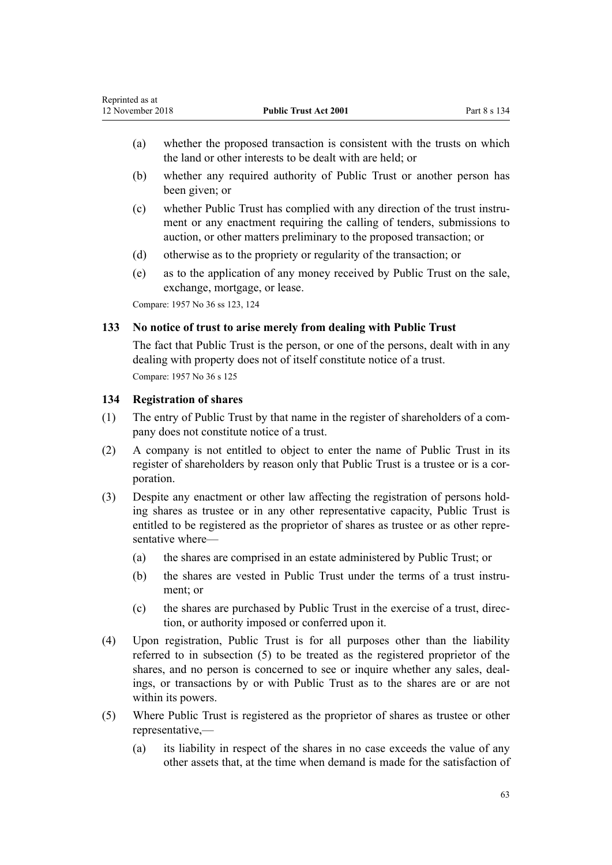- (a) whether the proposed transaction is consistent with the trusts on which the land or other interests to be dealt with are held; or
- (b) whether any required authority of Public Trust or another person has been given; or
- (c) whether Public Trust has complied with any direction of the trust instrument or any enactment requiring the calling of tenders, submissions to auction, or other matters preliminary to the proposed transaction; or
- (d) otherwise as to the propriety or regularity of the transaction; or
- (e) as to the application of any money received by Public Trust on the sale, exchange, mortgage, or lease.

Compare: 1957 No 36 ss 123, 124

### **133 No notice of trust to arise merely from dealing with Public Trust**

The fact that Public Trust is the person, or one of the persons, dealt with in any dealing with property does not of itself constitute notice of a trust. Compare: 1957 No 36 s 125

### **134 Registration of shares**

- (1) The entry of Public Trust by that name in the register of shareholders of a company does not constitute notice of a trust.
- (2) A company is not entitled to object to enter the name of Public Trust in its register of shareholders by reason only that Public Trust is a trustee or is a corporation.
- (3) Despite any enactment or other law affecting the registration of persons holding shares as trustee or in any other representative capacity, Public Trust is entitled to be registered as the proprietor of shares as trustee or as other representative where—
	- (a) the shares are comprised in an estate administered by Public Trust; or
	- (b) the shares are vested in Public Trust under the terms of a trust instrument; or
	- (c) the shares are purchased by Public Trust in the exercise of a trust, direction, or authority imposed or conferred upon it.
- (4) Upon registration, Public Trust is for all purposes other than the liability referred to in subsection (5) to be treated as the registered proprietor of the shares, and no person is concerned to see or inquire whether any sales, dealings, or transactions by or with Public Trust as to the shares are or are not within its powers.
- (5) Where Public Trust is registered as the proprietor of shares as trustee or other representative,—
	- (a) its liability in respect of the shares in no case exceeds the value of any other assets that, at the time when demand is made for the satisfaction of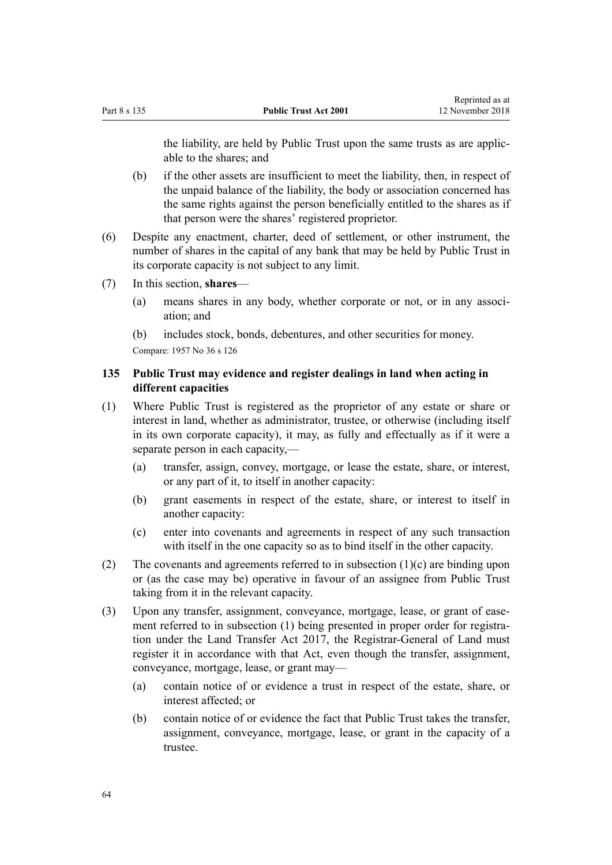the liability, are held by Public Trust upon the same trusts as are applicable to the shares; and

- (b) if the other assets are insufficient to meet the liability, then, in respect of the unpaid balance of the liability, the body or association concerned has the same rights against the person beneficially entitled to the shares as if that person were the shares' registered proprietor.
- (6) Despite any enactment, charter, deed of settlement, or other instrument, the number of shares in the capital of any bank that may be held by Public Trust in its corporate capacity is not subject to any limit.
- (7) In this section, **shares**
	- (a) means shares in any body, whether corporate or not, or in any association; and
	- (b) includes stock, bonds, debentures, and other securities for money.

Compare: 1957 No 36 s 126

### **135 Public Trust may evidence and register dealings in land when acting in different capacities**

- (1) Where Public Trust is registered as the proprietor of any estate or share or interest in land, whether as administrator, trustee, or otherwise (including itself in its own corporate capacity), it may, as fully and effectually as if it were a separate person in each capacity,—
	- (a) transfer, assign, convey, mortgage, or lease the estate, share, or interest, or any part of it, to itself in another capacity:
	- (b) grant easements in respect of the estate, share, or interest to itself in another capacity:
	- (c) enter into covenants and agreements in respect of any such transaction with itself in the one capacity so as to bind itself in the other capacity.
- (2) The covenants and agreements referred to in subsection (1)(c) are binding upon or (as the case may be) operative in favour of an assignee from Public Trust taking from it in the relevant capacity.
- (3) Upon any transfer, assignment, conveyance, mortgage, lease, or grant of easement referred to in subsection (1) being presented in proper order for registration under the [Land Transfer Act 2017,](http://prd-lgnz-nlb.prd.pco.net.nz/pdflink.aspx?id=DLM6731002) the Registrar-General of Land must register it in accordance with that Act, even though the transfer, assignment, conveyance, mortgage, lease, or grant may—
	- (a) contain notice of or evidence a trust in respect of the estate, share, or interest affected; or
	- (b) contain notice of or evidence the fact that Public Trust takes the transfer, assignment, conveyance, mortgage, lease, or grant in the capacity of a trustee.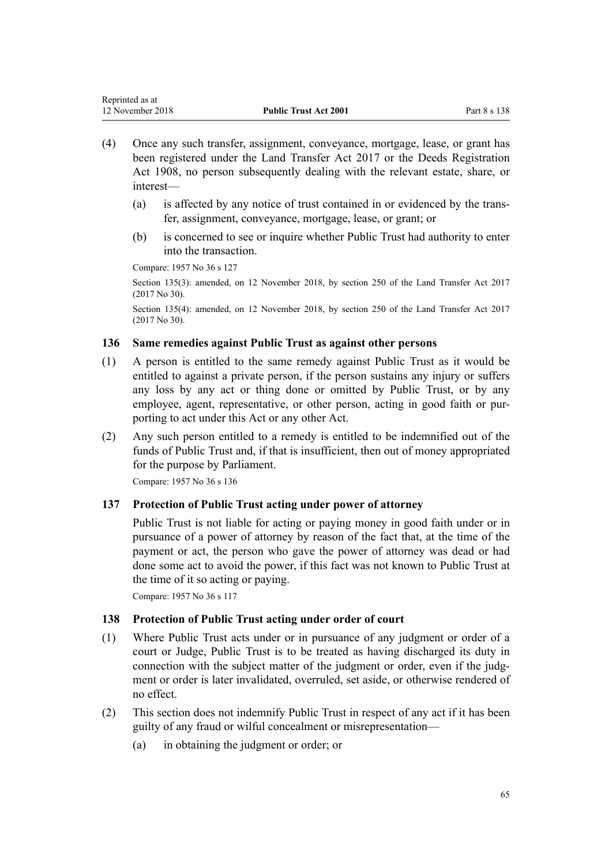- (4) Once any such transfer, assignment, conveyance, mortgage, lease, or grant has been registered under the [Land Transfer Act 2017](http://prd-lgnz-nlb.prd.pco.net.nz/pdflink.aspx?id=DLM6731002) or the [Deeds Registration](http://prd-lgnz-nlb.prd.pco.net.nz/pdflink.aspx?id=DLM141134) [Act 1908](http://prd-lgnz-nlb.prd.pco.net.nz/pdflink.aspx?id=DLM141134), no person subsequently dealing with the relevant estate, share, or interest—
	- (a) is affected by any notice of trust contained in or evidenced by the transfer, assignment, conveyance, mortgage, lease, or grant; or
	- (b) is concerned to see or inquire whether Public Trust had authority to enter into the transaction.

Section 135(3): amended, on 12 November 2018, by [section 250](http://prd-lgnz-nlb.prd.pco.net.nz/pdflink.aspx?id=DLM6731493) of the Land Transfer Act 2017 (2017 No 30).

Section 135(4): amended, on 12 November 2018, by [section 250](http://prd-lgnz-nlb.prd.pco.net.nz/pdflink.aspx?id=DLM6731493) of the Land Transfer Act 2017 (2017 No 30).

# **136 Same remedies against Public Trust as against other persons**

- (1) A person is entitled to the same remedy against Public Trust as it would be entitled to against a private person, if the person sustains any injury or suffers any loss by any act or thing done or omitted by Public Trust, or by any employee, agent, representative, or other person, acting in good faith or purporting to act under this Act or any other Act.
- (2) Any such person entitled to a remedy is entitled to be indemnified out of the funds of Public Trust and, if that is insufficient, then out of money appropriated for the purpose by Parliament.

Compare: 1957 No 36 s 136

# **137 Protection of Public Trust acting under power of attorney**

Public Trust is not liable for acting or paying money in good faith under or in pursuance of a power of attorney by reason of the fact that, at the time of the payment or act, the person who gave the power of attorney was dead or had done some act to avoid the power, if this fact was not known to Public Trust at the time of it so acting or paying.

Compare: 1957 No 36 s 117

# **138 Protection of Public Trust acting under order of court**

- (1) Where Public Trust acts under or in pursuance of any judgment or order of a court or Judge, Public Trust is to be treated as having discharged its duty in connection with the subject matter of the judgment or order, even if the judgment or order is later invalidated, overruled, set aside, or otherwise rendered of no effect.
- (2) This section does not indemnify Public Trust in respect of any act if it has been guilty of any fraud or wilful concealment or misrepresentation—
	- (a) in obtaining the judgment or order; or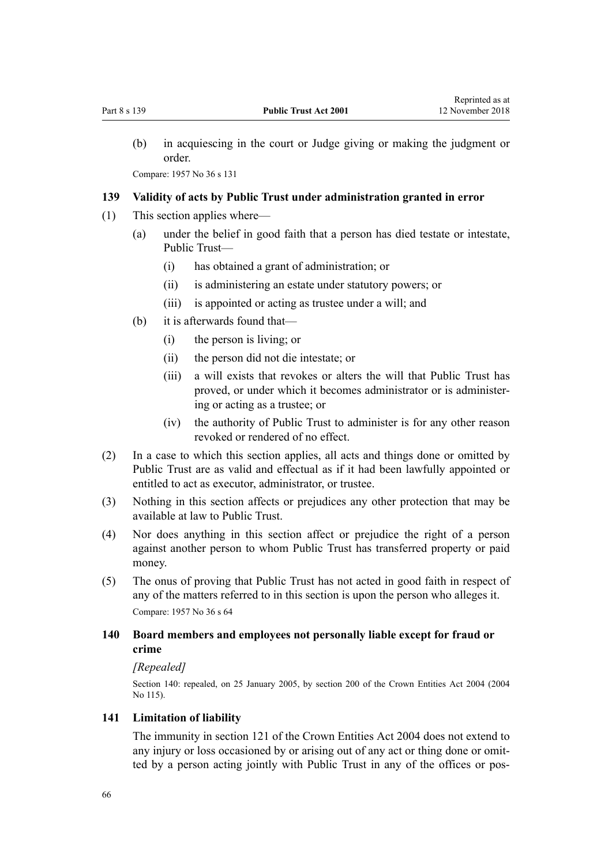(b) in acquiescing in the court or Judge giving or making the judgment or order.

Compare: 1957 No 36 s 131

## **139 Validity of acts by Public Trust under administration granted in error**

- (1) This section applies where—
	- (a) under the belief in good faith that a person has died testate or intestate, Public Trust—
		- (i) has obtained a grant of administration; or
		- (ii) is administering an estate under statutory powers; or
		- (iii) is appointed or acting as trustee under a will; and
	- (b) it is afterwards found that—
		- (i) the person is living; or
		- (ii) the person did not die intestate; or
		- (iii) a will exists that revokes or alters the will that Public Trust has proved, or under which it becomes administrator or is administering or acting as a trustee; or
		- (iv) the authority of Public Trust to administer is for any other reason revoked or rendered of no effect.
- (2) In a case to which this section applies, all acts and things done or omitted by Public Trust are as valid and effectual as if it had been lawfully appointed or entitled to act as executor, administrator, or trustee.
- (3) Nothing in this section affects or prejudices any other protection that may be available at law to Public Trust.
- (4) Nor does anything in this section affect or prejudice the right of a person against another person to whom Public Trust has transferred property or paid money.
- (5) The onus of proving that Public Trust has not acted in good faith in respect of any of the matters referred to in this section is upon the person who alleges it. Compare: 1957 No 36 s 64

# **140 Board members and employees not personally liable except for fraud or crime**

#### *[Repealed]*

Section 140: repealed, on 25 January 2005, by [section 200](http://prd-lgnz-nlb.prd.pco.net.nz/pdflink.aspx?id=DLM331111) of the Crown Entities Act 2004 (2004 No 115).

### **141 Limitation of liability**

The immunity in [section 121](http://prd-lgnz-nlb.prd.pco.net.nz/pdflink.aspx?id=DLM330373) of the Crown Entities Act 2004 does not extend to any injury or loss occasioned by or arising out of any act or thing done or omitted by a person acting jointly with Public Trust in any of the offices or pos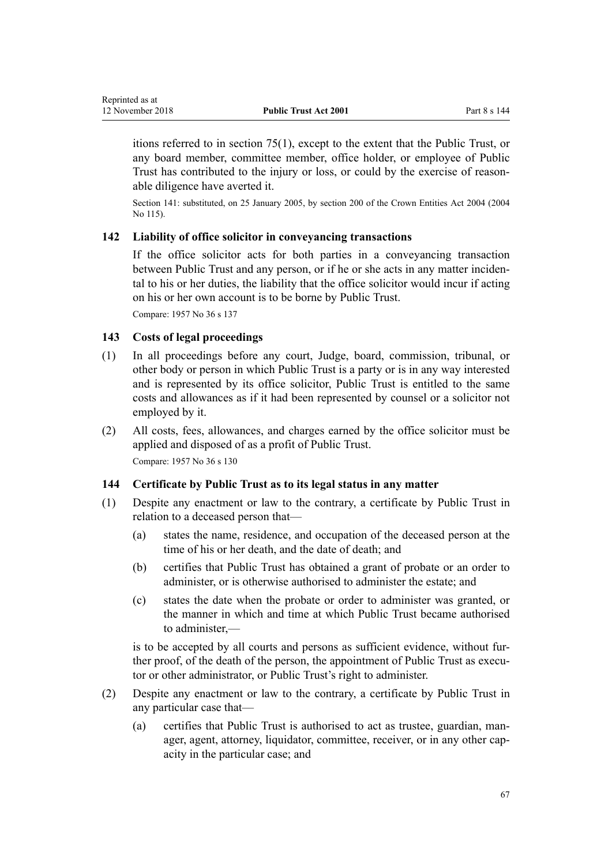itions referred to in [section 75\(1\),](#page-32-0) except to the extent that the Public Trust, or any board member, committee member, office holder, or employee of Public Trust has contributed to the injury or loss, or could by the exercise of reasonable diligence have averted it.

Section 141: substituted, on 25 January 2005, by [section 200](http://prd-lgnz-nlb.prd.pco.net.nz/pdflink.aspx?id=DLM331111) of the Crown Entities Act 2004 (2004) No 115).

#### **142 Liability of office solicitor in conveyancing transactions**

If the office solicitor acts for both parties in a conveyancing transaction between Public Trust and any person, or if he or she acts in any matter incidental to his or her duties, the liability that the office solicitor would incur if acting on his or her own account is to be borne by Public Trust.

Compare: 1957 No 36 s 137

<span id="page-66-0"></span>Reprinted as at

#### **143 Costs of legal proceedings**

- (1) In all proceedings before any court, Judge, board, commission, tribunal, or other body or person in which Public Trust is a party or is in any way interested and is represented by its office solicitor, Public Trust is entitled to the same costs and allowances as if it had been represented by counsel or a solicitor not employed by it.
- (2) All costs, fees, allowances, and charges earned by the office solicitor must be applied and disposed of as a profit of Public Trust. Compare: 1957 No 36 s 130

#### **144 Certificate by Public Trust as to its legal status in any matter**

- (1) Despite any enactment or law to the contrary, a certificate by Public Trust in relation to a deceased person that—
	- (a) states the name, residence, and occupation of the deceased person at the time of his or her death, and the date of death; and
	- (b) certifies that Public Trust has obtained a grant of probate or an order to administer, or is otherwise authorised to administer the estate; and
	- (c) states the date when the probate or order to administer was granted, or the manner in which and time at which Public Trust became authorised to administer,—

is to be accepted by all courts and persons as sufficient evidence, without further proof, of the death of the person, the appointment of Public Trust as executor or other administrator, or Public Trust's right to administer.

- (2) Despite any enactment or law to the contrary, a certificate by Public Trust in any particular case that—
	- (a) certifies that Public Trust is authorised to act as trustee, guardian, manager, agent, attorney, liquidator, committee, receiver, or in any other capacity in the particular case; and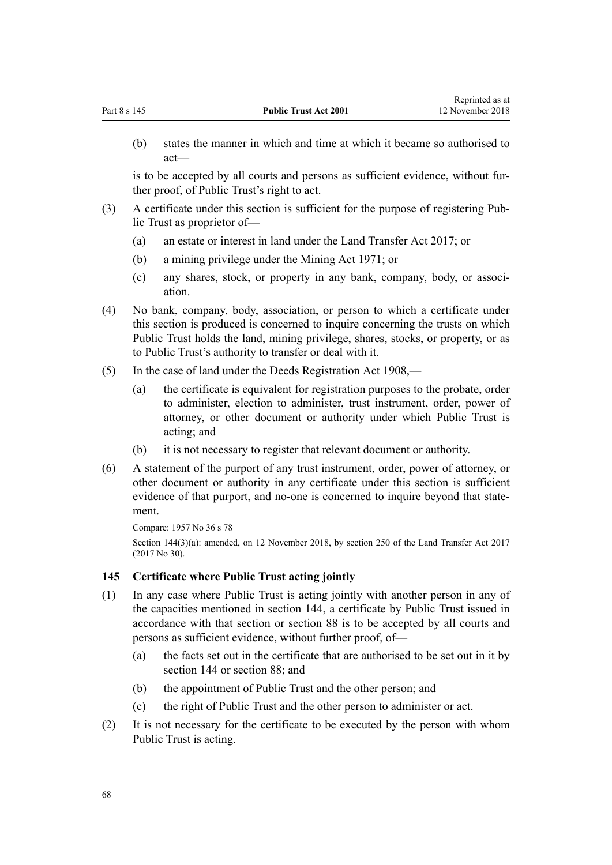(b) states the manner in which and time at which it became so authorised to act—

is to be accepted by all courts and persons as sufficient evidence, without further proof, of Public Trust's right to act.

- (3) A certificate under this section is sufficient for the purpose of registering Public Trust as proprietor of—
	- (a) an estate or interest in land under the [Land Transfer Act 2017](http://prd-lgnz-nlb.prd.pco.net.nz/pdflink.aspx?id=DLM6731002); or
	- (b) a mining privilege under the Mining Act 1971; or
	- (c) any shares, stock, or property in any bank, company, body, or association.
- (4) No bank, company, body, association, or person to which a certificate under this section is produced is concerned to inquire concerning the trusts on which Public Trust holds the land, mining privilege, shares, stocks, or property, or as to Public Trust's authority to transfer or deal with it.
- (5) In the case of land under the [Deeds Registration Act 1908,](http://prd-lgnz-nlb.prd.pco.net.nz/pdflink.aspx?id=DLM141134)
	- (a) the certificate is equivalent for registration purposes to the probate, order to administer, election to administer, trust instrument, order, power of attorney, or other document or authority under which Public Trust is acting; and
	- (b) it is not necessary to register that relevant document or authority.
- (6) A statement of the purport of any trust instrument, order, power of attorney, or other document or authority in any certificate under this section is sufficient evidence of that purport, and no-one is concerned to inquire beyond that statement.

Compare: 1957 No 36 s 78

Section 144(3)(a): amended, on 12 November 2018, by [section 250](http://prd-lgnz-nlb.prd.pco.net.nz/pdflink.aspx?id=DLM6731493) of the Land Transfer Act 2017 (2017 No 30).

#### **145 Certificate where Public Trust acting jointly**

- (1) In any case where Public Trust is acting jointly with another person in any of the capacities mentioned in [section 144](#page-66-0), a certificate by Public Trust issued in accordance with that section or [section 88](#page-41-0) is to be accepted by all courts and persons as sufficient evidence, without further proof, of—
	- (a) the facts set out in the certificate that are authorised to be set out in it by [section 144](#page-66-0) or [section 88](#page-41-0); and
	- (b) the appointment of Public Trust and the other person; and
	- (c) the right of Public Trust and the other person to administer or act.
- (2) It is not necessary for the certificate to be executed by the person with whom Public Trust is acting.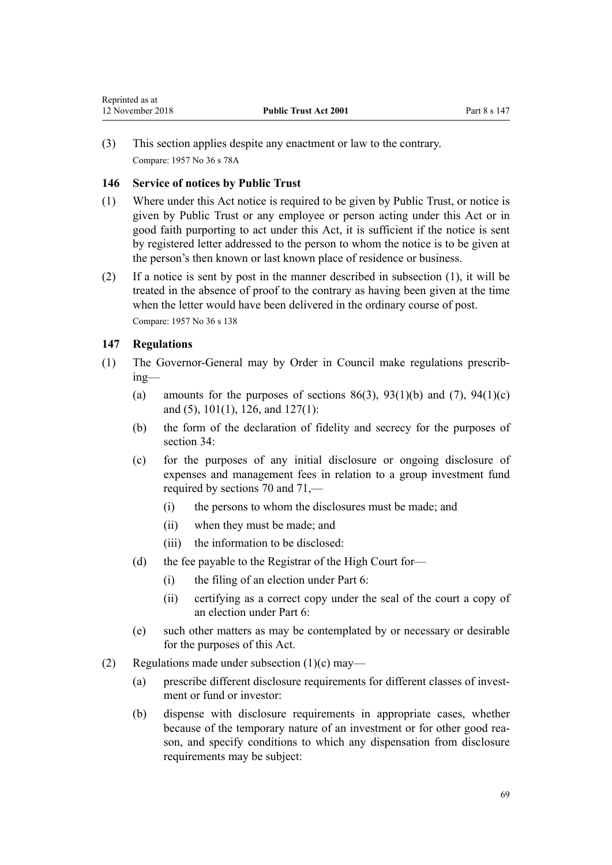<span id="page-68-0"></span>(3) This section applies despite any enactment or law to the contrary. Compare: 1957 No 36 s 78A

# **146 Service of notices by Public Trust**

- (1) Where under this Act notice is required to be given by Public Trust, or notice is given by Public Trust or any employee or person acting under this Act or in good faith purporting to act under this Act, it is sufficient if the notice is sent by registered letter addressed to the person to whom the notice is to be given at the person's then known or last known place of residence or business.
- (2) If a notice is sent by post in the manner described in subsection (1), it will be treated in the absence of proof to the contrary as having been given at the time when the letter would have been delivered in the ordinary course of post. Compare: 1957 No 36 s 138

# **147 Regulations**

- (1) The Governor-General may by Order in Council make regulations prescribing—
	- (a) amounts for the purposes of sections  $86(3)$ ,  $93(1)(b)$  and  $(7)$ ,  $94(1)(c)$ [and \(5\)](#page-44-0), [101\(1\),](#page-47-0) [126,](#page-58-0) and [127\(1\)](#page-59-0):
	- (b) the form of the declaration of fidelity and secrecy for the purposes of [section 34](#page-17-0):
	- (c) for the purposes of any initial disclosure or ongoing disclosure of expenses and management fees in relation to a group investment fund required by [sections 70](#page-30-0) and [71](#page-30-0),—
		- (i) the persons to whom the disclosures must be made; and
		- (ii) when they must be made; and
		- (iii) the information to be disclosed:
	- (d) the fee payable to the Registrar of the High Court for—
		- (i) the filing of an election under [Part 6:](#page-43-0)
		- (ii) certifying as a correct copy under the seal of the court a copy of an election under [Part 6](#page-43-0):
	- (e) such other matters as may be contemplated by or necessary or desirable for the purposes of this Act.
- (2) Regulations made under subsection  $(1)(c)$  may—
	- (a) prescribe different disclosure requirements for different classes of investment or fund or investor:
	- (b) dispense with disclosure requirements in appropriate cases, whether because of the temporary nature of an investment or for other good reason, and specify conditions to which any dispensation from disclosure requirements may be subject: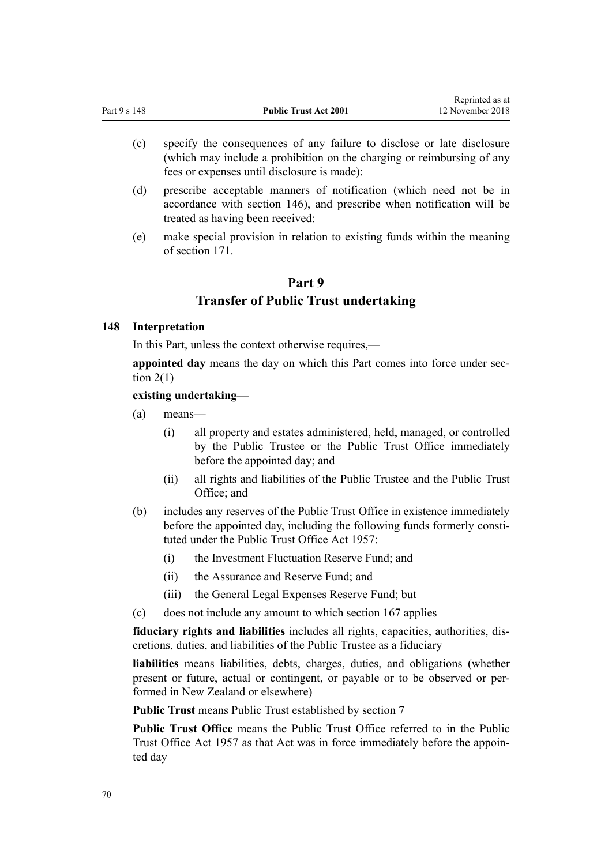- (c) specify the consequences of any failure to disclose or late disclosure (which may include a prohibition on the charging or reimbursing of any fees or expenses until disclosure is made):
- (d) prescribe acceptable manners of notification (which need not be in accordance with [section 146](#page-68-0)), and prescribe when notification will be treated as having been received:
- (e) make special provision in relation to existing funds within the meaning of [section 171](#page-76-0).

# **Part 9 Transfer of Public Trust undertaking**

### **148 Interpretation**

In this Part, unless the context otherwise requires,—

**appointed day** means the day on which this Part comes into force under [sec](#page-6-0)tion  $2(1)$ 

### **existing undertaking**—

- (a) means—
	- (i) all property and estates administered, held, managed, or controlled by the Public Trustee or the Public Trust Office immediately before the appointed day; and
	- (ii) all rights and liabilities of the Public Trustee and the Public Trust Office; and
- (b) includes any reserves of the Public Trust Office in existence immediately before the appointed day, including the following funds formerly constituted under the Public Trust Office Act 1957:
	- (i) the Investment Fluctuation Reserve Fund; and
	- (ii) the Assurance and Reserve Fund; and
	- (iii) the General Legal Expenses Reserve Fund; but
- (c) does not include any amount to which [section 167](#page-74-0) applies

**fiduciary rights and liabilities** includes all rights, capacities, authorities, discretions, duties, and liabilities of the Public Trustee as a fiduciary

**liabilities** means liabilities, debts, charges, duties, and obligations (whether present or future, actual or contingent, or payable or to be observed or performed in New Zealand or elsewhere)

**Public Trust** means Public Trust established by [section 7](#page-11-0)

**Public Trust Office** means the Public Trust Office referred to in the Public Trust Office Act 1957 as that Act was in force immediately before the appointed day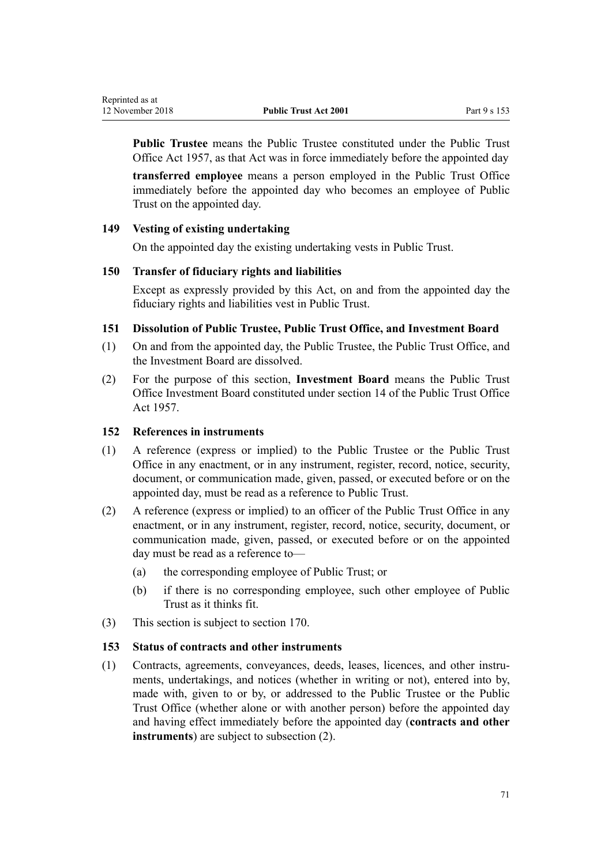**Public Trustee** means the Public Trustee constituted under the Public Trust Office Act 1957, as that Act was in force immediately before the appointed day

**transferred employee** means a person employed in the Public Trust Office immediately before the appointed day who becomes an employee of Public Trust on the appointed day.

### **149 Vesting of existing undertaking**

On the appointed day the existing undertaking vests in Public Trust.

#### **150 Transfer of fiduciary rights and liabilities**

Except as expressly provided by this Act, on and from the appointed day the fiduciary rights and liabilities vest in Public Trust.

### **151 Dissolution of Public Trustee, Public Trust Office, and Investment Board**

- (1) On and from the appointed day, the Public Trustee, the Public Trust Office, and the Investment Board are dissolved.
- (2) For the purpose of this section, **Investment Board** means the Public Trust Office Investment Board constituted under section 14 of the Public Trust Office Act 1957.

#### **152 References in instruments**

- (1) A reference (express or implied) to the Public Trustee or the Public Trust Office in any enactment, or in any instrument, register, record, notice, security, document, or communication made, given, passed, or executed before or on the appointed day, must be read as a reference to Public Trust.
- (2) A reference (express or implied) to an officer of the Public Trust Office in any enactment, or in any instrument, register, record, notice, security, document, or communication made, given, passed, or executed before or on the appointed day must be read as a reference to—
	- (a) the corresponding employee of Public Trust; or
	- (b) if there is no corresponding employee, such other employee of Public Trust as it thinks fit.
- (3) This section is subject to [section 170](#page-75-0).

#### **153 Status of contracts and other instruments**

(1) Contracts, agreements, conveyances, deeds, leases, licences, and other instruments, undertakings, and notices (whether in writing or not), entered into by, made with, given to or by, or addressed to the Public Trustee or the Public Trust Office (whether alone or with another person) before the appointed day and having effect immediately before the appointed day (**contracts and other instruments**) are subject to subsection (2).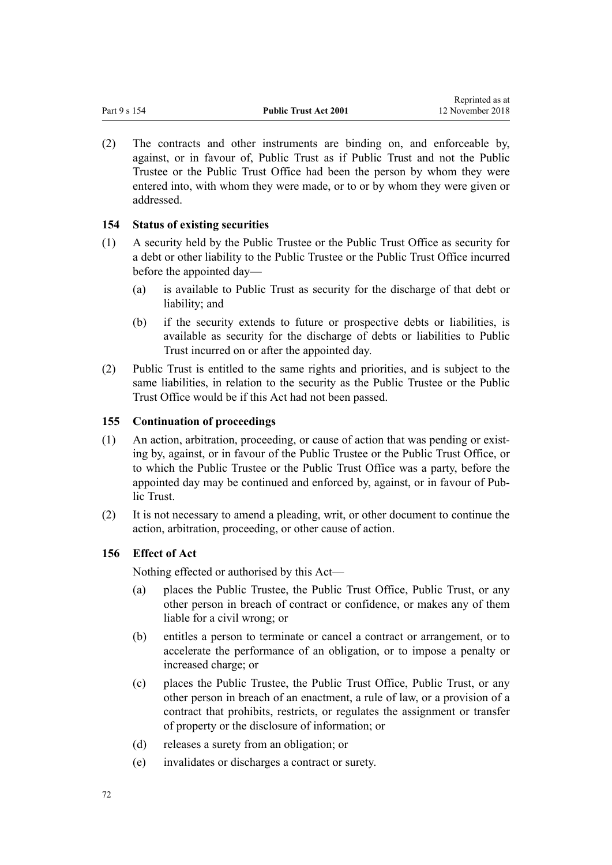(2) The contracts and other instruments are binding on, and enforceable by, against, or in favour of, Public Trust as if Public Trust and not the Public Trustee or the Public Trust Office had been the person by whom they were entered into, with whom they were made, or to or by whom they were given or addressed.

# **154 Status of existing securities**

- (1) A security held by the Public Trustee or the Public Trust Office as security for a debt or other liability to the Public Trustee or the Public Trust Office incurred before the appointed day—
	- (a) is available to Public Trust as security for the discharge of that debt or liability; and
	- (b) if the security extends to future or prospective debts or liabilities, is available as security for the discharge of debts or liabilities to Public Trust incurred on or after the appointed day.
- (2) Public Trust is entitled to the same rights and priorities, and is subject to the same liabilities, in relation to the security as the Public Trustee or the Public Trust Office would be if this Act had not been passed.

# **155 Continuation of proceedings**

- (1) An action, arbitration, proceeding, or cause of action that was pending or existing by, against, or in favour of the Public Trustee or the Public Trust Office, or to which the Public Trustee or the Public Trust Office was a party, before the appointed day may be continued and enforced by, against, or in favour of Public Trust.
- (2) It is not necessary to amend a pleading, writ, or other document to continue the action, arbitration, proceeding, or other cause of action.

# **156 Effect of Act**

Nothing effected or authorised by this Act—

- (a) places the Public Trustee, the Public Trust Office, Public Trust, or any other person in breach of contract or confidence, or makes any of them liable for a civil wrong; or
- (b) entitles a person to terminate or cancel a contract or arrangement, or to accelerate the performance of an obligation, or to impose a penalty or increased charge; or
- (c) places the Public Trustee, the Public Trust Office, Public Trust, or any other person in breach of an enactment, a rule of law, or a provision of a contract that prohibits, restricts, or regulates the assignment or transfer of property or the disclosure of information; or
- (d) releases a surety from an obligation; or
- (e) invalidates or discharges a contract or surety.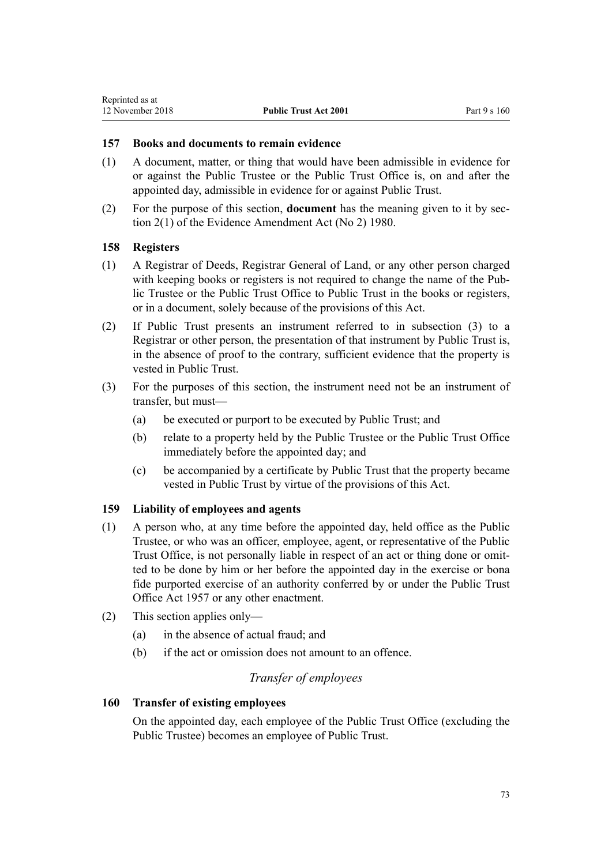#### **157 Books and documents to remain evidence**

- (1) A document, matter, or thing that would have been admissible in evidence for or against the Public Trustee or the Public Trust Office is, on and after the appointed day, admissible in evidence for or against Public Trust.
- (2) For the purpose of this section, **document** has the meaning given to it by [sec](http://prd-lgnz-nlb.prd.pco.net.nz/pdflink.aspx?id=DLM35698)[tion 2\(1\)](http://prd-lgnz-nlb.prd.pco.net.nz/pdflink.aspx?id=DLM35698) of the Evidence Amendment Act (No 2) 1980.

#### **158 Registers**

- (1) A Registrar of Deeds, Registrar General of Land, or any other person charged with keeping books or registers is not required to change the name of the Public Trustee or the Public Trust Office to Public Trust in the books or registers, or in a document, solely because of the provisions of this Act.
- (2) If Public Trust presents an instrument referred to in subsection (3) to a Registrar or other person, the presentation of that instrument by Public Trust is, in the absence of proof to the contrary, sufficient evidence that the property is vested in Public Trust.
- (3) For the purposes of this section, the instrument need not be an instrument of transfer, but must—
	- (a) be executed or purport to be executed by Public Trust; and
	- (b) relate to a property held by the Public Trustee or the Public Trust Office immediately before the appointed day; and
	- (c) be accompanied by a certificate by Public Trust that the property became vested in Public Trust by virtue of the provisions of this Act.

## **159 Liability of employees and agents**

- (1) A person who, at any time before the appointed day, held office as the Public Trustee, or who was an officer, employee, agent, or representative of the Public Trust Office, is not personally liable in respect of an act or thing done or omitted to be done by him or her before the appointed day in the exercise or bona fide purported exercise of an authority conferred by or under the Public Trust Office Act 1957 or any other enactment.
- (2) This section applies only—
	- (a) in the absence of actual fraud; and
	- (b) if the act or omission does not amount to an offence.

## *Transfer of employees*

#### **160 Transfer of existing employees**

On the appointed day, each employee of the Public Trust Office (excluding the Public Trustee) becomes an employee of Public Trust.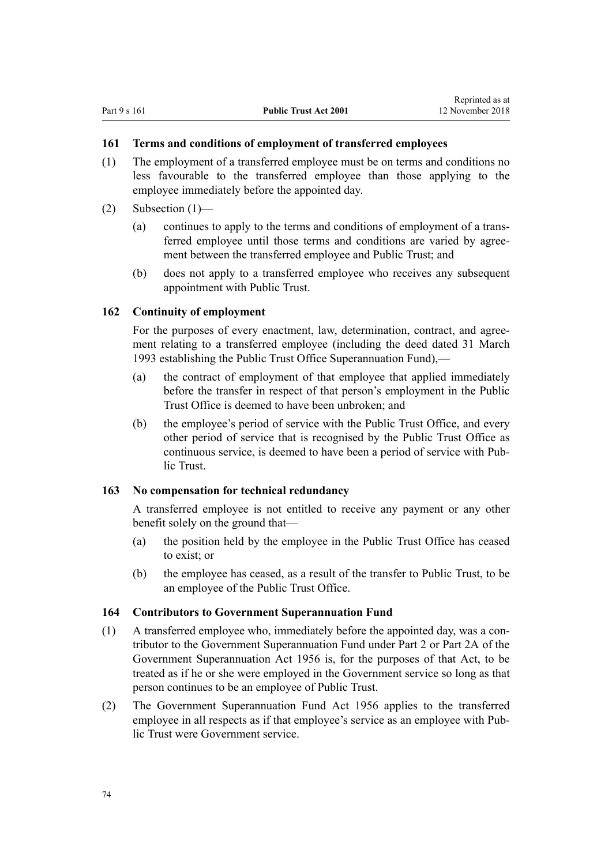## **161 Terms and conditions of employment of transferred employees**

- (1) The employment of a transferred employee must be on terms and conditions no less favourable to the transferred employee than those applying to the employee immediately before the appointed day.
- $(2)$  Subsection  $(1)$ 
	- (a) continues to apply to the terms and conditions of employment of a transferred employee until those terms and conditions are varied by agreement between the transferred employee and Public Trust; and
	- (b) does not apply to a transferred employee who receives any subsequent appointment with Public Trust.

#### **162 Continuity of employment**

For the purposes of every enactment, law, determination, contract, and agreement relating to a transferred employee (including the deed dated 31 March 1993 establishing the Public Trust Office Superannuation Fund),—

- (a) the contract of employment of that employee that applied immediately before the transfer in respect of that person's employment in the Public Trust Office is deemed to have been unbroken; and
- (b) the employee's period of service with the Public Trust Office, and every other period of service that is recognised by the Public Trust Office as continuous service, is deemed to have been a period of service with Public Trust.

#### **163 No compensation for technical redundancy**

A transferred employee is not entitled to receive any payment or any other benefit solely on the ground that—

- (a) the position held by the employee in the Public Trust Office has ceased to exist; or
- (b) the employee has ceased, as a result of the transfer to Public Trust, to be an employee of the Public Trust Office.

#### **164 Contributors to Government Superannuation Fund**

- (1) A transferred employee who, immediately before the appointed day, was a contributor to the Government Superannuation Fund under [Part 2](http://prd-lgnz-nlb.prd.pco.net.nz/pdflink.aspx?id=DLM446395) or [Part 2A](http://prd-lgnz-nlb.prd.pco.net.nz/pdflink.aspx?id=DLM446842) of the Government Superannuation Act 1956 is, for the purposes of that Act, to be treated as if he or she were employed in the Government service so long as that person continues to be an employee of Public Trust.
- (2) The [Government Superannuation Fund Act 1956](http://prd-lgnz-nlb.prd.pco.net.nz/pdflink.aspx?id=DLM446000) applies to the transferred employee in all respects as if that employee's service as an employee with Public Trust were Government service.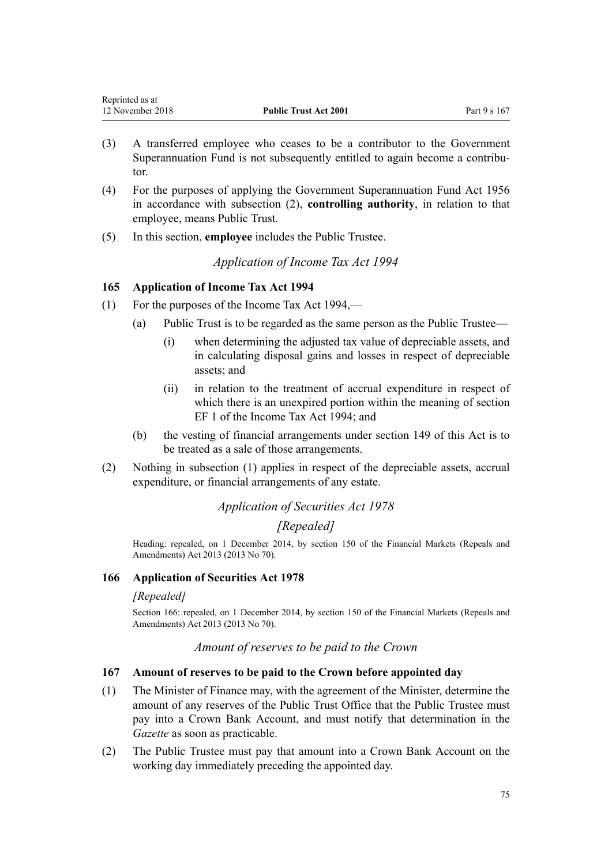- (3) A transferred employee who ceases to be a contributor to the Government Superannuation Fund is not subsequently entitled to again become a contributor.
- (4) For the purposes of applying the [Government Superannuation Fund Act 1956](http://prd-lgnz-nlb.prd.pco.net.nz/pdflink.aspx?id=DLM446000) in accordance with subsection (2), **controlling authority**, in relation to that employee, means Public Trust.
- (5) In this section, **employee** includes the Public Trustee.

*Application of Income Tax Act 1994*

## **165 Application of Income Tax Act 1994**

- (1) For the purposes of the Income Tax Act 1994,—
	- (a) Public Trust is to be regarded as the same person as the Public Trustee—
		- (i) when determining the adjusted tax value of depreciable assets, and in calculating disposal gains and losses in respect of depreciable assets; and
		- (ii) in relation to the treatment of accrual expenditure in respect of which there is an unexpired portion within the meaning of section EF 1 of the Income Tax Act 1994; and
	- (b) the vesting of financial arrangements under [section 149](#page-70-0) of this Act is to be treated as a sale of those arrangements.
- (2) Nothing in subsection (1) applies in respect of the depreciable assets, accrual expenditure, or financial arrangements of any estate.

## *Application of Securities Act 1978*

## *[Repealed]*

Heading: repealed, on 1 December 2014, by [section 150](http://prd-lgnz-nlb.prd.pco.net.nz/pdflink.aspx?id=DLM5561603) of the Financial Markets (Repeals and Amendments) Act 2013 (2013 No 70).

## **166 Application of Securities Act 1978**

## *[Repealed]*

Section 166: repealed, on 1 December 2014, by [section 150](http://prd-lgnz-nlb.prd.pco.net.nz/pdflink.aspx?id=DLM5561603) of the Financial Markets (Repeals and Amendments) Act 2013 (2013 No 70).

## *Amount of reserves to be paid to the Crown*

## **167 Amount of reserves to be paid to the Crown before appointed day**

- (1) The Minister of Finance may, with the agreement of the Minister, determine the amount of any reserves of the Public Trust Office that the Public Trustee must pay into a Crown Bank Account, and must notify that determination in the *Gazette* as soon as practicable.
- (2) The Public Trustee must pay that amount into a Crown Bank Account on the working day immediately preceding the appointed day.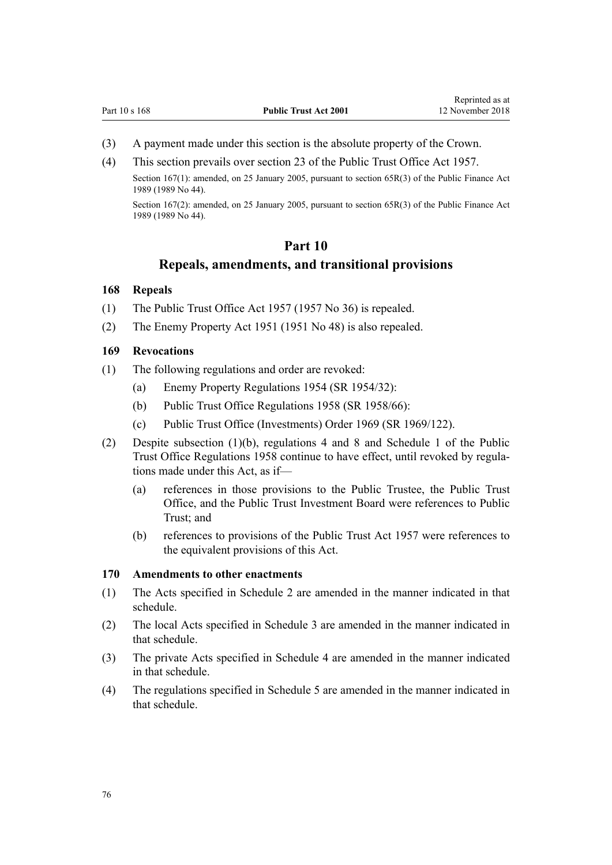- <span id="page-75-0"></span>(3) A payment made under this section is the absolute property of the Crown.
- (4) This section prevails over section 23 of the Public Trust Office Act 1957.

Section 167(1): amended, on 25 January 2005, pursuant to [section 65R\(3\)](http://prd-lgnz-nlb.prd.pco.net.nz/pdflink.aspx?id=DLM162942) of the Public Finance Act 1989 (1989 No 44).

Section 167(2): amended, on 25 January 2005, pursuant to [section 65R\(3\)](http://prd-lgnz-nlb.prd.pco.net.nz/pdflink.aspx?id=DLM162942) of the Public Finance Act 1989 (1989 No 44).

#### **Part 10**

#### **Repeals, amendments, and transitional provisions**

#### **168 Repeals**

- (1) The Public Trust Office Act 1957 (1957 No 36) is repealed.
- (2) The Enemy Property Act 1951 (1951 No 48) is also repealed.

#### **169 Revocations**

- (1) The following regulations and order are revoked:
	- (a) Enemy Property Regulations 1954 (SR 1954/32):
	- (b) Public Trust Office Regulations 1958 (SR 1958/66):
	- (c) Public Trust Office (Investments) Order 1969 (SR 1969/122).
- (2) Despite subsection (1)(b), regulations 4 and 8 and Schedule 1 of the Public Trust Office Regulations 1958 continue to have effect, until revoked by regulations made under this Act, as if—
	- (a) references in those provisions to the Public Trustee, the Public Trust Office, and the Public Trust Investment Board were references to Public Trust; and
	- (b) references to provisions of the Public Trust Act 1957 were references to the equivalent provisions of this Act.

#### **170 Amendments to other enactments**

- (1) The Acts specified in [Schedule 2](#page-79-0) are amended in the manner indicated in that schedule.
- (2) The local Acts specified in [Schedule 3](#page-84-0) are amended in the manner indicated in that schedule.
- (3) The private Acts specified in [Schedule 4](#page-85-0) are amended in the manner indicated in that schedule.
- (4) The regulations specified in [Schedule 5](#page-86-0) are amended in the manner indicated in that schedule.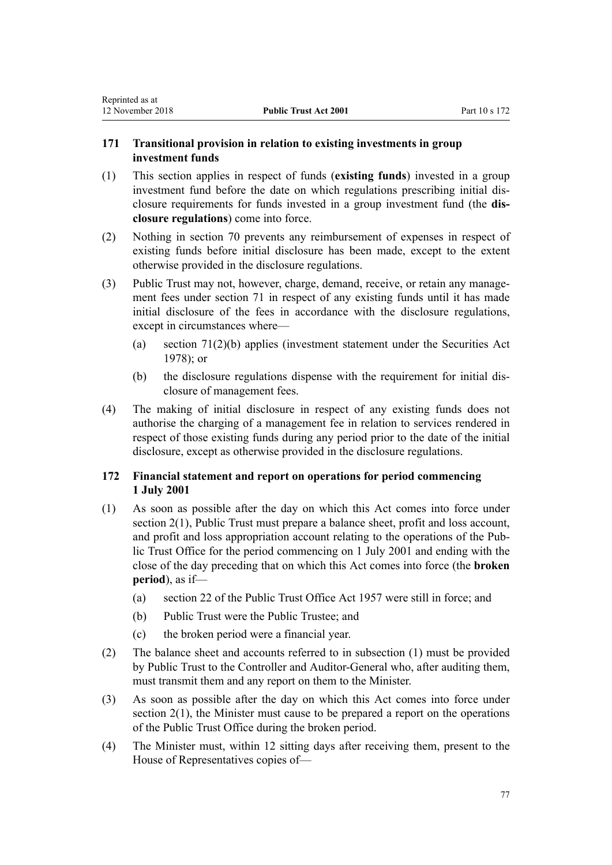## **171 Transitional provision in relation to existing investments in group investment funds**

- (1) This section applies in respect of funds (**existing funds**) invested in a group investment fund before the date on which regulations prescribing initial disclosure requirements for funds invested in a group investment fund (the **disclosure regulations**) come into force.
- (2) Nothing in [section 70](#page-30-0) prevents any reimbursement of expenses in respect of existing funds before initial disclosure has been made, except to the extent otherwise provided in the disclosure regulations.
- (3) Public Trust may not, however, charge, demand, receive, or retain any management fees under [section 71](#page-30-0) in respect of any existing funds until it has made initial disclosure of the fees in accordance with the disclosure regulations, except in circumstances where—
	- (a) [section 71\(2\)\(b\)](#page-30-0) applies (investment statement under the [Securities Act](http://prd-lgnz-nlb.prd.pco.net.nz/pdflink.aspx?id=DLM25999)  $1978$ ); or
	- (b) the disclosure regulations dispense with the requirement for initial disclosure of management fees.
- (4) The making of initial disclosure in respect of any existing funds does not authorise the charging of a management fee in relation to services rendered in respect of those existing funds during any period prior to the date of the initial disclosure, except as otherwise provided in the disclosure regulations.

## **172 Financial statement and report on operations for period commencing 1 July 2001**

- (1) As soon as possible after the day on which this Act comes into force under [section 2\(1\)](#page-6-0), Public Trust must prepare a balance sheet, profit and loss account, and profit and loss appropriation account relating to the operations of the Public Trust Office for the period commencing on 1 July 2001 and ending with the close of the day preceding that on which this Act comes into force (the **broken period**), as if—
	- (a) section 22 of the Public Trust Office Act 1957 were still in force; and
	- (b) Public Trust were the Public Trustee; and
	- (c) the broken period were a financial year.
- (2) The balance sheet and accounts referred to in subsection (1) must be provided by Public Trust to the Controller and Auditor-General who, after auditing them, must transmit them and any report on them to the Minister.
- (3) As soon as possible after the day on which this Act comes into force under section  $2(1)$ , the Minister must cause to be prepared a report on the operations of the Public Trust Office during the broken period.
- (4) The Minister must, within 12 sitting days after receiving them, present to the House of Representatives copies of—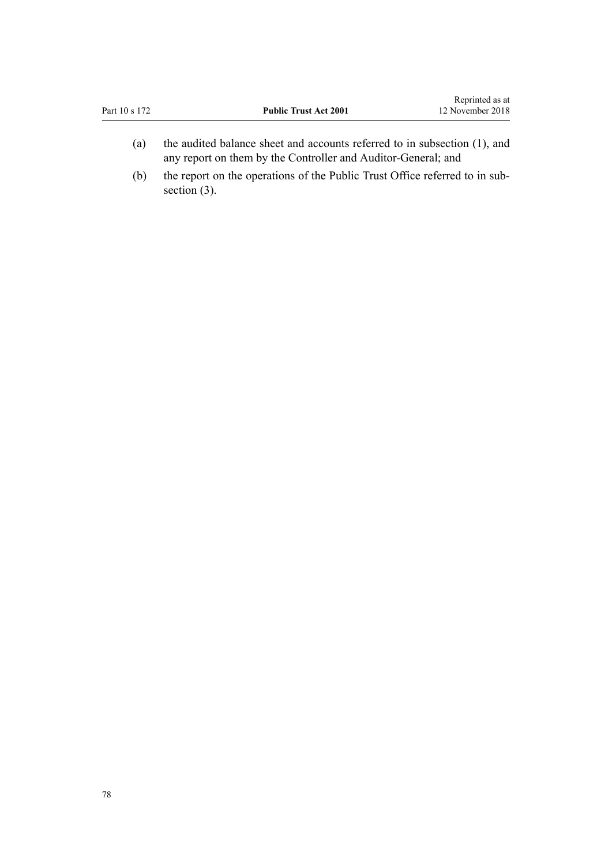| Part 10 s 172 | <b>Public Trust Act 2001</b>                                                                                                               | Reprinted as at<br>12 November 2018 |
|---------------|--------------------------------------------------------------------------------------------------------------------------------------------|-------------------------------------|
| (a)           | the audited balance sheet and accounts referred to in subsection (1), and<br>any report on them by the Controller and Auditor-General; and |                                     |

(b) the report on the operations of the Public Trust Office referred to in subsection  $(3)$ .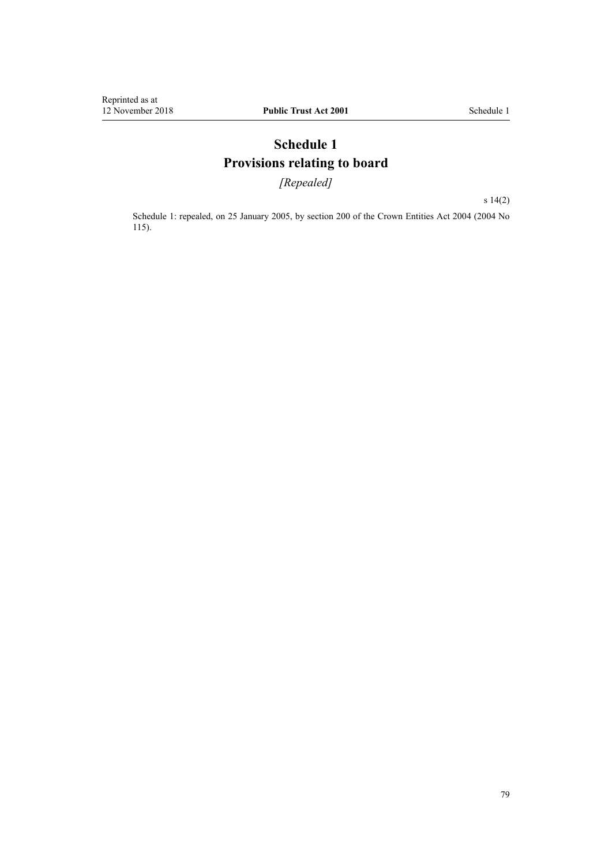# **Schedule 1 Provisions relating to board**

*[Repealed]*

[s 14\(2\)](#page-14-0)

Schedule 1: repealed, on 25 January 2005, by [section 200](http://prd-lgnz-nlb.prd.pco.net.nz/pdflink.aspx?id=DLM331111) of the Crown Entities Act 2004 (2004 No 115).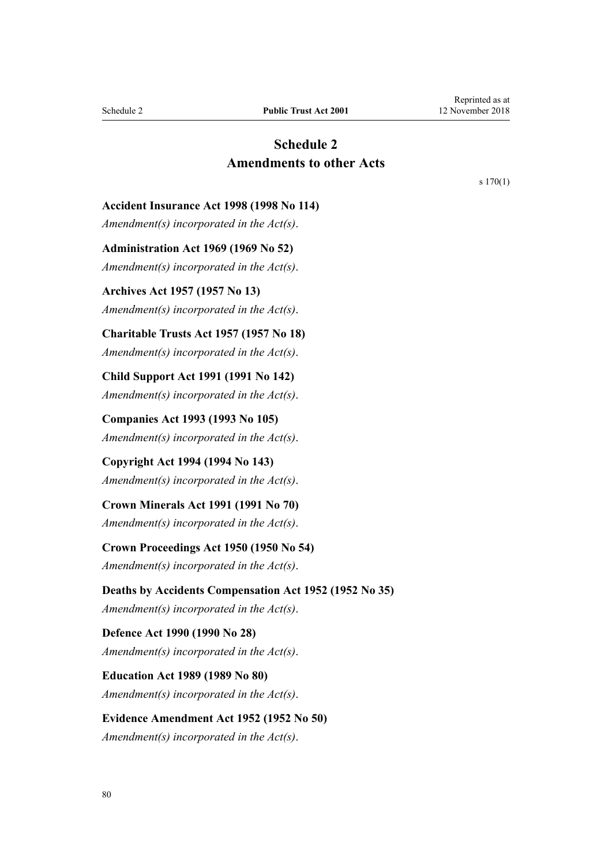# **Schedule 2 Amendments to other Acts**

[s 170\(1\)](#page-75-0)

<span id="page-79-0"></span>**Accident Insurance Act 1998 (1998 No 114)**

*Amendment(s) incorporated in the Act(s)*.

**Administration Act 1969 (1969 No 52)** *Amendment(s) incorporated in the [Act\(s\)](http://prd-lgnz-nlb.prd.pco.net.nz/pdflink.aspx?id=DLM392629)*.

**Archives Act 1957 (1957 No 13)** *Amendment(s) incorporated in the Act(s)*.

**Charitable Trusts Act 1957 (1957 No 18)**

*Amendment(s) incorporated in the [Act\(s\)](http://prd-lgnz-nlb.prd.pco.net.nz/pdflink.aspx?id=DLM308795)*.

**Child Support Act 1991 (1991 No 142)** *Amendment(s) incorporated in the [Act\(s\)](http://prd-lgnz-nlb.prd.pco.net.nz/pdflink.aspx?id=DLM253150)*.

**Companies Act 1993 (1993 No 105)** *Amendment(s) incorporated in the [Act\(s\)](http://prd-lgnz-nlb.prd.pco.net.nz/pdflink.aspx?id=DLM319569)*.

**Copyright Act 1994 (1994 No 143)** *Amendment(s) incorporated in the [Act\(s\)](http://prd-lgnz-nlb.prd.pco.net.nz/pdflink.aspx?id=DLM345633)*.

**Crown Minerals Act 1991 (1991 No 70)** *Amendment(s) incorporated in the [Act\(s\)](http://prd-lgnz-nlb.prd.pco.net.nz/pdflink.aspx?id=DLM242535)*.

**Crown Proceedings Act 1950 (1950 No 54)** *Amendment(s) incorporated in the [Act\(s\)](http://prd-lgnz-nlb.prd.pco.net.nz/pdflink.aspx?id=DLM261466)*.

**Deaths by Accidents Compensation Act 1952 (1952 No 35)** *Amendment(s) incorporated in the [Act\(s\)](http://prd-lgnz-nlb.prd.pco.net.nz/pdflink.aspx?id=DLM265835)*.

**Defence Act 1990 (1990 No 28)** *Amendment(s) incorporated in the [Act\(s\)](http://prd-lgnz-nlb.prd.pco.net.nz/pdflink.aspx?id=DLM204972)*.

**Education Act 1989 (1989 No 80)** *Amendment(s) incorporated in the [Act\(s\)](http://prd-lgnz-nlb.prd.pco.net.nz/pdflink.aspx?id=DLM175958)*.

**Evidence Amendment Act 1952 (1952 No 50)** *Amendment(s) incorporated in the [Act\(s\)](http://prd-lgnz-nlb.prd.pco.net.nz/pdflink.aspx?id=DLM267013)*.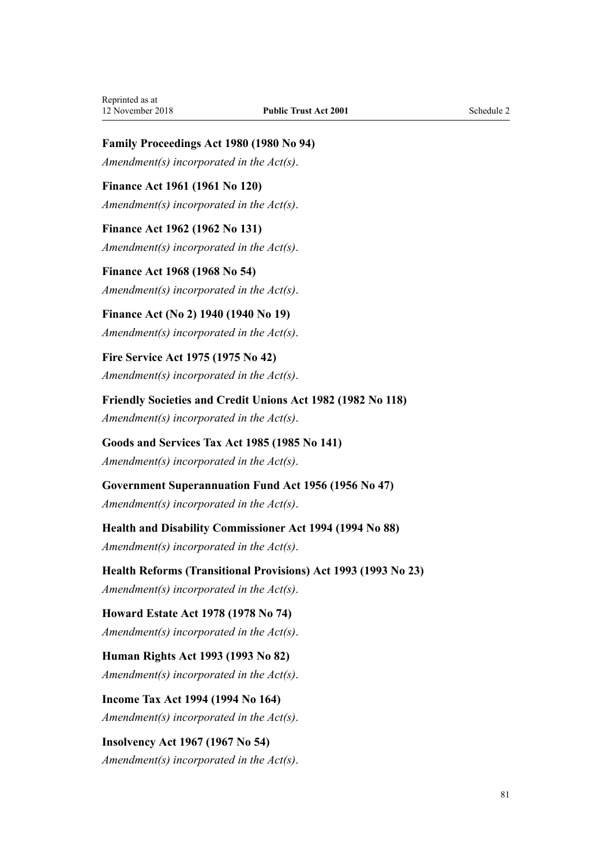**Family Proceedings Act 1980 (1980 No 94)**

*Amendment(s) incorporated in the [Act\(s\)](http://prd-lgnz-nlb.prd.pco.net.nz/pdflink.aspx?id=DLM39722)*.

**Finance Act 1961 (1961 No 120)** *Amendment(s) incorporated in the [Act\(s\)](http://prd-lgnz-nlb.prd.pco.net.nz/pdflink.aspx?id=DLM337555)*.

**Finance Act 1962 (1962 No 131)** *Amendment(s) incorporated in the [Act\(s\)](http://prd-lgnz-nlb.prd.pco.net.nz/pdflink.aspx?id=DLM341025)*.

**Finance Act 1968 (1968 No 54)** *Amendment(s) incorporated in the [Act\(s\)](http://prd-lgnz-nlb.prd.pco.net.nz/pdflink.aspx?id=DLM388264)*.

**Finance Act (No 2) 1940 (1940 No 19)** *Amendment(s) incorporated in the [Act\(s\)](http://prd-lgnz-nlb.prd.pco.net.nz/pdflink.aspx?id=DLM230142)*.

**Fire Service Act 1975 (1975 No 42)** *Amendment(s) incorporated in the [Act\(s\)](http://prd-lgnz-nlb.prd.pco.net.nz/pdflink.aspx?id=DLM432647)*.

**Friendly Societies and Credit Unions Act 1982 (1982 No 118)** *Amendment(s) incorporated in the [Act\(s\)](http://prd-lgnz-nlb.prd.pco.net.nz/pdflink.aspx?id=DLM59731)*.

**Goods and Services Tax Act 1985 (1985 No 141)** *Amendment(s) incorporated in the [Act\(s\)](http://prd-lgnz-nlb.prd.pco.net.nz/pdflink.aspx?id=DLM81034)*.

**Government Superannuation Fund Act 1956 (1956 No 47)** *Amendment(s) incorporated in the [Act\(s\)](http://prd-lgnz-nlb.prd.pco.net.nz/pdflink.aspx?id=DLM446000)*.

**Health and Disability Commissioner Act 1994 (1994 No 88)** *Amendment(s) incorporated in the [Act\(s\)](http://prd-lgnz-nlb.prd.pco.net.nz/pdflink.aspx?id=DLM333583)*.

**Health Reforms (Transitional Provisions) Act 1993 (1993 No 23)** *Amendment(s) incorporated in the Act(s)*.

**Howard Estate Act 1978 (1978 No 74)** *Amendment(s) incorporated in the [Act\(s\)](http://prd-lgnz-nlb.prd.pco.net.nz/pdflink.aspx?id=DLM24092)*.

**Human Rights Act 1993 (1993 No 82)** *Amendment(s) incorporated in the [Act\(s\)](http://prd-lgnz-nlb.prd.pco.net.nz/pdflink.aspx?id=DLM304211)*.

**Income Tax Act 1994 (1994 No 164)** *Amendment(s) incorporated in the [Act\(s\)](http://prd-lgnz-nlb.prd.pco.net.nz/pdflink.aspx?id=DLM1184504)*.

**Insolvency Act 1967 (1967 No 54)** *Amendment(s) incorporated in the [Act\(s\)](http://prd-lgnz-nlb.prd.pco.net.nz/pdflink.aspx?id=DLM382333)*.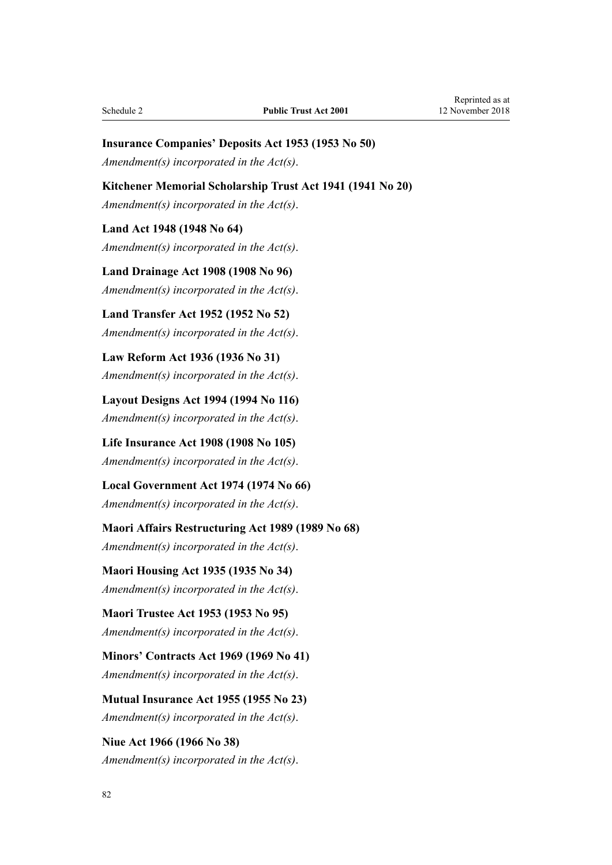#### **Insurance Companies' Deposits Act 1953 (1953 No 50)**

*Amendment(s) incorporated in the [Act\(s\)](http://prd-lgnz-nlb.prd.pco.net.nz/pdflink.aspx?id=DLM278720)*.

#### **Kitchener Memorial Scholarship Trust Act 1941 (1941 No 20)**

*Amendment(s) incorporated in the [Act\(s\)](http://prd-lgnz-nlb.prd.pco.net.nz/pdflink.aspx?id=DLM232891)*.

#### **Land Act 1948 (1948 No 64)**

*Amendment(s) incorporated in the [Act\(s\)](http://prd-lgnz-nlb.prd.pco.net.nz/pdflink.aspx?id=DLM250585)*.

**Land Drainage Act 1908 (1908 No 96)** *Amendment(s) incorporated in the [Act\(s\)](http://prd-lgnz-nlb.prd.pco.net.nz/pdflink.aspx?id=DLM160976)*.

**Land Transfer Act 1952 (1952 No 52)** *Amendment(s) incorporated in the [Act\(s\)](http://prd-lgnz-nlb.prd.pco.net.nz/pdflink.aspx?id=DLM269031)*.

**Law Reform Act 1936 (1936 No 31)** *Amendment(s) incorporated in the [Act\(s\)](http://prd-lgnz-nlb.prd.pco.net.nz/pdflink.aspx?id=DLM219549)*.

**Layout Designs Act 1994 (1994 No 116)** *Amendment(s) incorporated in the [Act\(s\)](http://prd-lgnz-nlb.prd.pco.net.nz/pdflink.aspx?id=DLM341480)*.

**Life Insurance Act 1908 (1908 No 105)** *Amendment(s) incorporated in the [Act\(s\)](http://prd-lgnz-nlb.prd.pco.net.nz/pdflink.aspx?id=DLM169542)*.

**Local Government Act 1974 (1974 No 66)** *Amendment(s) incorporated in the [Act\(s\)](http://prd-lgnz-nlb.prd.pco.net.nz/pdflink.aspx?id=DLM415531)*.

**Maori Affairs Restructuring Act 1989 (1989 No 68)** *Amendment(s) incorporated in the [Act\(s\)](http://prd-lgnz-nlb.prd.pco.net.nz/pdflink.aspx?id=DLM169979)*.

**Maori Housing Act 1935 (1935 No 34)** *Amendment(s) incorporated in the [Act\(s\)](http://prd-lgnz-nlb.prd.pco.net.nz/pdflink.aspx?id=DLM219026)*.

**Maori Trustee Act 1953 (1953 No 95)** *Amendment(s) incorporated in the [Act\(s\)](http://prd-lgnz-nlb.prd.pco.net.nz/pdflink.aspx?id=DLM282037)*.

**Minors' Contracts Act 1969 (1969 No 41)** *Amendment(s) incorporated in the [Act\(s\)](http://prd-lgnz-nlb.prd.pco.net.nz/pdflink.aspx?id=DLM392349)*.

**Mutual Insurance Act 1955 (1955 No 23)** *Amendment(s) incorporated in the [Act\(s\)](http://prd-lgnz-nlb.prd.pco.net.nz/pdflink.aspx?id=DLM288723)*.

**Niue Act 1966 (1966 No 38)** *Amendment(s) incorporated in the [Act\(s\)](http://prd-lgnz-nlb.prd.pco.net.nz/pdflink.aspx?id=DLM374780)*.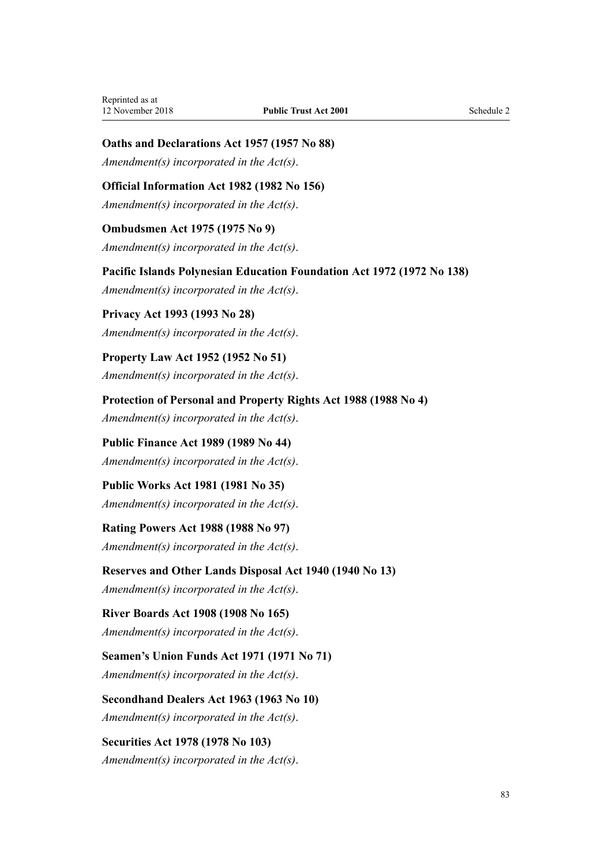## **Oaths and Declarations Act 1957 (1957 No 88)**

*Amendment(s) incorporated in the [Act\(s\)](http://prd-lgnz-nlb.prd.pco.net.nz/pdflink.aspx?id=DLM314552)*.

## **Official Information Act 1982 (1982 No 156)**

*Amendment(s) incorporated in the [Act\(s\)](http://prd-lgnz-nlb.prd.pco.net.nz/pdflink.aspx?id=DLM64784)*.

#### **Ombudsmen Act 1975 (1975 No 9)**

*Amendment(s) incorporated in the [Act\(s\)](http://prd-lgnz-nlb.prd.pco.net.nz/pdflink.aspx?id=DLM430983)*.

**Pacific Islands Polynesian Education Foundation Act 1972 (1972 No 138)**

*Amendment(s) incorporated in the [Act\(s\)](http://prd-lgnz-nlb.prd.pco.net.nz/pdflink.aspx?id=DLM409224)*.

**Privacy Act 1993 (1993 No 28)** *Amendment(s) incorporated in the [Act\(s\)](http://prd-lgnz-nlb.prd.pco.net.nz/pdflink.aspx?id=DLM296638)*.

**Property Law Act 1952 (1952 No 51)** *Amendment(s) incorporated in the [Act\(s\)](http://prd-lgnz-nlb.prd.pco.net.nz/pdflink.aspx?id=DLM267064)*.

**Protection of Personal and Property Rights Act 1988 (1988 No 4)** *Amendment(s) incorporated in the [Act\(s\)](http://prd-lgnz-nlb.prd.pco.net.nz/pdflink.aspx?id=DLM126527)*.

**Public Finance Act 1989 (1989 No 44)** *Amendment(s) incorporated in the [Act\(s\)](http://prd-lgnz-nlb.prd.pco.net.nz/pdflink.aspx?id=DLM160808)*.

**Public Works Act 1981 (1981 No 35)** *Amendment(s) incorporated in the [Act\(s\)](http://prd-lgnz-nlb.prd.pco.net.nz/pdflink.aspx?id=DLM45426)*.

**Rating Powers Act 1988 (1988 No 97)** *Amendment(s) incorporated in the Act(s)*.

**Reserves and Other Lands Disposal Act 1940 (1940 No 13)**

*Amendment(s) incorporated in the [Act\(s\)](http://prd-lgnz-nlb.prd.pco.net.nz/pdflink.aspx?id=DLM228846)*.

#### **River Boards Act 1908 (1908 No 165)**

*Amendment(s) incorporated in the [Act\(s\)](http://prd-lgnz-nlb.prd.pco.net.nz/pdflink.aspx?id=DLM172771)*.

**Seamen's Union Funds Act 1971 (1971 No 71)** *Amendment(s) incorporated in the [Act\(s\)](http://prd-lgnz-nlb.prd.pco.net.nz/pdflink.aspx?id=DLM405044)*.

**Secondhand Dealers Act 1963 (1963 No 10)** *Amendment(s) incorporated in the [Act\(s\)](http://prd-lgnz-nlb.prd.pco.net.nz/pdflink.aspx?id=DLM405044)*.

**Securities Act 1978 (1978 No 103)** *Amendment(s) incorporated in the [Act\(s\)](http://prd-lgnz-nlb.prd.pco.net.nz/pdflink.aspx?id=DLM25999)*.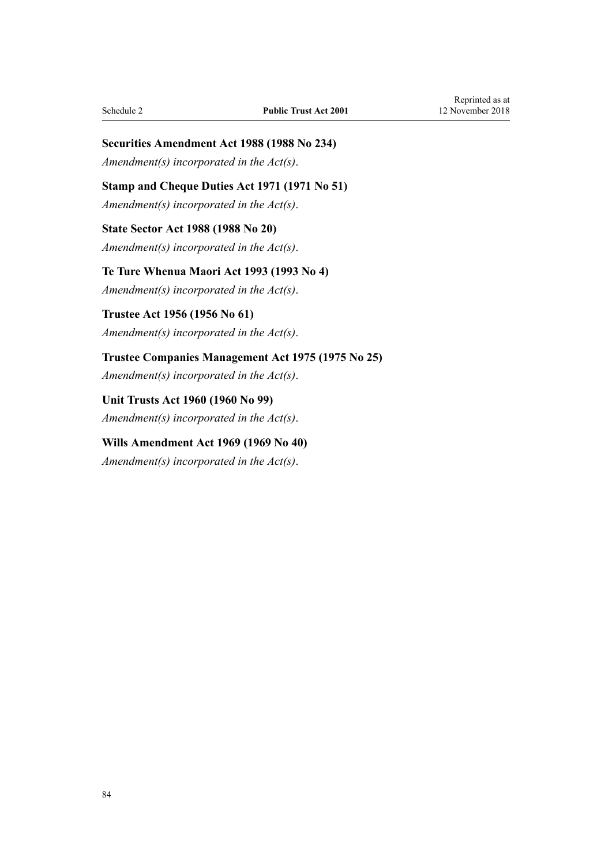# **Securities Amendment Act 1988 (1988 No 234)**

*Amendment(s) incorporated in the Act(s)*.

## **Stamp and Cheque Duties Act 1971 (1971 No 51)**

*Amendment(s) incorporated in the [Act\(s\)](http://prd-lgnz-nlb.prd.pco.net.nz/pdflink.aspx?id=DLM399728)*.

## **State Sector Act 1988 (1988 No 20)** *Amendment(s) incorporated in the [Act\(s\)](http://prd-lgnz-nlb.prd.pco.net.nz/pdflink.aspx?id=DLM129109)*.

**Te Ture Whenua Maori Act 1993 (1993 No 4)** *Amendment(s) incorporated in the [Act\(s\)](http://prd-lgnz-nlb.prd.pco.net.nz/pdflink.aspx?id=DLM289897)*.

# **Trustee Act 1956 (1956 No 61)**

# *Amendment(s) incorporated in the [Act\(s\)](http://prd-lgnz-nlb.prd.pco.net.nz/pdflink.aspx?id=DLM304703)*.

**Trustee Companies Management Act 1975 (1975 No 25)** *Amendment(s) incorporated in the [Act\(s\)](http://prd-lgnz-nlb.prd.pco.net.nz/pdflink.aspx?id=DLM431745)*.

# **Unit Trusts Act 1960 (1960 No 99)** *Amendment(s) incorporated in the [Act\(s\)](http://prd-lgnz-nlb.prd.pco.net.nz/pdflink.aspx?id=DLM325263)*.

# **Wills Amendment Act 1969 (1969 No 40)** *Amendment(s) incorporated in the [Act\(s\)](http://prd-lgnz-nlb.prd.pco.net.nz/pdflink.aspx?id=DLM392336)*.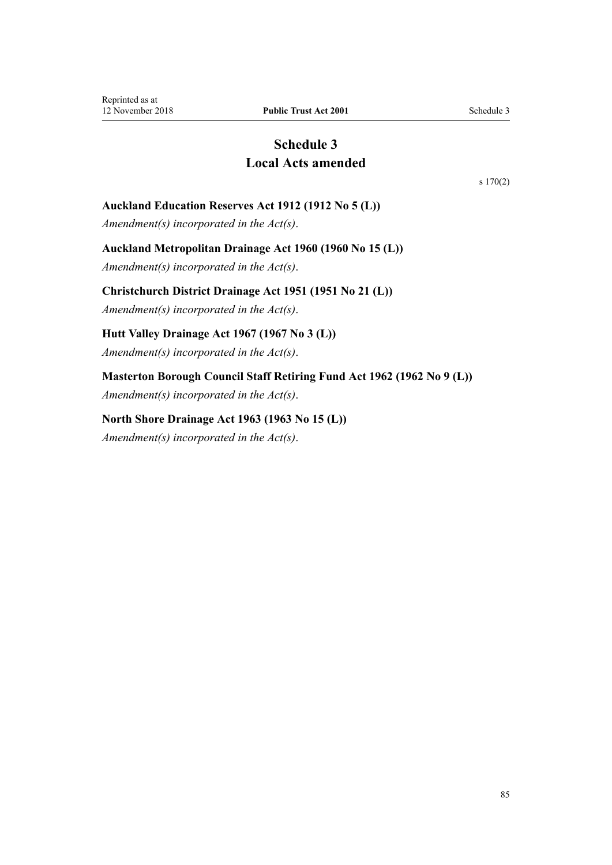# **Schedule 3 Local Acts amended**

[s 170\(2\)](#page-75-0)

## <span id="page-84-0"></span>**Auckland Education Reserves Act 1912 (1912 No 5 (L))**

*Amendment(s) incorporated in the [Act\(s\)](http://prd-lgnz-nlb.prd.pco.net.nz/pdflink.aspx?id=DLM37696)*.

#### **Auckland Metropolitan Drainage Act 1960 (1960 No 15 (L))**

*Amendment(s) incorporated in the [Act\(s\)](http://prd-lgnz-nlb.prd.pco.net.nz/pdflink.aspx?id=DLM58546)*.

#### **Christchurch District Drainage Act 1951 (1951 No 21 (L))**

*Amendment(s) incorporated in the [Act\(s\)](http://prd-lgnz-nlb.prd.pco.net.nz/pdflink.aspx?id=DLM54088)*.

## **Hutt Valley Drainage Act 1967 (1967 No 3 (L))**

*Amendment(s) incorporated in the [Act\(s\)](http://prd-lgnz-nlb.prd.pco.net.nz/pdflink.aspx?id=DLM64669)*.

## **Masterton Borough Council Staff Retiring Fund Act 1962 (1962 No 9 (L))**

*Amendment(s) incorporated in the [Act\(s\)](http://prd-lgnz-nlb.prd.pco.net.nz/pdflink.aspx?id=DLM59474)*.

#### **North Shore Drainage Act 1963 (1963 No 15 (L))**

*Amendment(s) incorporated in the [Act\(s\)](http://prd-lgnz-nlb.prd.pco.net.nz/pdflink.aspx?id=DLM60624)*.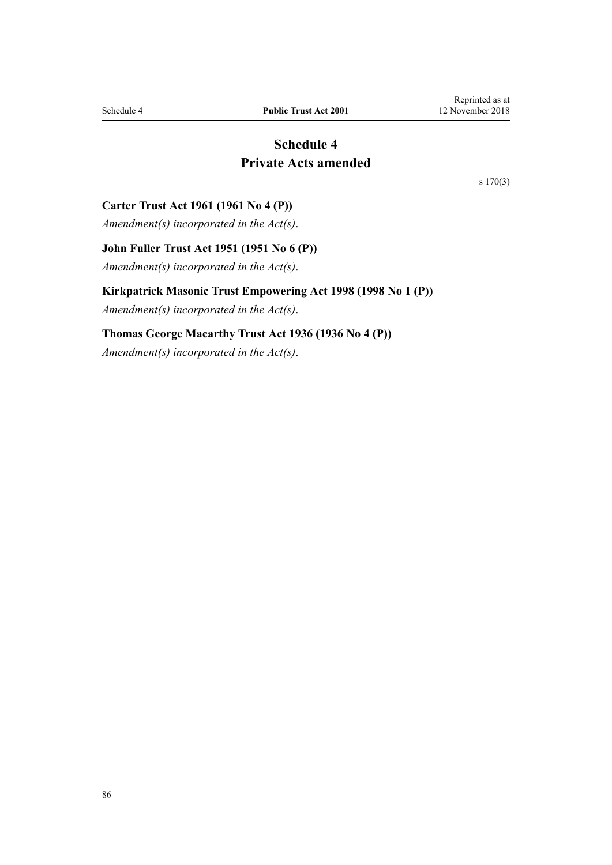# **Schedule 4 Private Acts amended**

[s 170\(3\)](#page-75-0)

#### <span id="page-85-0"></span>**Carter Trust Act 1961 (1961 No 4 (P))**

*Amendment(s) incorporated in the [Act\(s\)](http://prd-lgnz-nlb.prd.pco.net.nz/pdflink.aspx?id=DLM103568)*.

## **John Fuller Trust Act 1951 (1951 No 6 (P))**

*Amendment(s) incorporated in the [Act\(s\)](http://prd-lgnz-nlb.prd.pco.net.nz/pdflink.aspx?id=DLM100861)*.

#### **Kirkpatrick Masonic Trust Empowering Act 1998 (1998 No 1 (P))**

*Amendment(s) incorporated in the [Act\(s\)](http://prd-lgnz-nlb.prd.pco.net.nz/pdflink.aspx?id=DLM118547)*.

#### **Thomas George Macarthy Trust Act 1936 (1936 No 4 (P))**

*Amendment(s) incorporated in the [Act\(s\)](http://prd-lgnz-nlb.prd.pco.net.nz/pdflink.aspx?id=DLM96659)*.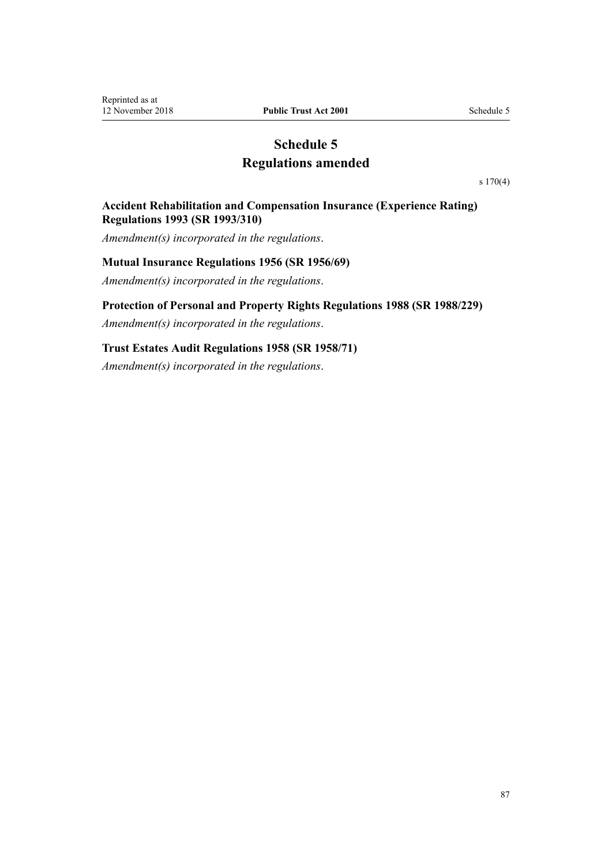# **Schedule 5 Regulations amended**

[s 170\(4\)](#page-75-0)

#### <span id="page-86-0"></span>**Accident Rehabilitation and Compensation Insurance (Experience Rating) Regulations 1993 (SR 1993/310)**

*Amendment(s) incorporated in the regulations*.

#### **Mutual Insurance Regulations 1956 (SR 1956/69)**

*Amendment(s) incorporated in the [regulations](http://prd-lgnz-nlb.prd.pco.net.nz/pdflink.aspx?id=DLM9986)*.

#### **Protection of Personal and Property Rights Regulations 1988 (SR 1988/229)**

*Amendment(s) incorporated in the [regulations](http://prd-lgnz-nlb.prd.pco.net.nz/pdflink.aspx?id=DLM126901)*.

## **Trust Estates Audit Regulations 1958 (SR 1958/71)**

*Amendment(s) incorporated in the [regulations](http://prd-lgnz-nlb.prd.pco.net.nz/pdflink.aspx?id=DLM12501)*.